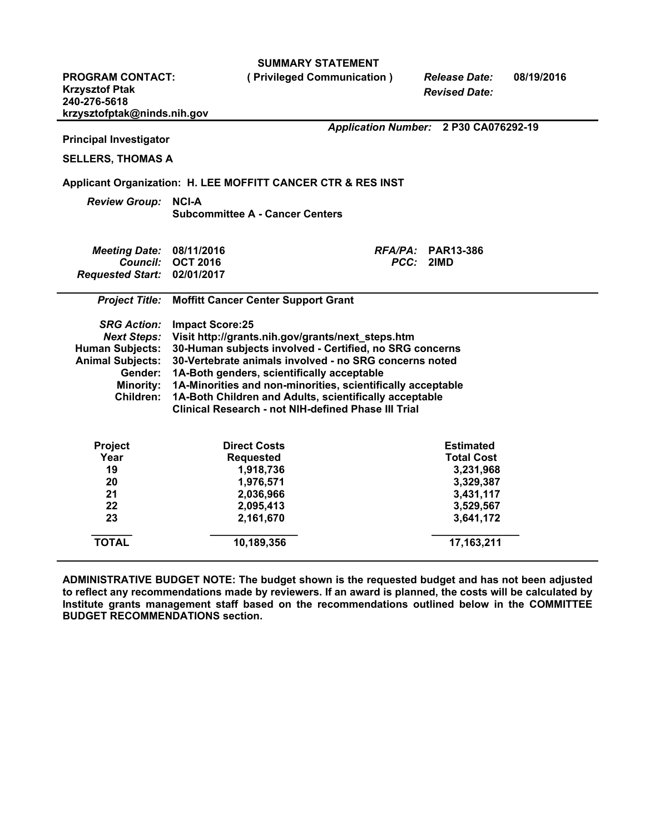**SUMMARY STATEMENT**

**PROGRAM CONTACT:** *Release Date:* **08/19/2016 ( Privileged Communication ) Krzysztof Ptak 240-276-5618 krzysztofptak@ninds.nih.gov**

*Application Number:* **2 P30 CA076292-19**

*Revised Date:*

 **3,529,567**

**Principal Investigator**

**SELLERS, THOMAS A**

**22**

#### **Applicant Organization: H. LEE MOFFITT CANCER CTR & RES INST**

*Review Group:* **NCI-A Subcommittee A - Cancer Centers**

| <b>Meeting Date: 08/11/2016</b><br>Requested Start: 02/01/2017                                                                                   | Council: OCT 2016                                                                                                                                                                                                                                                                                                                                                                                                              | PCC: 2IMD | <i>RFA/PA:</i> PAR13-386 |  |
|--------------------------------------------------------------------------------------------------------------------------------------------------|--------------------------------------------------------------------------------------------------------------------------------------------------------------------------------------------------------------------------------------------------------------------------------------------------------------------------------------------------------------------------------------------------------------------------------|-----------|--------------------------|--|
|                                                                                                                                                  | <b>Project Title: Moffitt Cancer Center Support Grant</b>                                                                                                                                                                                                                                                                                                                                                                      |           |                          |  |
| <b>SRG Action:</b><br><b>Next Steps:</b><br><b>Human Subjects:</b><br><b>Animal Subjects:</b><br>Gender:<br><b>Minority:</b><br><b>Children:</b> | <b>Impact Score:25</b><br>Visit http://grants.nih.gov/grants/next_steps.htm<br>30-Human subjects involved - Certified, no SRG concerns<br>30-Vertebrate animals involved - no SRG concerns noted<br>1A-Both genders, scientifically acceptable<br>1A-Minorities and non-minorities, scientifically acceptable<br>1A-Both Children and Adults, scientifically acceptable<br>Clinical Research - not NIH-defined Phase III Trial |           |                          |  |
| <b>Project</b>                                                                                                                                   | <b>Direct Costs</b>                                                                                                                                                                                                                                                                                                                                                                                                            |           | <b>Estimated</b>         |  |
| Year                                                                                                                                             | <b>Requested</b>                                                                                                                                                                                                                                                                                                                                                                                                               |           | <b>Total Cost</b>        |  |
| 19                                                                                                                                               | 1,918,736                                                                                                                                                                                                                                                                                                                                                                                                                      |           | 3,231,968                |  |
| 20                                                                                                                                               | 1,976,571                                                                                                                                                                                                                                                                                                                                                                                                                      |           | 3,329,387                |  |
| 21                                                                                                                                               | 2,036,966                                                                                                                                                                                                                                                                                                                                                                                                                      |           | 3,431,117                |  |

**23 2,161,670 3,641,172 \_\_\_\_\_\_\_ TOTAL \_\_\_\_\_\_\_\_\_\_\_\_\_\_\_ 10,189,356 \_\_\_\_\_\_\_\_\_\_\_\_\_\_\_ 17,163,211**

 **2,095,413**

**ADMINISTRATIVE BUDGET NOTE: The budget shown is the requested budget and has not been adjusted** to reflect any recommendations made by reviewers. If an award is planned, the costs will be calculated by **Institute grants management staff based on the recommendations outlined below in the COMMITTEE BUDGET RECOMMENDATIONS section.**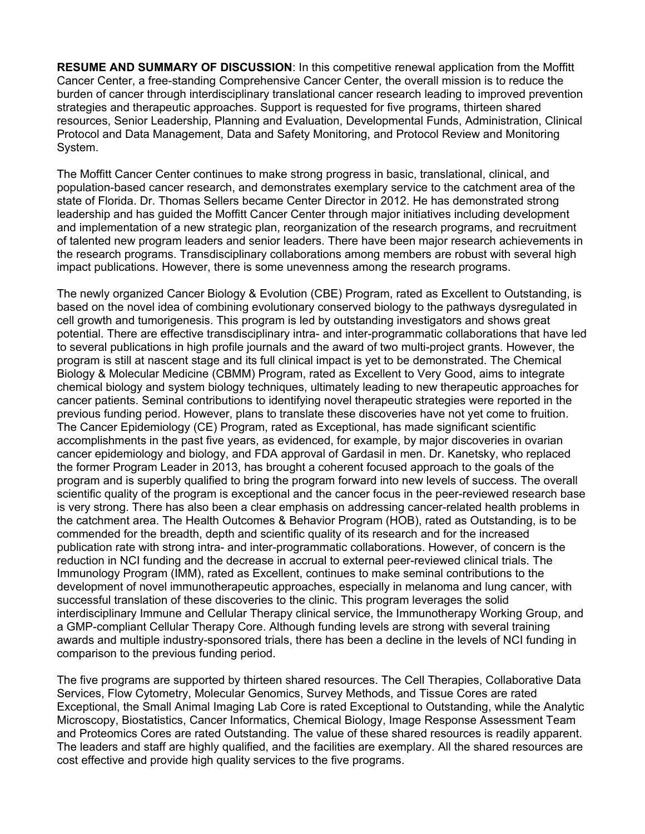<span id="page-1-0"></span>**RESUME AND SUMMARY OF DISCUSSION**: In this competitive renewal application from the Moffitt Cancer Center, a free-standing Comprehensive Cancer Center, the overall mission is to reduce the burden of cancer through interdisciplinary translational cancer research leading to improved prevention strategies and therapeutic approaches. Support is requested for five programs, thirteen shared resources, Senior Leadership, Planning and Evaluation, Developmental Funds, Administration, Clinical Protocol and Data Management, Data and Safety Monitoring, and Protocol Review and Monitoring System.

The Moffitt Cancer Center continues to make strong progress in basic, translational, clinical, and population-based cancer research, and demonstrates exemplary service to the catchment area of the state of Florida. Dr. Thomas Sellers became Center Director in 2012. He has demonstrated strong leadership and has guided the Moffitt Cancer Center through major initiatives including development and implementation of a new strategic plan, reorganization of the research programs, and recruitment of talented new program leaders and senior leaders. There have been major research achievements in the research programs. Transdisciplinary collaborations among members are robust with several high impact publications. However, there is some unevenness among the research programs.

The newly organized Cancer Biology & Evolution (CBE) Program, rated as Excellent to Outstanding, is based on the novel idea of combining evolutionary conserved biology to the pathways dysregulated in cell growth and tumorigenesis. This program is led by outstanding investigators and shows great potential. There are effective transdisciplinary intra- and inter-programmatic collaborations that have led to several publications in high profile journals and the award of two multi-project grants. However, the program is still at nascent stage and its full clinical impact is yet to be demonstrated. The Chemical Biology & Molecular Medicine (CBMM) Program, rated as Excellent to Very Good, aims to integrate chemical biology and system biology techniques, ultimately leading to new therapeutic approaches for cancer patients. Seminal contributions to identifying novel therapeutic strategies were reported in the previous funding period. However, plans to translate these discoveries have not yet come to fruition. The Cancer Epidemiology (CE) Program, rated as Exceptional, has made significant scientific accomplishments in the past five years, as evidenced, for example, by major discoveries in ovarian cancer epidemiology and biology, and FDA approval of Gardasil in men. Dr. Kanetsky, who replaced the former Program Leader in 2013, has brought a coherent focused approach to the goals of the program and is superbly qualified to bring the program forward into new levels of success. The overall scientific quality of the program is exceptional and the cancer focus in the peer-reviewed research base is very strong. There has also been a clear emphasis on addressing cancer-related health problems in the catchment area. The Health Outcomes & Behavior Program (HOB), rated as Outstanding, is to be commended for the breadth, depth and scientific quality of its research and for the increased publication rate with strong intra- and inter-programmatic collaborations. However, of concern is the reduction in NCI funding and the decrease in accrual to external peer-reviewed clinical trials. The Immunology Program (IMM), rated as Excellent, continues to make seminal contributions to the development of novel immunotherapeutic approaches, especially in melanoma and lung cancer, with successful translation of these discoveries to the clinic. This program leverages the solid interdisciplinary Immune and Cellular Therapy clinical service, the Immunotherapy Working Group, and a GMP-compliant Cellular Therapy Core. Although funding levels are strong with several training awards and multiple industry-sponsored trials, there has been a decline in the levels of NCI funding in comparison to the previous funding period.

The five programs are supported by thirteen shared resources. The Cell Therapies, Collaborative Data Services, Flow Cytometry, Molecular Genomics, Survey Methods, and Tissue Cores are rated Exceptional, the Small Animal Imaging Lab Core is rated Exceptional to Outstanding, while the Analytic Microscopy, Biostatistics, Cancer Informatics, Chemical Biology, Image Response Assessment Team and Proteomics Cores are rated Outstanding. The value of these shared resources is readily apparent. The leaders and staff are highly qualified, and the facilities are exemplary. All the shared resources are cost effective and provide high quality services to the five programs.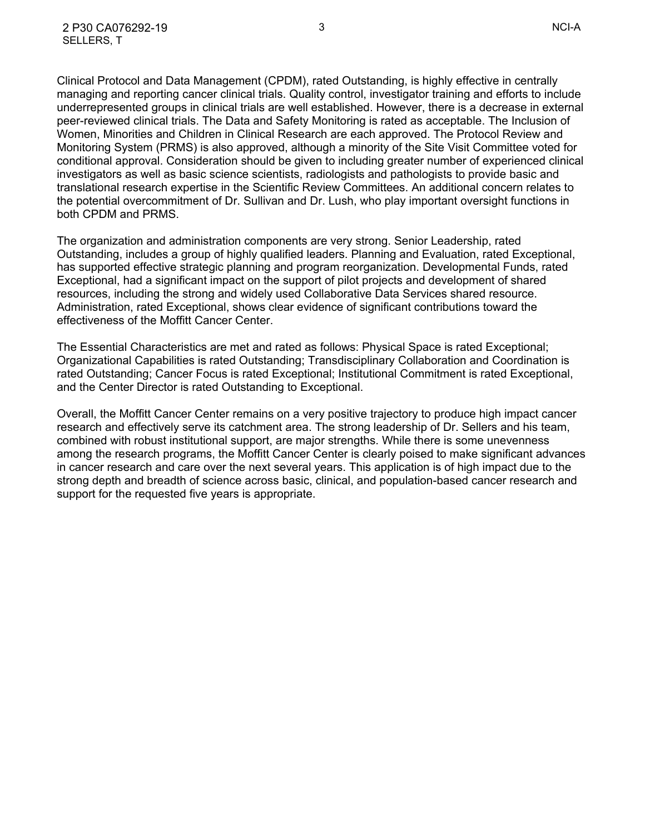Clinical Protocol and Data Management (CPDM), rated Outstanding, is highly effective in centrally managing and reporting cancer clinical trials. Quality control, investigator training and efforts to include underrepresented groups in clinical trials are well established. However, there is a decrease in external peer-reviewed clinical trials. The Data and Safety Monitoring is rated as acceptable. The Inclusion of Women, Minorities and Children in Clinical Research are each approved. The Protocol Review and Monitoring System (PRMS) is also approved, although a minority of the Site Visit Committee voted for conditional approval. Consideration should be given to including greater number of experienced clinical investigators as well as basic science scientists, radiologists and pathologists to provide basic and translational research expertise in the Scientific Review Committees. An additional concern relates to the potential overcommitment of Dr. Sullivan and Dr. Lush, who play important oversight functions in both CPDM and PRMS.

The organization and administration components are very strong. Senior Leadership, rated Outstanding, includes a group of highly qualified leaders. Planning and Evaluation, rated Exceptional, has supported effective strategic planning and program reorganization. Developmental Funds, rated Exceptional, had a significant impact on the support of pilot projects and development of shared resources, including the strong and widely used Collaborative Data Services shared resource. Administration, rated Exceptional, shows clear evidence of significant contributions toward the effectiveness of the Moffitt Cancer Center.

The Essential Characteristics are met and rated as follows: Physical Space is rated Exceptional; Organizational Capabilities is rated Outstanding; Transdisciplinary Collaboration and Coordination is rated Outstanding; Cancer Focus is rated Exceptional; Institutional Commitment is rated Exceptional, and the Center Director is rated Outstanding to Exceptional.

Overall, the Moffitt Cancer Center remains on a very positive trajectory to produce high impact cancer research and effectively serve its catchment area. The strong leadership of Dr. Sellers and his team, combined with robust institutional support, are major strengths. While there is some unevenness among the research programs, the Moffitt Cancer Center is clearly poised to make significant advances in cancer research and care over the next several years. This application is of high impact due to the strong depth and breadth of science across basic, clinical, and population-based cancer research and support for the requested five years is appropriate.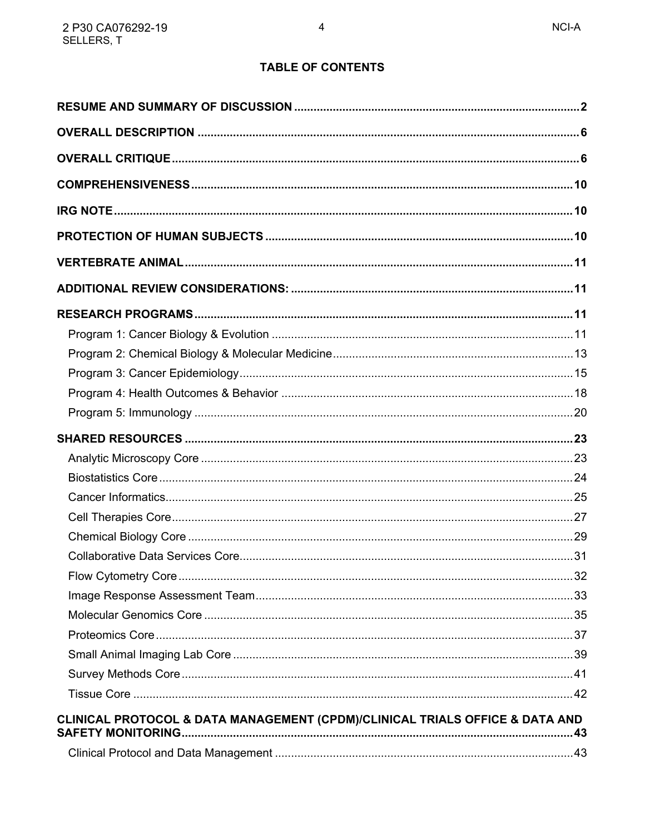# **TABLE OF CONTENTS**

| CLINICAL PROTOCOL & DATA MANAGEMENT (CPDM)/CLINICAL TRIALS OFFICE & DATA AND |  |
|------------------------------------------------------------------------------|--|
|                                                                              |  |
|                                                                              |  |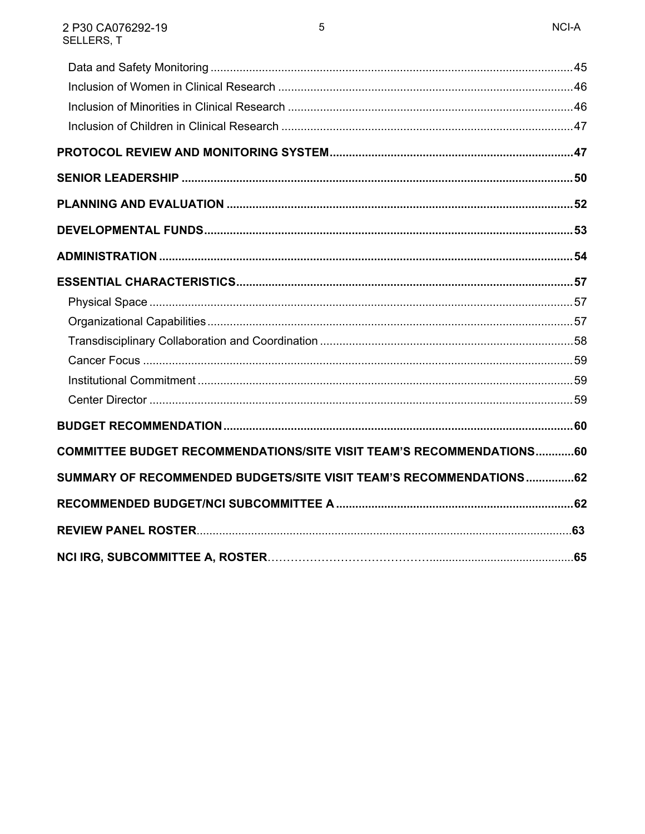| <b>COMMITTEE BUDGET RECOMMENDATIONS/SITE VISIT TEAM'S RECOMMENDATIONS60</b> |  |
|-----------------------------------------------------------------------------|--|
| SUMMARY OF RECOMMENDED BUDGETS/SITE VISIT TEAM'S RECOMMENDATIONS62          |  |
|                                                                             |  |
|                                                                             |  |
|                                                                             |  |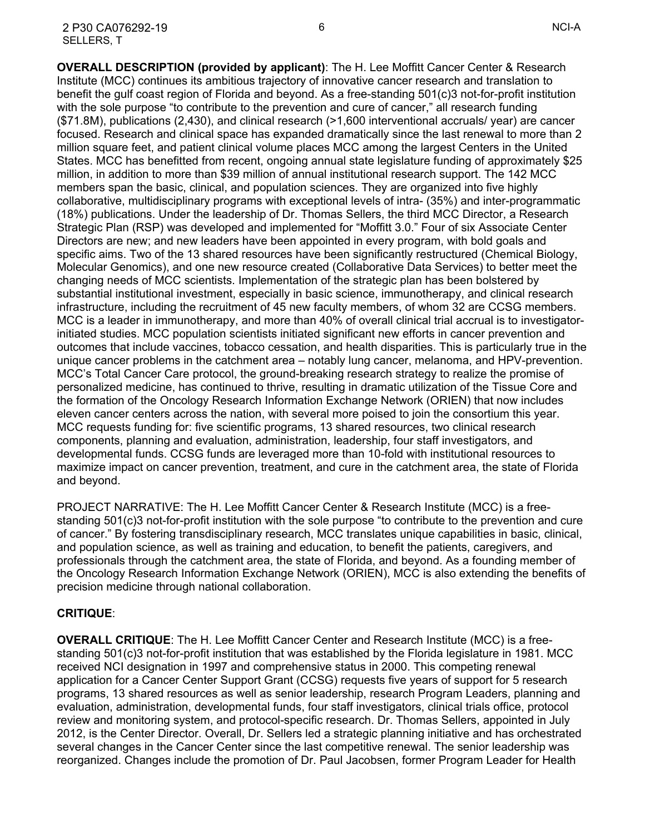<span id="page-5-0"></span>**OVERALL DESCRIPTION (provided by applicant)**: The H. Lee Moffitt Cancer Center & Research Institute (MCC) continues its ambitious trajectory of innovative cancer research and translation to benefit the gulf coast region of Florida and beyond. As a free-standing 501(c)3 not-for-profit institution with the sole purpose "to contribute to the prevention and cure of cancer," all research funding (\$71.8M), publications (2,430), and clinical research (>1,600 interventional accruals/ year) are cancer focused. Research and clinical space has expanded dramatically since the last renewal to more than 2 million square feet, and patient clinical volume places MCC among the largest Centers in the United States. MCC has benefitted from recent, ongoing annual state legislature funding of approximately \$25 million, in addition to more than \$39 million of annual institutional research support. The 142 MCC members span the basic, clinical, and population sciences. They are organized into five highly collaborative, multidisciplinary programs with exceptional levels of intra- (35%) and inter-programmatic (18%) publications. Under the leadership of Dr. Thomas Sellers, the third MCC Director, a Research Strategic Plan (RSP) was developed and implemented for "Moffitt 3.0." Four of six Associate Center Directors are new; and new leaders have been appointed in every program, with bold goals and specific aims. Two of the 13 shared resources have been significantly restructured (Chemical Biology, Molecular Genomics), and one new resource created (Collaborative Data Services) to better meet the changing needs of MCC scientists. Implementation of the strategic plan has been bolstered by substantial institutional investment, especially in basic science, immunotherapy, and clinical research infrastructure, including the recruitment of 45 new faculty members, of whom 32 are CCSG members. MCC is a leader in immunotherapy, and more than 40% of overall clinical trial accrual is to investigatorinitiated studies. MCC population scientists initiated significant new efforts in cancer prevention and outcomes that include vaccines, tobacco cessation, and health disparities. This is particularly true in the unique cancer problems in the catchment area – notably lung cancer, melanoma, and HPV-prevention. MCC's Total Cancer Care protocol, the ground-breaking research strategy to realize the promise of personalized medicine, has continued to thrive, resulting in dramatic utilization of the Tissue Core and the formation of the Oncology Research Information Exchange Network (ORIEN) that now includes eleven cancer centers across the nation, with several more poised to join the consortium this year. MCC requests funding for: five scientific programs, 13 shared resources, two clinical research components, planning and evaluation, administration, leadership, four staff investigators, and developmental funds. CCSG funds are leveraged more than 10-fold with institutional resources to maximize impact on cancer prevention, treatment, and cure in the catchment area, the state of Florida and beyond.

PROJECT NARRATIVE: The H. Lee Moffitt Cancer Center & Research Institute (MCC) is a freestanding 501(c)3 not-for-profit institution with the sole purpose "to contribute to the prevention and cure of cancer." By fostering transdisciplinary research, MCC translates unique capabilities in basic, clinical, and population science, as well as training and education, to benefit the patients, caregivers, and professionals through the catchment area, the state of Florida, and beyond. As a founding member of the Oncology Research Information Exchange Network (ORIEN), MCC is also extending the benefits of precision medicine through national collaboration.

# **CRITIQUE**:

<span id="page-5-1"></span>**OVERALL CRITIQUE**: The H. Lee Moffitt Cancer Center and Research Institute (MCC) is a freestanding 501(c)3 not-for-profit institution that was established by the Florida legislature in 1981. MCC received NCI designation in 1997 and comprehensive status in 2000. This competing renewal application for a Cancer Center Support Grant (CCSG) requests five years of support for 5 research programs, 13 shared resources as well as senior leadership, research Program Leaders, planning and evaluation, administration, developmental funds, four staff investigators, clinical trials office, protocol review and monitoring system, and protocol-specific research. Dr. Thomas Sellers, appointed in July 2012, is the Center Director. Overall, Dr. Sellers led a strategic planning initiative and has orchestrated several changes in the Cancer Center since the last competitive renewal. The senior leadership was reorganized. Changes include the promotion of Dr. Paul Jacobsen, former Program Leader for Health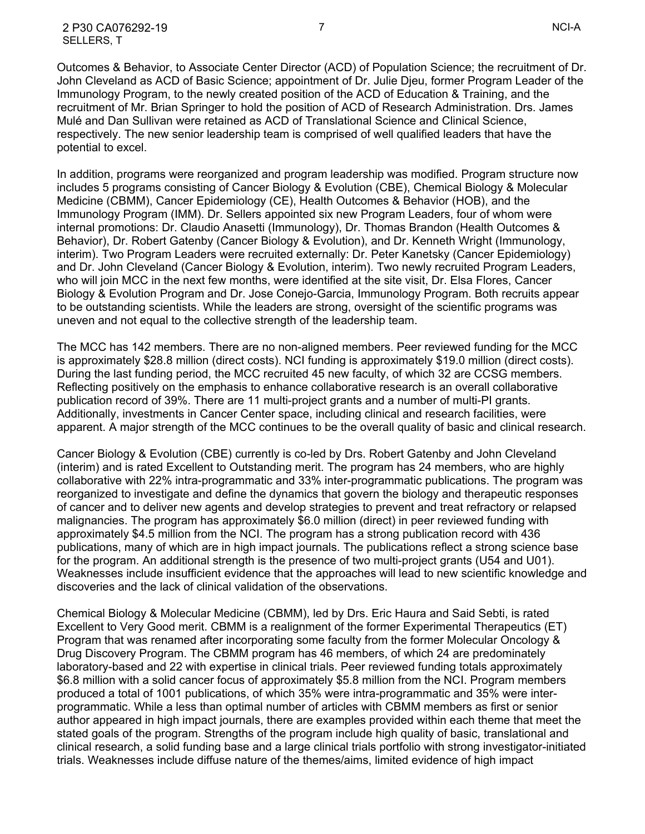Outcomes & Behavior, to Associate Center Director (ACD) of Population Science; the recruitment of Dr. John Cleveland as ACD of Basic Science; appointment of Dr. Julie Djeu, former Program Leader of the Immunology Program, to the newly created position of the ACD of Education & Training, and the recruitment of Mr. Brian Springer to hold the position of ACD of Research Administration. Drs. James Mulé and Dan Sullivan were retained as ACD of Translational Science and Clinical Science, respectively. The new senior leadership team is comprised of well qualified leaders that have the potential to excel.

In addition, programs were reorganized and program leadership was modified. Program structure now includes 5 programs consisting of Cancer Biology & Evolution (CBE), Chemical Biology & Molecular Medicine (CBMM), Cancer Epidemiology (CE), Health Outcomes & Behavior (HOB), and the Immunology Program (IMM). Dr. Sellers appointed six new Program Leaders, four of whom were internal promotions: Dr. Claudio Anasetti (Immunology), Dr. Thomas Brandon (Health Outcomes & Behavior), Dr. Robert Gatenby (Cancer Biology & Evolution), and Dr. Kenneth Wright (Immunology, interim). Two Program Leaders were recruited externally: Dr. Peter Kanetsky (Cancer Epidemiology) and Dr. John Cleveland (Cancer Biology & Evolution, interim). Two newly recruited Program Leaders, who will join MCC in the next few months, were identified at the site visit, Dr. Elsa Flores, Cancer Biology & Evolution Program and Dr. Jose Conejo-Garcia, Immunology Program. Both recruits appear to be outstanding scientists. While the leaders are strong, oversight of the scientific programs was uneven and not equal to the collective strength of the leadership team.

The MCC has 142 members. There are no non-aligned members. Peer reviewed funding for the MCC is approximately \$28.8 million (direct costs). NCI funding is approximately \$19.0 million (direct costs). During the last funding period, the MCC recruited 45 new faculty, of which 32 are CCSG members. Reflecting positively on the emphasis to enhance collaborative research is an overall collaborative publication record of 39%. There are 11 multi-project grants and a number of multi-PI grants. Additionally, investments in Cancer Center space, including clinical and research facilities, were apparent. A major strength of the MCC continues to be the overall quality of basic and clinical research.

Cancer Biology & Evolution (CBE) currently is co-led by Drs. Robert Gatenby and John Cleveland (interim) and is rated Excellent to Outstanding merit. The program has 24 members, who are highly collaborative with 22% intra-programmatic and 33% inter-programmatic publications. The program was reorganized to investigate and define the dynamics that govern the biology and therapeutic responses of cancer and to deliver new agents and develop strategies to prevent and treat refractory or relapsed malignancies. The program has approximately \$6.0 million (direct) in peer reviewed funding with approximately \$4.5 million from the NCI. The program has a strong publication record with 436 publications, many of which are in high impact journals. The publications reflect a strong science base for the program. An additional strength is the presence of two multi-project grants (U54 and U01). Weaknesses include insufficient evidence that the approaches will lead to new scientific knowledge and discoveries and the lack of clinical validation of the observations.

Chemical Biology & Molecular Medicine (CBMM), led by Drs. Eric Haura and Said Sebti, is rated Excellent to Very Good merit. CBMM is a realignment of the former Experimental Therapeutics (ET) Program that was renamed after incorporating some faculty from the former Molecular Oncology & Drug Discovery Program. The CBMM program has 46 members, of which 24 are predominately laboratory-based and 22 with expertise in clinical trials. Peer reviewed funding totals approximately \$6.8 million with a solid cancer focus of approximately \$5.8 million from the NCI. Program members produced a total of 1001 publications, of which 35% were intra-programmatic and 35% were interprogrammatic. While a less than optimal number of articles with CBMM members as first or senior author appeared in high impact journals, there are examples provided within each theme that meet the stated goals of the program. Strengths of the program include high quality of basic, translational and clinical research, a solid funding base and a large clinical trials portfolio with strong investigator-initiated trials. Weaknesses include diffuse nature of the themes/aims, limited evidence of high impact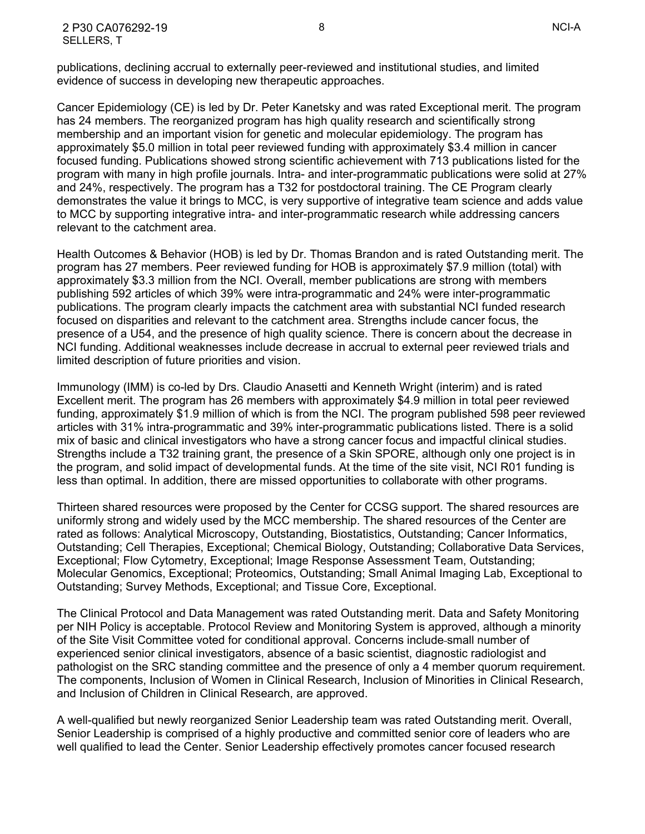publications, declining accrual to externally peer-reviewed and institutional studies, and limited evidence of success in developing new therapeutic approaches.

Cancer Epidemiology (CE) is led by Dr. Peter Kanetsky and was rated Exceptional merit. The program has 24 members. The reorganized program has high quality research and scientifically strong membership and an important vision for genetic and molecular epidemiology. The program has approximately \$5.0 million in total peer reviewed funding with approximately \$3.4 million in cancer focused funding. Publications showed strong scientific achievement with 713 publications listed for the program with many in high profile journals. Intra- and inter-programmatic publications were solid at 27% and 24%, respectively. The program has a T32 for postdoctoral training. The CE Program clearly demonstrates the value it brings to MCC, is very supportive of integrative team science and adds value to MCC by supporting integrative intra- and inter-programmatic research while addressing cancers relevant to the catchment area.

Health Outcomes & Behavior (HOB) is led by Dr. Thomas Brandon and is rated Outstanding merit. The program has 27 members. Peer reviewed funding for HOB is approximately \$7.9 million (total) with approximately \$3.3 million from the NCI. Overall, member publications are strong with members publishing 592 articles of which 39% were intra-programmatic and 24% were inter-programmatic publications. The program clearly impacts the catchment area with substantial NCI funded research focused on disparities and relevant to the catchment area. Strengths include cancer focus, the presence of a U54, and the presence of high quality science. There is concern about the decrease in NCI funding. Additional weaknesses include decrease in accrual to external peer reviewed trials and limited description of future priorities and vision.

Immunology (IMM) is co-led by Drs. Claudio Anasetti and Kenneth Wright (interim) and is rated Excellent merit. The program has 26 members with approximately \$4.9 million in total peer reviewed funding, approximately \$1.9 million of which is from the NCI. The program published 598 peer reviewed articles with 31% intra-programmatic and 39% inter-programmatic publications listed. There is a solid mix of basic and clinical investigators who have a strong cancer focus and impactful clinical studies. Strengths include a T32 training grant, the presence of a Skin SPORE, although only one project is in the program, and solid impact of developmental funds. At the time of the site visit, NCI R01 funding is less than optimal. In addition, there are missed opportunities to collaborate with other programs.

Thirteen shared resources were proposed by the Center for CCSG support. The shared resources are uniformly strong and widely used by the MCC membership. The shared resources of the Center are rated as follows: Analytical Microscopy, Outstanding, Biostatistics, Outstanding; Cancer Informatics, Outstanding; Cell Therapies, Exceptional; Chemical Biology, Outstanding; Collaborative Data Services, Exceptional; Flow Cytometry, Exceptional; Image Response Assessment Team, Outstanding; Molecular Genomics, Exceptional; Proteomics, Outstanding; Small Animal Imaging Lab, Exceptional to Outstanding; Survey Methods, Exceptional; and Tissue Core, Exceptional.

The Clinical Protocol and Data Management was rated Outstanding merit. Data and Safety Monitoring per NIH Policy is acceptable. Protocol Review and Monitoring System is approved, although a minority of the Site Visit Committee voted for conditional approval. Concerns include small number of experienced senior clinical investigators, absence of a basic scientist, diagnostic radiologist and pathologist on the SRC standing committee and the presence of only a 4 member quorum requirement. The components, Inclusion of Women in Clinical Research, Inclusion of Minorities in Clinical Research, and Inclusion of Children in Clinical Research, are approved.

A well-qualified but newly reorganized Senior Leadership team was rated Outstanding merit. Overall, Senior Leadership is comprised of a highly productive and committed senior core of leaders who are well qualified to lead the Center. Senior Leadership effectively promotes cancer focused research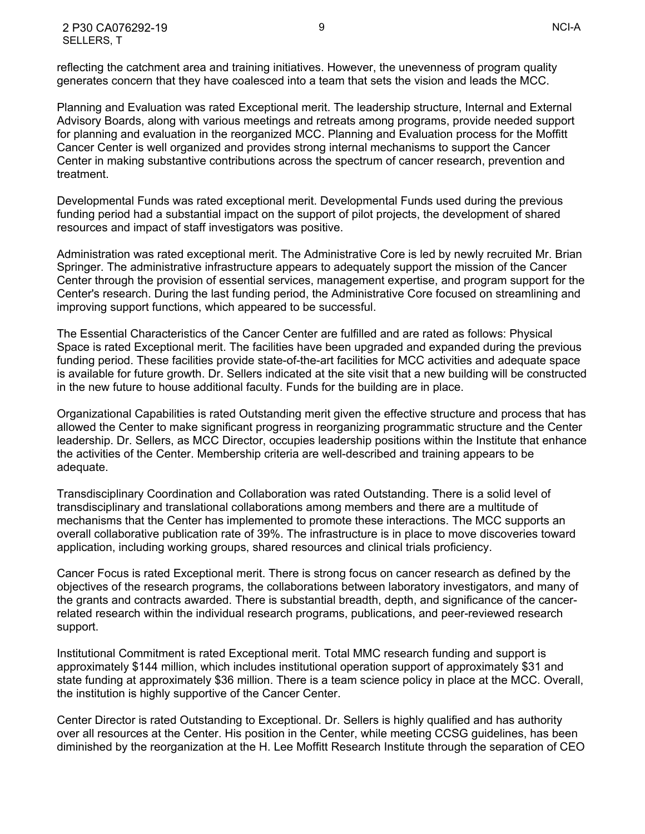Planning and Evaluation was rated Exceptional merit. The leadership structure, Internal and External Advisory Boards, along with various meetings and retreats among programs, provide needed support for planning and evaluation in the reorganized MCC. Planning and Evaluation process for the Moffitt Cancer Center is well organized and provides strong internal mechanisms to support the Cancer Center in making substantive contributions across the spectrum of cancer research, prevention and treatment.

Developmental Funds was rated exceptional merit. Developmental Funds used during the previous funding period had a substantial impact on the support of pilot projects, the development of shared resources and impact of staff investigators was positive.

Administration was rated exceptional merit. The Administrative Core is led by newly recruited Mr. Brian Springer. The administrative infrastructure appears to adequately support the mission of the Cancer Center through the provision of essential services, management expertise, and program support for the Center's research. During the last funding period, the Administrative Core focused on streamlining and improving support functions, which appeared to be successful.

The Essential Characteristics of the Cancer Center are fulfilled and are rated as follows: Physical Space is rated Exceptional merit. The facilities have been upgraded and expanded during the previous funding period. These facilities provide state-of-the-art facilities for MCC activities and adequate space is available for future growth. Dr. Sellers indicated at the site visit that a new building will be constructed in the new future to house additional faculty. Funds for the building are in place.

Organizational Capabilities is rated Outstanding merit given the effective structure and process that has allowed the Center to make significant progress in reorganizing programmatic structure and the Center leadership. Dr. Sellers, as MCC Director, occupies leadership positions within the Institute that enhance the activities of the Center. Membership criteria are well-described and training appears to be adequate.

Transdisciplinary Coordination and Collaboration was rated Outstanding. There is a solid level of transdisciplinary and translational collaborations among members and there are a multitude of mechanisms that the Center has implemented to promote these interactions. The MCC supports an overall collaborative publication rate of 39%. The infrastructure is in place to move discoveries toward application, including working groups, shared resources and clinical trials proficiency.

Cancer Focus is rated Exceptional merit. There is strong focus on cancer research as defined by the objectives of the research programs, the collaborations between laboratory investigators, and many of the grants and contracts awarded. There is substantial breadth, depth, and significance of the cancerrelated research within the individual research programs, publications, and peer-reviewed research support.

Institutional Commitment is rated Exceptional merit. Total MMC research funding and support is approximately \$144 million, which includes institutional operation support of approximately \$31 and state funding at approximately \$36 million. There is a team science policy in place at the MCC. Overall, the institution is highly supportive of the Cancer Center.

Center Director is rated Outstanding to Exceptional. Dr. Sellers is highly qualified and has authority over all resources at the Center. His position in the Center, while meeting CCSG guidelines, has been diminished by the reorganization at the H. Lee Moffitt Research Institute through the separation of CEO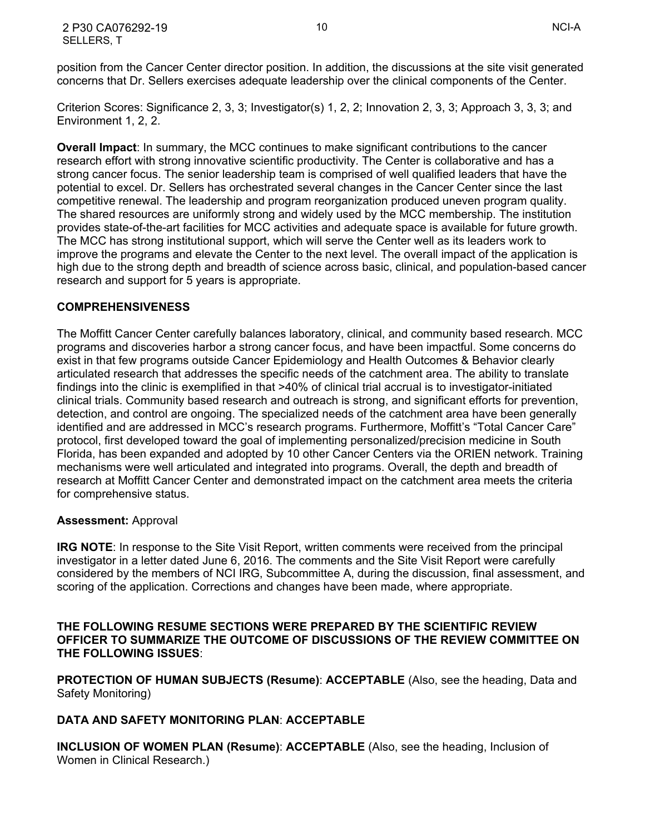position from the Cancer Center director position. In addition, the discussions at the site visit generated concerns that Dr. Sellers exercises adequate leadership over the clinical components of the Center.

Criterion Scores: Significance 2, 3, 3; Investigator(s) 1, 2, 2; Innovation 2, 3, 3; Approach 3, 3, 3; and Environment 1, 2, 2.

**Overall Impact**: In summary, the MCC continues to make significant contributions to the cancer research effort with strong innovative scientific productivity. The Center is collaborative and has a strong cancer focus. The senior leadership team is comprised of well qualified leaders that have the potential to excel. Dr. Sellers has orchestrated several changes in the Cancer Center since the last competitive renewal. The leadership and program reorganization produced uneven program quality. The shared resources are uniformly strong and widely used by the MCC membership. The institution provides state-of-the-art facilities for MCC activities and adequate space is available for future growth. The MCC has strong institutional support, which will serve the Center well as its leaders work to improve the programs and elevate the Center to the next level. The overall impact of the application is high due to the strong depth and breadth of science across basic, clinical, and population-based cancer research and support for 5 years is appropriate.

## <span id="page-9-0"></span>**COMPREHENSIVENESS**

The Moffitt Cancer Center carefully balances laboratory, clinical, and community based research. MCC programs and discoveries harbor a strong cancer focus, and have been impactful. Some concerns do exist in that few programs outside Cancer Epidemiology and Health Outcomes & Behavior clearly articulated research that addresses the specific needs of the catchment area. The ability to translate findings into the clinic is exemplified in that >40% of clinical trial accrual is to investigator-initiated clinical trials. Community based research and outreach is strong, and significant efforts for prevention, detection, and control are ongoing. The specialized needs of the catchment area have been generally identified and are addressed in MCC's research programs. Furthermore, Moffitt's "Total Cancer Care" protocol, first developed toward the goal of implementing personalized/precision medicine in South Florida, has been expanded and adopted by 10 other Cancer Centers via the ORIEN network. Training mechanisms were well articulated and integrated into programs. Overall, the depth and breadth of research at Moffitt Cancer Center and demonstrated impact on the catchment area meets the criteria for comprehensive status.

#### **Assessment:** Approval

<span id="page-9-1"></span>**IRG NOTE**: In response to the Site Visit Report, written comments were received from the principal investigator in a letter dated June 6, 2016. The comments and the Site Visit Report were carefully considered by the members of NCI IRG, Subcommittee A, during the discussion, final assessment, and scoring of the application. Corrections and changes have been made, where appropriate.

#### **THE FOLLOWING RESUME SECTIONS WERE PREPARED BY THE SCIENTIFIC REVIEW OFFICER TO SUMMARIZE THE OUTCOME OF DISCUSSIONS OF THE REVIEW COMMITTEE ON THE FOLLOWING ISSUES**:

<span id="page-9-2"></span>**PROTECTION OF HUMAN SUBJECTS (Resume)**: **ACCEPTABLE** (Also, see the heading, Data and Safety Monitoring)

# **DATA AND SAFETY MONITORING PLAN**: **ACCEPTABLE**

**INCLUSION OF WOMEN PLAN (Resume)**: **ACCEPTABLE** (Also, see the heading, Inclusion of Women in Clinical Research.)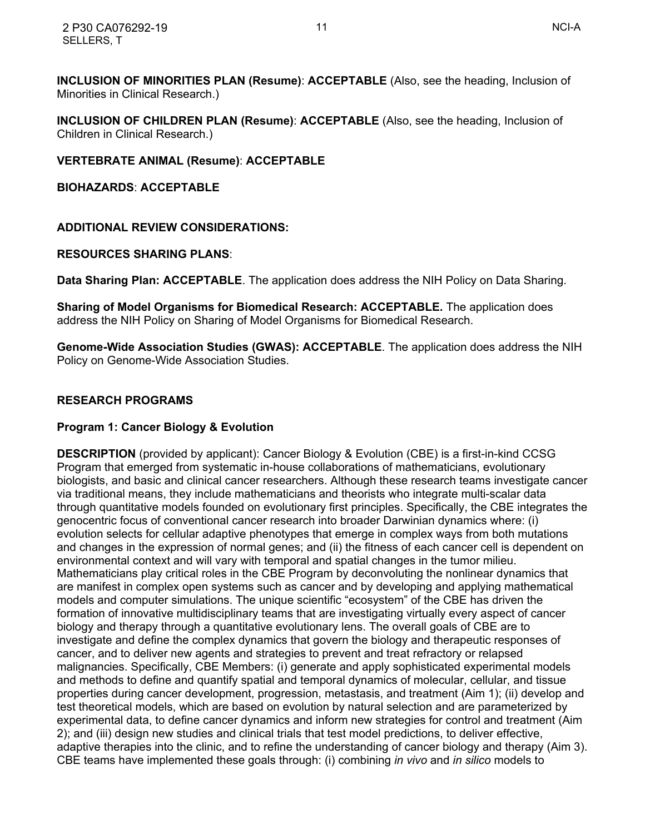**INCLUSION OF CHILDREN PLAN (Resume)**: **ACCEPTABLE** (Also, see the heading, Inclusion of Children in Clinical Research.)

<span id="page-10-0"></span>**VERTEBRATE ANIMAL (Resume)**: **ACCEPTABLE**

**BIOHAZARDS**: **ACCEPTABLE**

## <span id="page-10-1"></span>**ADDITIONAL REVIEW CONSIDERATIONS:**

## **RESOURCES SHARING PLANS**:

**Data Sharing Plan: ACCEPTABLE**. The application does address the NIH Policy on Data Sharing.

**Sharing of Model Organisms for Biomedical Research: ACCEPTABLE.** The application does address the NIH Policy on Sharing of Model Organisms for Biomedical Research.

**Genome-Wide Association Studies (GWAS): ACCEPTABLE**. The application does address the NIH Policy on Genome-Wide Association Studies.

# <span id="page-10-2"></span>**RESEARCH PROGRAMS**

#### <span id="page-10-3"></span>**Program 1: Cancer Biology & Evolution**

**DESCRIPTION** (provided by applicant): Cancer Biology & Evolution (CBE) is a first-in-kind CCSG Program that emerged from systematic in-house collaborations of mathematicians, evolutionary biologists, and basic and clinical cancer researchers. Although these research teams investigate cancer via traditional means, they include mathematicians and theorists who integrate multi-scalar data through quantitative models founded on evolutionary first principles. Specifically, the CBE integrates the genocentric focus of conventional cancer research into broader Darwinian dynamics where: (i) evolution selects for cellular adaptive phenotypes that emerge in complex ways from both mutations and changes in the expression of normal genes; and (ii) the fitness of each cancer cell is dependent on environmental context and will vary with temporal and spatial changes in the tumor milieu. Mathematicians play critical roles in the CBE Program by deconvoluting the nonlinear dynamics that are manifest in complex open systems such as cancer and by developing and applying mathematical models and computer simulations. The unique scientific "ecosystem" of the CBE has driven the formation of innovative multidisciplinary teams that are investigating virtually every aspect of cancer biology and therapy through a quantitative evolutionary lens. The overall goals of CBE are to investigate and define the complex dynamics that govern the biology and therapeutic responses of cancer, and to deliver new agents and strategies to prevent and treat refractory or relapsed malignancies. Specifically, CBE Members: (i) generate and apply sophisticated experimental models and methods to define and quantify spatial and temporal dynamics of molecular, cellular, and tissue properties during cancer development, progression, metastasis, and treatment (Aim 1); (ii) develop and test theoretical models, which are based on evolution by natural selection and are parameterized by experimental data, to define cancer dynamics and inform new strategies for control and treatment (Aim 2); and (iii) design new studies and clinical trials that test model predictions, to deliver effective, adaptive therapies into the clinic, and to refine the understanding of cancer biology and therapy (Aim 3). CBE teams have implemented these goals through: (i) combining *in vivo* and *in silico* models to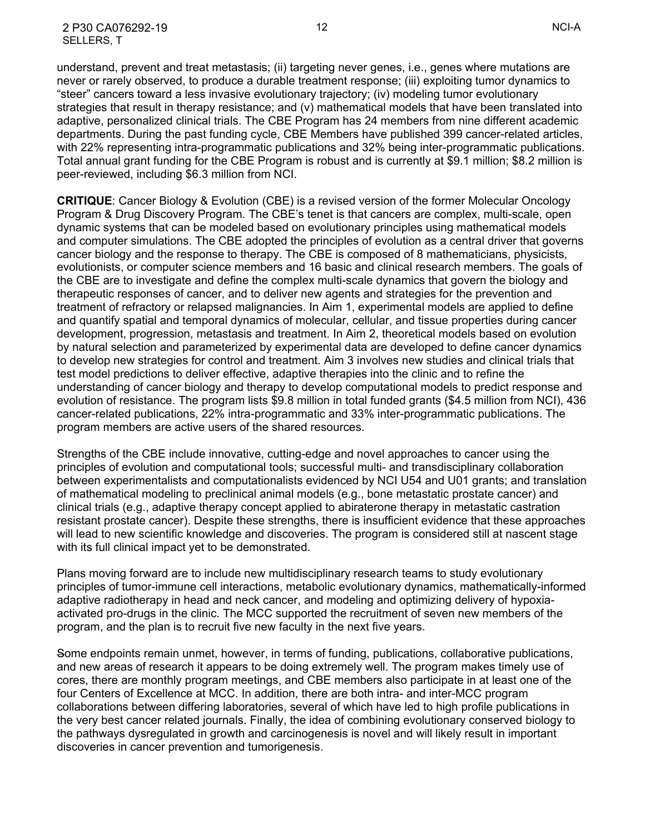understand, prevent and treat metastasis; (ii) targeting never genes, i.e., genes where mutations are never or rarely observed, to produce a durable treatment response; (iii) exploiting tumor dynamics to "steer" cancers toward a less invasive evolutionary trajectory; (iv) modeling tumor evolutionary strategies that result in therapy resistance; and (v) mathematical models that have been translated into adaptive, personalized clinical trials. The CBE Program has 24 members from nine different academic departments. During the past funding cycle, CBE Members have published 399 cancer-related articles, with 22% representing intra-programmatic publications and 32% being inter-programmatic publications. Total annual grant funding for the CBE Program is robust and is currently at \$9.1 million; \$8.2 million is peer-reviewed, including \$6.3 million from NCI.

**CRITIQUE**: Cancer Biology & Evolution (CBE) is a revised version of the former Molecular Oncology Program & Drug Discovery Program. The CBE's tenet is that cancers are complex, multi-scale, open dynamic systems that can be modeled based on evolutionary principles using mathematical models and computer simulations. The CBE adopted the principles of evolution as a central driver that governs cancer biology and the response to therapy. The CBE is composed of 8 mathematicians, physicists, evolutionists, or computer science members and 16 basic and clinical research members. The goals of the CBE are to investigate and define the complex multi-scale dynamics that govern the biology and therapeutic responses of cancer, and to deliver new agents and strategies for the prevention and treatment of refractory or relapsed malignancies. In Aim 1, experimental models are applied to define and quantify spatial and temporal dynamics of molecular, cellular, and tissue properties during cancer development, progression, metastasis and treatment. In Aim 2, theoretical models based on evolution by natural selection and parameterized by experimental data are developed to define cancer dynamics to develop new strategies for control and treatment. Aim 3 involves new studies and clinical trials that test model predictions to deliver effective, adaptive therapies into the clinic and to refine the understanding of cancer biology and therapy to develop computational models to predict response and evolution of resistance. The program lists \$9.8 million in total funded grants (\$4.5 million from NCI), 436 cancer-related publications, 22% intra-programmatic and 33% inter-programmatic publications. The program members are active users of the shared resources.

Strengths of the CBE include innovative, cutting-edge and novel approaches to cancer using the principles of evolution and computational tools; successful multi- and transdisciplinary collaboration between experimentalists and computationalists evidenced by NCI U54 and U01 grants; and translation of mathematical modeling to preclinical animal models (e.g., bone metastatic prostate cancer) and clinical trials (e.g., adaptive therapy concept applied to abiraterone therapy in metastatic castration resistant prostate cancer). Despite these strengths, there is insufficient evidence that these approaches will lead to new scientific knowledge and discoveries. The program is considered still at nascent stage with its full clinical impact yet to be demonstrated.

Plans moving forward are to include new multidisciplinary research teams to study evolutionary principles of tumor-immune cell interactions, metabolic evolutionary dynamics, mathematically-informed adaptive radiotherapy in head and neck cancer, and modeling and optimizing delivery of hypoxiaactivated pro-drugs in the clinic. The MCC supported the recruitment of seven new members of the program, and the plan is to recruit five new faculty in the next five years.

Some endpoints remain unmet, however, in terms of funding, publications, collaborative publications, and new areas of research it appears to be doing extremely well. The program makes timely use of cores, there are monthly program meetings, and CBE members also participate in at least one of the four Centers of Excellence at MCC. In addition, there are both intra- and inter-MCC program collaborations between differing laboratories, several of which have led to high profile publications in the very best cancer related journals. Finally, the idea of combining evolutionary conserved biology to the pathways dysregulated in growth and carcinogenesis is novel and will likely result in important discoveries in cancer prevention and tumorigenesis.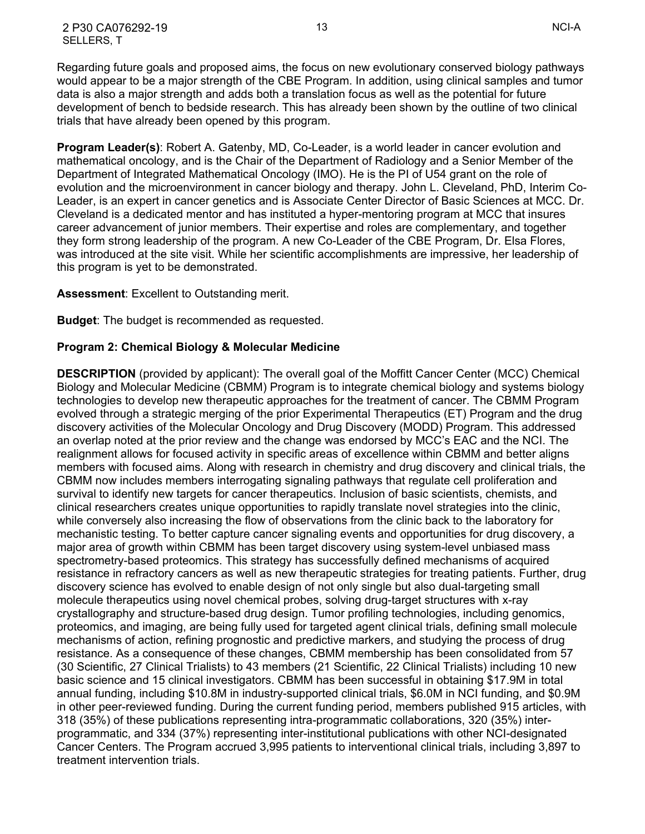2 P30 CA076292-19 13 NCI-A SELLERS, T

Regarding future goals and proposed aims, the focus on new evolutionary conserved biology pathways would appear to be a major strength of the CBE Program. In addition, using clinical samples and tumor data is also a major strength and adds both a translation focus as well as the potential for future development of bench to bedside research. This has already been shown by the outline of two clinical trials that have already been opened by this program.

**Program Leader(s)**: Robert A. Gatenby, MD, Co-Leader, is a world leader in cancer evolution and mathematical oncology, and is the Chair of the Department of Radiology and a Senior Member of the Department of Integrated Mathematical Oncology (IMO). He is the PI of U54 grant on the role of evolution and the microenvironment in cancer biology and therapy. John L. Cleveland, PhD, Interim Co-Leader, is an expert in cancer genetics and is Associate Center Director of Basic Sciences at MCC. Dr. Cleveland is a dedicated mentor and has instituted a hyper-mentoring program at MCC that insures career advancement of junior members. Their expertise and roles are complementary, and together they form strong leadership of the program. A new Co-Leader of the CBE Program, Dr. Elsa Flores, was introduced at the site visit. While her scientific accomplishments are impressive, her leadership of this program is yet to be demonstrated.

#### **Assessment**: Excellent to Outstanding merit.

**Budget**: The budget is recommended as requested.

#### <span id="page-12-0"></span>**Program 2: Chemical Biology & Molecular Medicine**

**DESCRIPTION** (provided by applicant): The overall goal of the Moffitt Cancer Center (MCC) Chemical Biology and Molecular Medicine (CBMM) Program is to integrate chemical biology and systems biology technologies to develop new therapeutic approaches for the treatment of cancer. The CBMM Program evolved through a strategic merging of the prior Experimental Therapeutics (ET) Program and the drug discovery activities of the Molecular Oncology and Drug Discovery (MODD) Program. This addressed an overlap noted at the prior review and the change was endorsed by MCC's EAC and the NCI. The realignment allows for focused activity in specific areas of excellence within CBMM and better aligns members with focused aims. Along with research in chemistry and drug discovery and clinical trials, the CBMM now includes members interrogating signaling pathways that regulate cell proliferation and survival to identify new targets for cancer therapeutics. Inclusion of basic scientists, chemists, and clinical researchers creates unique opportunities to rapidly translate novel strategies into the clinic, while conversely also increasing the flow of observations from the clinic back to the laboratory for mechanistic testing. To better capture cancer signaling events and opportunities for drug discovery, a major area of growth within CBMM has been target discovery using system-level unbiased mass spectrometry-based proteomics. This strategy has successfully defined mechanisms of acquired resistance in refractory cancers as well as new therapeutic strategies for treating patients. Further, drug discovery science has evolved to enable design of not only single but also dual-targeting small molecule therapeutics using novel chemical probes, solving drug-target structures with x-ray crystallography and structure-based drug design. Tumor profiling technologies, including genomics, proteomics, and imaging, are being fully used for targeted agent clinical trials, defining small molecule mechanisms of action, refining prognostic and predictive markers, and studying the process of drug resistance. As a consequence of these changes, CBMM membership has been consolidated from 57 (30 Scientific, 27 Clinical Trialists) to 43 members (21 Scientific, 22 Clinical Trialists) including 10 new basic science and 15 clinical investigators. CBMM has been successful in obtaining \$17.9M in total annual funding, including \$10.8M in industry-supported clinical trials, \$6.0M in NCI funding, and \$0.9M in other peer-reviewed funding. During the current funding period, members published 915 articles, with 318 (35%) of these publications representing intra-programmatic collaborations, 320 (35%) interprogrammatic, and 334 (37%) representing inter-institutional publications with other NCI-designated Cancer Centers. The Program accrued 3,995 patients to interventional clinical trials, including 3,897 to treatment intervention trials.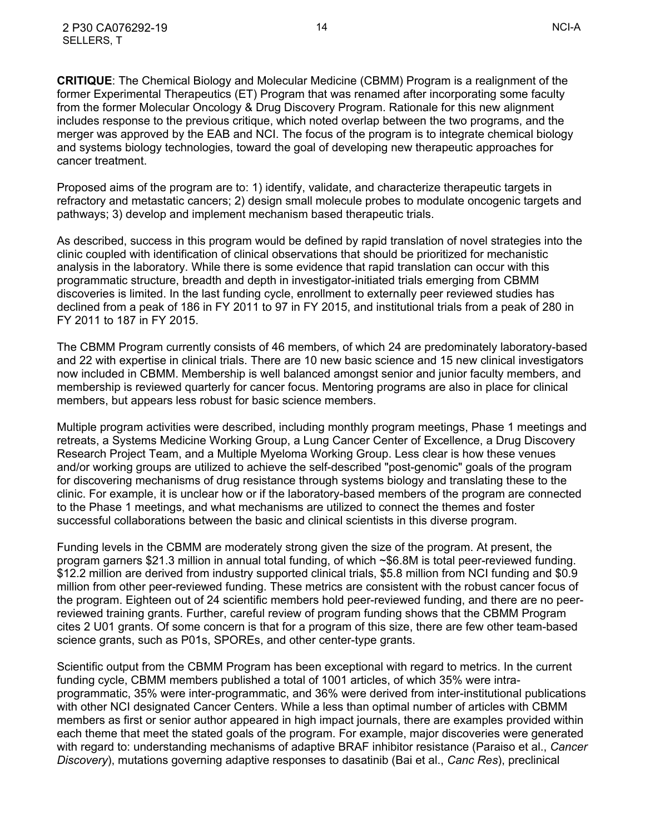**CRITIQUE**: The Chemical Biology and Molecular Medicine (CBMM) Program is a realignment of the former Experimental Therapeutics (ET) Program that was renamed after incorporating some faculty from the former Molecular Oncology & Drug Discovery Program. Rationale for this new alignment includes response to the previous critique, which noted overlap between the two programs, and the merger was approved by the EAB and NCI. The focus of the program is to integrate chemical biology and systems biology technologies, toward the goal of developing new therapeutic approaches for cancer treatment.

Proposed aims of the program are to: 1) identify, validate, and characterize therapeutic targets in refractory and metastatic cancers; 2) design small molecule probes to modulate oncogenic targets and pathways; 3) develop and implement mechanism based therapeutic trials.

As described, success in this program would be defined by rapid translation of novel strategies into the clinic coupled with identification of clinical observations that should be prioritized for mechanistic analysis in the laboratory. While there is some evidence that rapid translation can occur with this programmatic structure, breadth and depth in investigator-initiated trials emerging from CBMM discoveries is limited. In the last funding cycle, enrollment to externally peer reviewed studies has declined from a peak of 186 in FY 2011 to 97 in FY 2015, and institutional trials from a peak of 280 in FY 2011 to 187 in FY 2015.

The CBMM Program currently consists of 46 members, of which 24 are predominately laboratory-based and 22 with expertise in clinical trials. There are 10 new basic science and 15 new clinical investigators now included in CBMM. Membership is well balanced amongst senior and junior faculty members, and membership is reviewed quarterly for cancer focus. Mentoring programs are also in place for clinical members, but appears less robust for basic science members.

Multiple program activities were described, including monthly program meetings, Phase 1 meetings and retreats, a Systems Medicine Working Group, a Lung Cancer Center of Excellence, a Drug Discovery Research Project Team, and a Multiple Myeloma Working Group. Less clear is how these venues and/or working groups are utilized to achieve the self-described "post-genomic" goals of the program for discovering mechanisms of drug resistance through systems biology and translating these to the clinic. For example, it is unclear how or if the laboratory-based members of the program are connected to the Phase 1 meetings, and what mechanisms are utilized to connect the themes and foster successful collaborations between the basic and clinical scientists in this diverse program.

Funding levels in the CBMM are moderately strong given the size of the program. At present, the program garners \$21.3 million in annual total funding, of which ~\$6.8M is total peer-reviewed funding. \$12.2 million are derived from industry supported clinical trials, \$5.8 million from NCI funding and \$0.9 million from other peer-reviewed funding. These metrics are consistent with the robust cancer focus of the program. Eighteen out of 24 scientific members hold peer-reviewed funding, and there are no peerreviewed training grants. Further, careful review of program funding shows that the CBMM Program cites 2 U01 grants. Of some concern is that for a program of this size, there are few other team-based science grants, such as P01s, SPOREs, and other center-type grants.

Scientific output from the CBMM Program has been exceptional with regard to metrics. In the current funding cycle, CBMM members published a total of 1001 articles, of which 35% were intraprogrammatic, 35% were inter-programmatic, and 36% were derived from inter-institutional publications with other NCI designated Cancer Centers. While a less than optimal number of articles with CBMM members as first or senior author appeared in high impact journals, there are examples provided within each theme that meet the stated goals of the program. For example, major discoveries were generated with regard to: understanding mechanisms of adaptive BRAF inhibitor resistance (Paraiso et al., *Cancer Discovery*), mutations governing adaptive responses to dasatinib (Bai et al., *Canc Res*), preclinical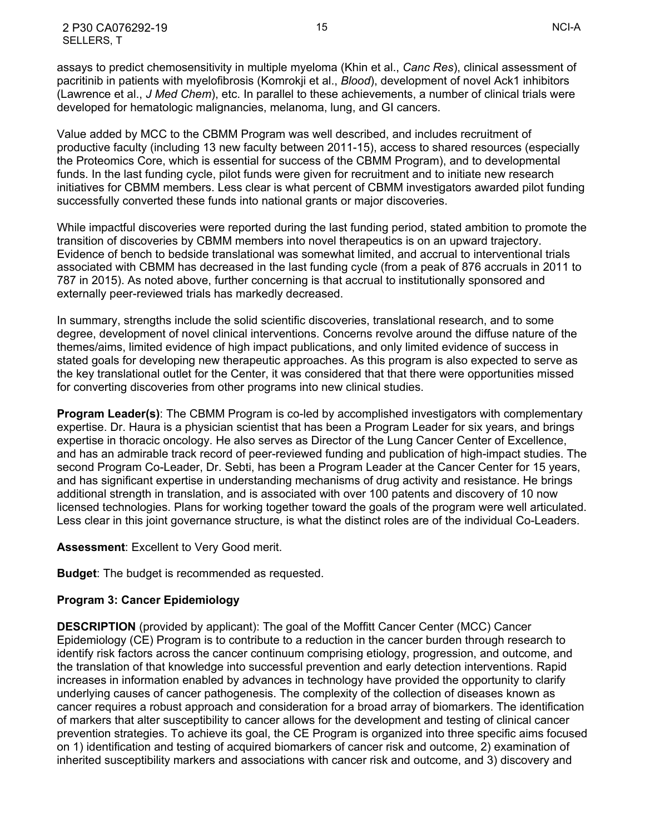2 P30 CA076292-19 15 NCI-A SELLERS, T

Value added by MCC to the CBMM Program was well described, and includes recruitment of productive faculty (including 13 new faculty between 2011-15), access to shared resources (especially the Proteomics Core, which is essential for success of the CBMM Program), and to developmental funds. In the last funding cycle, pilot funds were given for recruitment and to initiate new research initiatives for CBMM members. Less clear is what percent of CBMM investigators awarded pilot funding successfully converted these funds into national grants or major discoveries.

While impactful discoveries were reported during the last funding period, stated ambition to promote the transition of discoveries by CBMM members into novel therapeutics is on an upward trajectory. Evidence of bench to bedside translational was somewhat limited, and accrual to interventional trials associated with CBMM has decreased in the last funding cycle (from a peak of 876 accruals in 2011 to 787 in 2015). As noted above, further concerning is that accrual to institutionally sponsored and externally peer-reviewed trials has markedly decreased.

In summary, strengths include the solid scientific discoveries, translational research, and to some degree, development of novel clinical interventions. Concerns revolve around the diffuse nature of the themes/aims, limited evidence of high impact publications, and only limited evidence of success in stated goals for developing new therapeutic approaches. As this program is also expected to serve as the key translational outlet for the Center, it was considered that that there were opportunities missed for converting discoveries from other programs into new clinical studies.

**Program Leader(s)**: The CBMM Program is co-led by accomplished investigators with complementary expertise. Dr. Haura is a physician scientist that has been a Program Leader for six years, and brings expertise in thoracic oncology. He also serves as Director of the Lung Cancer Center of Excellence, and has an admirable track record of peer-reviewed funding and publication of high-impact studies. The second Program Co-Leader, Dr. Sebti, has been a Program Leader at the Cancer Center for 15 years, and has significant expertise in understanding mechanisms of drug activity and resistance. He brings additional strength in translation, and is associated with over 100 patents and discovery of 10 now licensed technologies. Plans for working together toward the goals of the program were well articulated. Less clear in this joint governance structure, is what the distinct roles are of the individual Co-Leaders.

**Assessment**: Excellent to Very Good merit.

**Budget**: The budget is recommended as requested.

#### <span id="page-14-0"></span>**Program 3: Cancer Epidemiology**

**DESCRIPTION** (provided by applicant): The goal of the Moffitt Cancer Center (MCC) Cancer Epidemiology (CE) Program is to contribute to a reduction in the cancer burden through research to identify risk factors across the cancer continuum comprising etiology, progression, and outcome, and the translation of that knowledge into successful prevention and early detection interventions. Rapid increases in information enabled by advances in technology have provided the opportunity to clarify underlying causes of cancer pathogenesis. The complexity of the collection of diseases known as cancer requires a robust approach and consideration for a broad array of biomarkers. The identification of markers that alter susceptibility to cancer allows for the development and testing of clinical cancer prevention strategies. To achieve its goal, the CE Program is organized into three specific aims focused on 1) identification and testing of acquired biomarkers of cancer risk and outcome, 2) examination of inherited susceptibility markers and associations with cancer risk and outcome, and 3) discovery and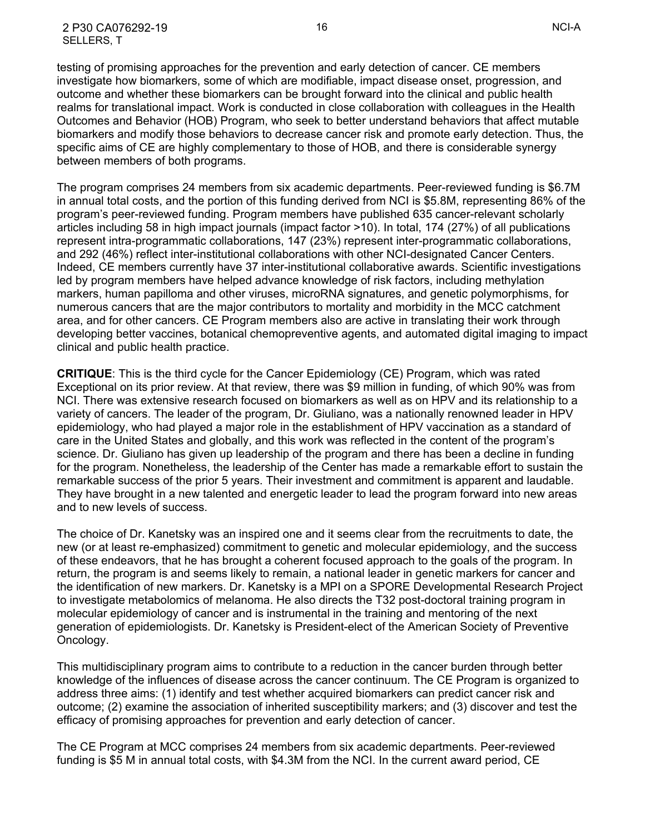testing of promising approaches for the prevention and early detection of cancer. CE members investigate how biomarkers, some of which are modifiable, impact disease onset, progression, and outcome and whether these biomarkers can be brought forward into the clinical and public health realms for translational impact. Work is conducted in close collaboration with colleagues in the Health Outcomes and Behavior (HOB) Program, who seek to better understand behaviors that affect mutable biomarkers and modify those behaviors to decrease cancer risk and promote early detection. Thus, the specific aims of CE are highly complementary to those of HOB, and there is considerable synergy between members of both programs.

The program comprises 24 members from six academic departments. Peer-reviewed funding is \$6.7M in annual total costs, and the portion of this funding derived from NCI is \$5.8M, representing 86% of the program's peer-reviewed funding. Program members have published 635 cancer-relevant scholarly articles including 58 in high impact journals (impact factor >10). In total, 174 (27%) of all publications represent intra-programmatic collaborations, 147 (23%) represent inter-programmatic collaborations, and 292 (46%) reflect inter-institutional collaborations with other NCI-designated Cancer Centers. Indeed, CE members currently have 37 inter-institutional collaborative awards. Scientific investigations led by program members have helped advance knowledge of risk factors, including methylation markers, human papilloma and other viruses, microRNA signatures, and genetic polymorphisms, for numerous cancers that are the major contributors to mortality and morbidity in the MCC catchment area, and for other cancers. CE Program members also are active in translating their work through developing better vaccines, botanical chemopreventive agents, and automated digital imaging to impact clinical and public health practice.

**CRITIQUE**: This is the third cycle for the Cancer Epidemiology (CE) Program, which was rated Exceptional on its prior review. At that review, there was \$9 million in funding, of which 90% was from NCI. There was extensive research focused on biomarkers as well as on HPV and its relationship to a variety of cancers. The leader of the program, Dr. Giuliano, was a nationally renowned leader in HPV epidemiology, who had played a major role in the establishment of HPV vaccination as a standard of care in the United States and globally, and this work was reflected in the content of the program's science. Dr. Giuliano has given up leadership of the program and there has been a decline in funding for the program. Nonetheless, the leadership of the Center has made a remarkable effort to sustain the remarkable success of the prior 5 years. Their investment and commitment is apparent and laudable. They have brought in a new talented and energetic leader to lead the program forward into new areas and to new levels of success.

The choice of Dr. Kanetsky was an inspired one and it seems clear from the recruitments to date, the new (or at least re-emphasized) commitment to genetic and molecular epidemiology, and the success of these endeavors, that he has brought a coherent focused approach to the goals of the program. In return, the program is and seems likely to remain, a national leader in genetic markers for cancer and the identification of new markers. Dr. Kanetsky is a MPI on a SPORE Developmental Research Project to investigate metabolomics of melanoma. He also directs the T32 post-doctoral training program in molecular epidemiology of cancer and is instrumental in the training and mentoring of the next generation of epidemiologists. Dr. Kanetsky is President-elect of the American Society of Preventive Oncology.

This multidisciplinary program aims to contribute to a reduction in the cancer burden through better knowledge of the influences of disease across the cancer continuum. The CE Program is organized to address three aims: (1) identify and test whether acquired biomarkers can predict cancer risk and outcome; (2) examine the association of inherited susceptibility markers; and (3) discover and test the efficacy of promising approaches for prevention and early detection of cancer.

The CE Program at MCC comprises 24 members from six academic departments. Peer-reviewed funding is \$5 M in annual total costs, with \$4.3M from the NCI. In the current award period, CE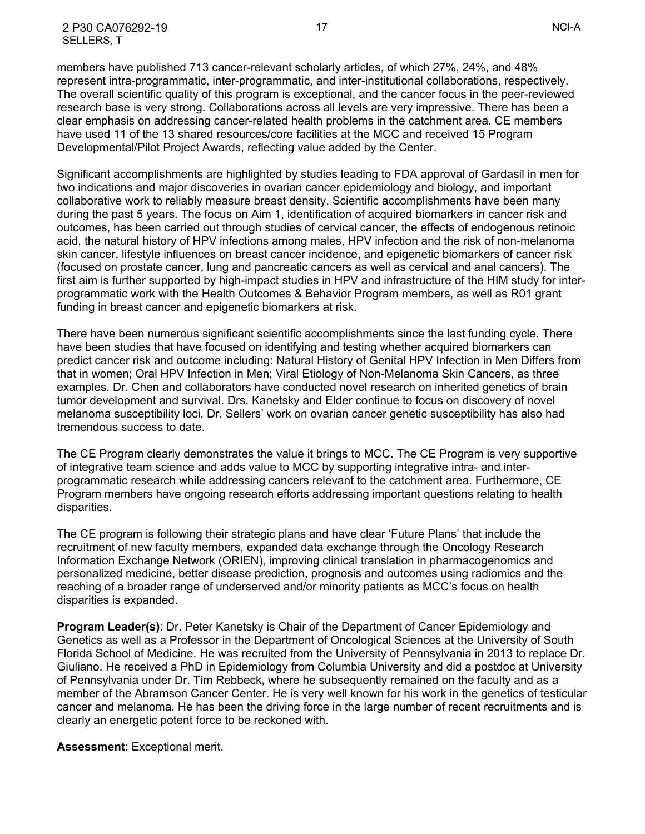2 P30 CA076292-19 17 NCI-A SELLERS, T

members have published 713 cancer-relevant scholarly articles, of which 27%, 24%, and 48% represent intra-programmatic, inter-programmatic, and inter-institutional collaborations, respectively. The overall scientific quality of this program is exceptional, and the cancer focus in the peer-reviewed research base is very strong. Collaborations across all levels are very impressive. There has been a clear emphasis on addressing cancer-related health problems in the catchment area. CE members have used 11 of the 13 shared resources/core facilities at the MCC and received 15 Program Developmental/Pilot Project Awards, reflecting value added by the Center.

Significant accomplishments are highlighted by studies leading to FDA approval of Gardasil in men for two indications and major discoveries in ovarian cancer epidemiology and biology, and important collaborative work to reliably measure breast density. Scientific accomplishments have been many during the past 5 years. The focus on Aim 1, identification of acquired biomarkers in cancer risk and outcomes, has been carried out through studies of cervical cancer, the effects of endogenous retinoic acid, the natural history of HPV infections among males, HPV infection and the risk of non-melanoma skin cancer, lifestyle influences on breast cancer incidence, and epigenetic biomarkers of cancer risk (focused on prostate cancer, lung and pancreatic cancers as well as cervical and anal cancers). The first aim is further supported by high-impact studies in HPV and infrastructure of the HIM study for interprogrammatic work with the Health Outcomes & Behavior Program members, as well as R01 grant funding in breast cancer and epigenetic biomarkers at risk.

There have been numerous significant scientific accomplishments since the last funding cycle. There have been studies that have focused on identifying and testing whether acquired biomarkers can predict cancer risk and outcome including: Natural History of Genital HPV Infection in Men Differs from that in women; Oral HPV Infection in Men; Viral Etiology of Non-Melanoma Skin Cancers, as three examples. Dr. Chen and collaborators have conducted novel research on inherited genetics of brain tumor development and survival. Drs. Kanetsky and Elder continue to focus on discovery of novel melanoma susceptibility loci. Dr. Sellers' work on ovarian cancer genetic susceptibility has also had tremendous success to date.

The CE Program clearly demonstrates the value it brings to MCC. The CE Program is very supportive of integrative team science and adds value to MCC by supporting integrative intra- and interprogrammatic research while addressing cancers relevant to the catchment area. Furthermore, CE Program members have ongoing research efforts addressing important questions relating to health disparities.

The CE program is following their strategic plans and have clear 'Future Plans' that include the recruitment of new faculty members, expanded data exchange through the Oncology Research Information Exchange Network (ORIEN), improving clinical translation in pharmacogenomics and personalized medicine, better disease prediction, prognosis and outcomes using radiomics and the reaching of a broader range of underserved and/or minority patients as MCC's focus on health disparities is expanded.

**Program Leader(s)**: Dr. Peter Kanetsky is Chair of the Department of Cancer Epidemiology and Genetics as well as a Professor in the Department of Oncological Sciences at the University of South Florida School of Medicine. He was recruited from the University of Pennsylvania in 2013 to replace Dr. Giuliano. He received a PhD in Epidemiology from Columbia University and did a postdoc at University of Pennsylvania under Dr. Tim Rebbeck, where he subsequently remained on the faculty and as a member of the Abramson Cancer Center. He is very well known for his work in the genetics of testicular cancer and melanoma. He has been the driving force in the large number of recent recruitments and is clearly an energetic potent force to be reckoned with.

**Assessment**: Exceptional merit.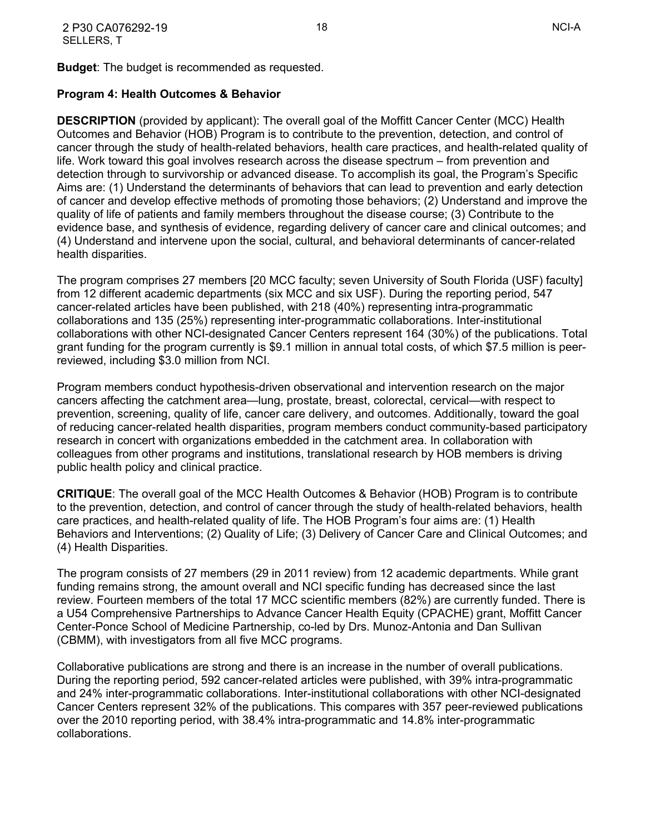# <span id="page-17-0"></span>**Program 4: Health Outcomes & Behavior**

**DESCRIPTION** (provided by applicant): The overall goal of the Moffitt Cancer Center (MCC) Health Outcomes and Behavior (HOB) Program is to contribute to the prevention, detection, and control of cancer through the study of health-related behaviors, health care practices, and health-related quality of life. Work toward this goal involves research across the disease spectrum – from prevention and detection through to survivorship or advanced disease. To accomplish its goal, the Program's Specific Aims are: (1) Understand the determinants of behaviors that can lead to prevention and early detection of cancer and develop effective methods of promoting those behaviors; (2) Understand and improve the quality of life of patients and family members throughout the disease course; (3) Contribute to the evidence base, and synthesis of evidence, regarding delivery of cancer care and clinical outcomes; and (4) Understand and intervene upon the social, cultural, and behavioral determinants of cancer-related health disparities.

The program comprises 27 members [20 MCC faculty; seven University of South Florida (USF) faculty] from 12 different academic departments (six MCC and six USF). During the reporting period, 547 cancer-related articles have been published, with 218 (40%) representing intra-programmatic collaborations and 135 (25%) representing inter-programmatic collaborations. Inter-institutional collaborations with other NCI-designated Cancer Centers represent 164 (30%) of the publications. Total grant funding for the program currently is \$9.1 million in annual total costs, of which \$7.5 million is peerreviewed, including \$3.0 million from NCI.

Program members conduct hypothesis-driven observational and intervention research on the major cancers affecting the catchment area—lung, prostate, breast, colorectal, cervical—with respect to prevention, screening, quality of life, cancer care delivery, and outcomes. Additionally, toward the goal of reducing cancer-related health disparities, program members conduct community-based participatory research in concert with organizations embedded in the catchment area. In collaboration with colleagues from other programs and institutions, translational research by HOB members is driving public health policy and clinical practice.

**CRITIQUE**: The overall goal of the MCC Health Outcomes & Behavior (HOB) Program is to contribute to the prevention, detection, and control of cancer through the study of health-related behaviors, health care practices, and health-related quality of life. The HOB Program's four aims are: (1) Health Behaviors and Interventions; (2) Quality of Life; (3) Delivery of Cancer Care and Clinical Outcomes; and (4) Health Disparities.

The program consists of 27 members (29 in 2011 review) from 12 academic departments. While grant funding remains strong, the amount overall and NCI specific funding has decreased since the last review. Fourteen members of the total 17 MCC scientific members (82%) are currently funded. There is a U54 Comprehensive Partnerships to Advance Cancer Health Equity (CPACHE) grant, Moffitt Cancer Center-Ponce School of Medicine Partnership, co-led by Drs. Munoz-Antonia and Dan Sullivan (CBMM), with investigators from all five MCC programs.

Collaborative publications are strong and there is an increase in the number of overall publications. During the reporting period, 592 cancer-related articles were published, with 39% intra-programmatic and 24% inter-programmatic collaborations. Inter-institutional collaborations with other NCI-designated Cancer Centers represent 32% of the publications. This compares with 357 peer-reviewed publications over the 2010 reporting period, with 38.4% intra-programmatic and 14.8% inter-programmatic collaborations.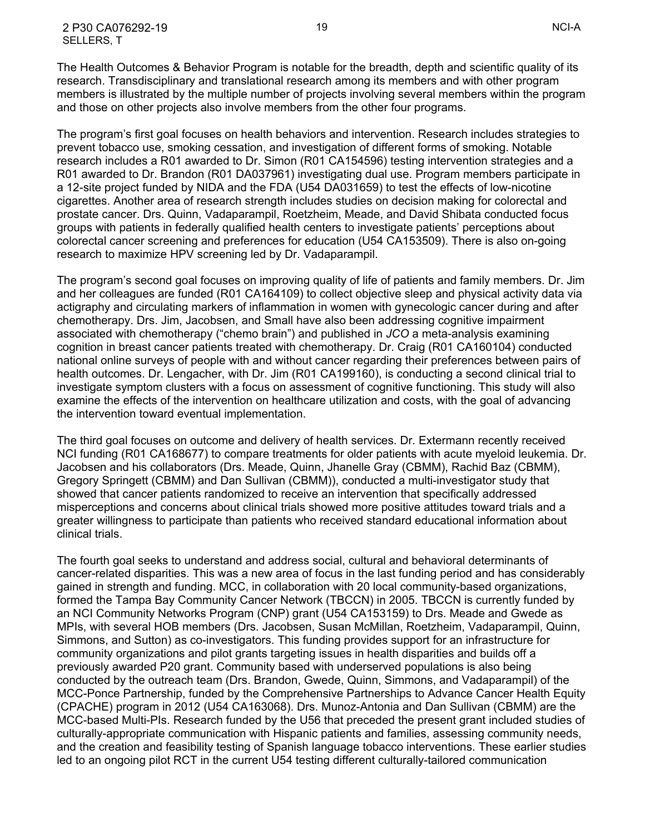2 P30 CA076292-19 19 NCI-A SELLERS, T

The program's first goal focuses on health behaviors and intervention. Research includes strategies to prevent tobacco use, smoking cessation, and investigation of different forms of smoking. Notable research includes a R01 awarded to Dr. Simon (R01 CA154596) testing intervention strategies and a R01 awarded to Dr. Brandon (R01 DA037961) investigating dual use. Program members participate in a 12-site project funded by NIDA and the FDA (U54 DA031659) to test the effects of low-nicotine cigarettes. Another area of research strength includes studies on decision making for colorectal and prostate cancer. Drs. Quinn, Vadaparampil, Roetzheim, Meade, and David Shibata conducted focus groups with patients in federally qualified health centers to investigate patients' perceptions about colorectal cancer screening and preferences for education (U54 CA153509). There is also on-going research to maximize HPV screening led by Dr. Vadaparampil.

The program's second goal focuses on improving quality of life of patients and family members. Dr. Jim and her colleagues are funded (R01 CA164109) to collect objective sleep and physical activity data via actigraphy and circulating markers of inflammation in women with gynecologic cancer during and after chemotherapy. Drs. Jim, Jacobsen, and Small have also been addressing cognitive impairment associated with chemotherapy ("chemo brain") and published in *JCO* a meta-analysis examining cognition in breast cancer patients treated with chemotherapy. Dr. Craig (R01 CA160104) conducted national online surveys of people with and without cancer regarding their preferences between pairs of health outcomes. Dr. Lengacher, with Dr. Jim (R01 CA199160), is conducting a second clinical trial to investigate symptom clusters with a focus on assessment of cognitive functioning. This study will also examine the effects of the intervention on healthcare utilization and costs, with the goal of advancing the intervention toward eventual implementation.

The third goal focuses on outcome and delivery of health services. Dr. Extermann recently received NCI funding (R01 CA168677) to compare treatments for older patients with acute myeloid leukemia. Dr. Jacobsen and his collaborators (Drs. Meade, Quinn, Jhanelle Gray (CBMM), Rachid Baz (CBMM), Gregory Springett (CBMM) and Dan Sullivan (CBMM)), conducted a multi-investigator study that showed that cancer patients randomized to receive an intervention that specifically addressed misperceptions and concerns about clinical trials showed more positive attitudes toward trials and a greater willingness to participate than patients who received standard educational information about clinical trials.

The fourth goal seeks to understand and address social, cultural and behavioral determinants of cancer-related disparities. This was a new area of focus in the last funding period and has considerably gained in strength and funding. MCC, in collaboration with 20 local community-based organizations, formed the Tampa Bay Community Cancer Network (TBCCN) in 2005. TBCCN is currently funded by an NCI Community Networks Program (CNP) grant (U54 CA153159) to Drs. Meade and Gwede as MPIs, with several HOB members (Drs. Jacobsen, Susan McMillan, Roetzheim, Vadaparampil, Quinn, Simmons, and Sutton) as co-investigators. This funding provides support for an infrastructure for community organizations and pilot grants targeting issues in health disparities and builds off a previously awarded P20 grant. Community based with underserved populations is also being conducted by the outreach team (Drs. Brandon, Gwede, Quinn, Simmons, and Vadaparampil) of the MCC-Ponce Partnership, funded by the Comprehensive Partnerships to Advance Cancer Health Equity (CPACHE) program in 2012 (U54 CA163068). Drs. Munoz-Antonia and Dan Sullivan (CBMM) are the MCC-based Multi-PIs. Research funded by the U56 that preceded the present grant included studies of culturally-appropriate communication with Hispanic patients and families, assessing community needs, and the creation and feasibility testing of Spanish language tobacco interventions. These earlier studies led to an ongoing pilot RCT in the current U54 testing different culturally-tailored communication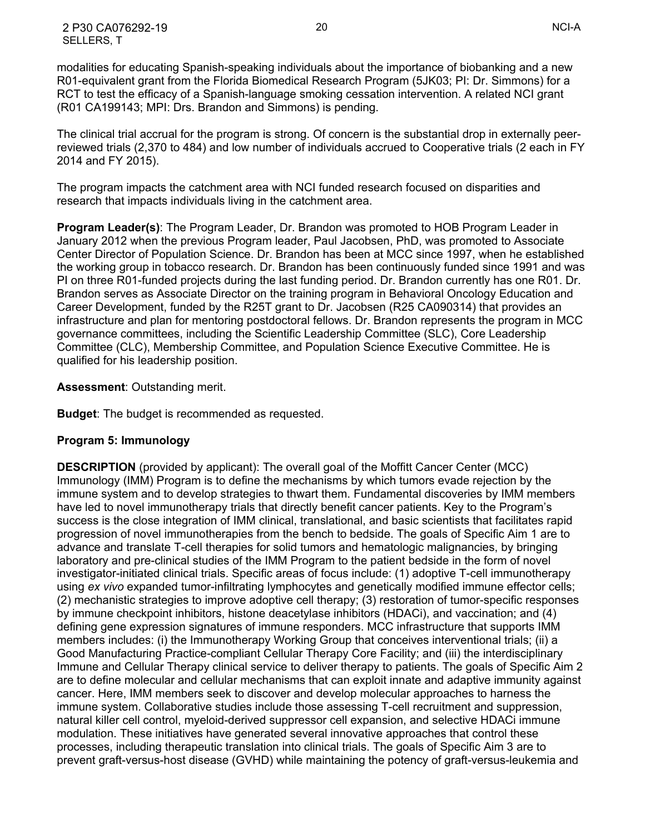2 P30 CA076292-19 20 NCI-A SELLERS, T

modalities for educating Spanish-speaking individuals about the importance of biobanking and a new R01-equivalent grant from the Florida Biomedical Research Program (5JK03; PI: Dr. Simmons) for a RCT to test the efficacy of a Spanish-language smoking cessation intervention. A related NCI grant (R01 CA199143; MPI: Drs. Brandon and Simmons) is pending.

The clinical trial accrual for the program is strong. Of concern is the substantial drop in externally peerreviewed trials (2,370 to 484) and low number of individuals accrued to Cooperative trials (2 each in FY 2014 and FY 2015).

The program impacts the catchment area with NCI funded research focused on disparities and research that impacts individuals living in the catchment area.

**Program Leader(s)**: The Program Leader, Dr. Brandon was promoted to HOB Program Leader in January 2012 when the previous Program leader, Paul Jacobsen, PhD, was promoted to Associate Center Director of Population Science. Dr. Brandon has been at MCC since 1997, when he established the working group in tobacco research. Dr. Brandon has been continuously funded since 1991 and was PI on three R01-funded projects during the last funding period. Dr. Brandon currently has one R01. Dr. Brandon serves as Associate Director on the training program in Behavioral Oncology Education and Career Development, funded by the R25T grant to Dr. Jacobsen (R25 CA090314) that provides an infrastructure and plan for mentoring postdoctoral fellows. Dr. Brandon represents the program in MCC governance committees, including the Scientific Leadership Committee (SLC), Core Leadership Committee (CLC), Membership Committee, and Population Science Executive Committee. He is qualified for his leadership position.

#### **Assessment**: Outstanding merit.

**Budget**: The budget is recommended as requested.

#### <span id="page-19-0"></span>**Program 5: Immunology**

**DESCRIPTION** (provided by applicant): The overall goal of the Moffitt Cancer Center (MCC) Immunology (IMM) Program is to define the mechanisms by which tumors evade rejection by the immune system and to develop strategies to thwart them. Fundamental discoveries by IMM members have led to novel immunotherapy trials that directly benefit cancer patients. Key to the Program's success is the close integration of IMM clinical, translational, and basic scientists that facilitates rapid progression of novel immunotherapies from the bench to bedside. The goals of Specific Aim 1 are to advance and translate T-cell therapies for solid tumors and hematologic malignancies, by bringing laboratory and pre-clinical studies of the IMM Program to the patient bedside in the form of novel investigator-initiated clinical trials. Specific areas of focus include: (1) adoptive T-cell immunotherapy using *ex vivo* expanded tumor-infiltrating lymphocytes and genetically modified immune effector cells; (2) mechanistic strategies to improve adoptive cell therapy; (3) restoration of tumor-specific responses by immune checkpoint inhibitors, histone deacetylase inhibitors (HDACi), and vaccination; and (4) defining gene expression signatures of immune responders. MCC infrastructure that supports IMM members includes: (i) the Immunotherapy Working Group that conceives interventional trials; (ii) a Good Manufacturing Practice-compliant Cellular Therapy Core Facility; and (iii) the interdisciplinary Immune and Cellular Therapy clinical service to deliver therapy to patients. The goals of Specific Aim 2 are to define molecular and cellular mechanisms that can exploit innate and adaptive immunity against cancer. Here, IMM members seek to discover and develop molecular approaches to harness the immune system. Collaborative studies include those assessing T-cell recruitment and suppression, natural killer cell control, myeloid-derived suppressor cell expansion, and selective HDACi immune modulation. These initiatives have generated several innovative approaches that control these processes, including therapeutic translation into clinical trials. The goals of Specific Aim 3 are to prevent graft-versus-host disease (GVHD) while maintaining the potency of graft-versus-leukemia and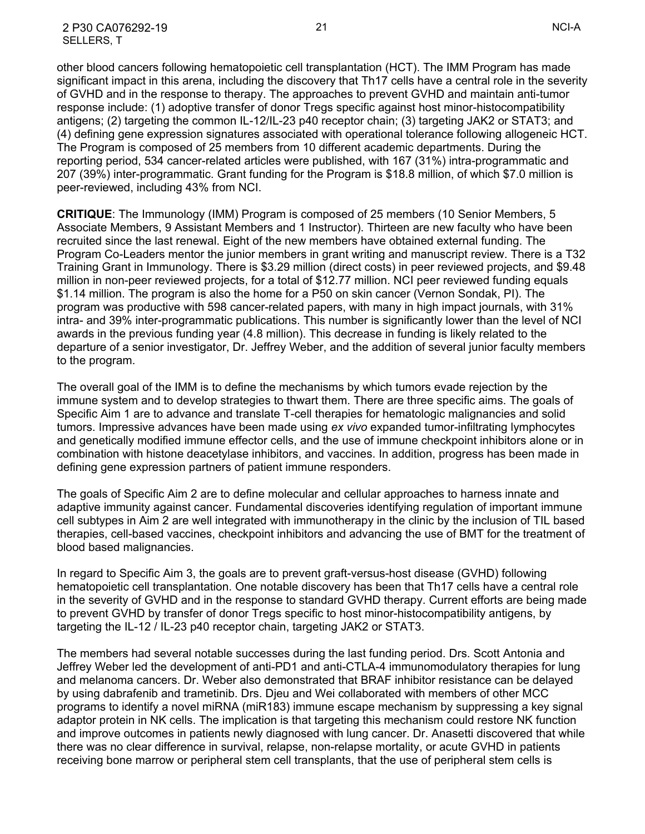other blood cancers following hematopoietic cell transplantation (HCT). The IMM Program has made significant impact in this arena, including the discovery that Th17 cells have a central role in the severity of GVHD and in the response to therapy. The approaches to prevent GVHD and maintain anti-tumor response include: (1) adoptive transfer of donor Tregs specific against host minor-histocompatibility antigens; (2) targeting the common IL-12/IL-23 p40 receptor chain; (3) targeting JAK2 or STAT3; and (4) defining gene expression signatures associated with operational tolerance following allogeneic HCT. The Program is composed of 25 members from 10 different academic departments. During the reporting period, 534 cancer-related articles were published, with 167 (31%) intra-programmatic and 207 (39%) inter-programmatic. Grant funding for the Program is \$18.8 million, of which \$7.0 million is peer-reviewed, including 43% from NCI.

**CRITIQUE**: The Immunology (IMM) Program is composed of 25 members (10 Senior Members, 5 Associate Members, 9 Assistant Members and 1 Instructor). Thirteen are new faculty who have been recruited since the last renewal. Eight of the new members have obtained external funding. The Program Co-Leaders mentor the junior members in grant writing and manuscript review. There is a T32 Training Grant in Immunology. There is \$3.29 million (direct costs) in peer reviewed projects, and \$9.48 million in non-peer reviewed projects, for a total of \$12.77 million. NCI peer reviewed funding equals \$1.14 million. The program is also the home for a P50 on skin cancer (Vernon Sondak, PI). The program was productive with 598 cancer-related papers, with many in high impact journals, with 31% intra- and 39% inter-programmatic publications. This number is significantly lower than the level of NCI awards in the previous funding year (4.8 million). This decrease in funding is likely related to the departure of a senior investigator, Dr. Jeffrey Weber, and the addition of several junior faculty members to the program.

The overall goal of the IMM is to define the mechanisms by which tumors evade rejection by the immune system and to develop strategies to thwart them. There are three specific aims. The goals of Specific Aim 1 are to advance and translate T-cell therapies for hematologic malignancies and solid tumors. Impressive advances have been made using *ex vivo* expanded tumor-infiltrating lymphocytes and genetically modified immune effector cells, and the use of immune checkpoint inhibitors alone or in combination with histone deacetylase inhibitors, and vaccines. In addition, progress has been made in defining gene expression partners of patient immune responders.

The goals of Specific Aim 2 are to define molecular and cellular approaches to harness innate and adaptive immunity against cancer. Fundamental discoveries identifying regulation of important immune cell subtypes in Aim 2 are well integrated with immunotherapy in the clinic by the inclusion of TIL based therapies, cell-based vaccines, checkpoint inhibitors and advancing the use of BMT for the treatment of blood based malignancies.

In regard to Specific Aim 3, the goals are to prevent graft-versus-host disease (GVHD) following hematopoietic cell transplantation. One notable discovery has been that Th17 cells have a central role in the severity of GVHD and in the response to standard GVHD therapy. Current efforts are being made to prevent GVHD by transfer of donor Tregs specific to host minor-histocompatibility antigens, by targeting the IL-12 / IL-23 p40 receptor chain, targeting JAK2 or STAT3.

The members had several notable successes during the last funding period. Drs. Scott Antonia and Jeffrey Weber led the development of anti-PD1 and anti-CTLA-4 immunomodulatory therapies for lung and melanoma cancers. Dr. Weber also demonstrated that BRAF inhibitor resistance can be delayed by using dabrafenib and trametinib. Drs. Djeu and Wei collaborated with members of other MCC programs to identify a novel miRNA (miR183) immune escape mechanism by suppressing a key signal adaptor protein in NK cells. The implication is that targeting this mechanism could restore NK function and improve outcomes in patients newly diagnosed with lung cancer. Dr. Anasetti discovered that while there was no clear difference in survival, relapse, non-relapse mortality, or acute GVHD in patients receiving bone marrow or peripheral stem cell transplants, that the use of peripheral stem cells is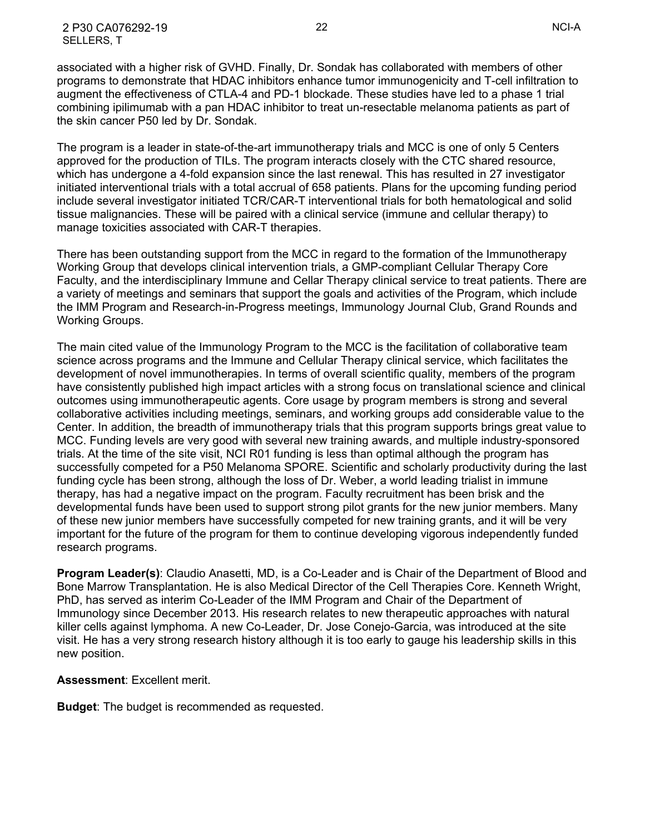2 P30 CA076292-19 22 NCI-A SELLERS, T

associated with a higher risk of GVHD. Finally, Dr. Sondak has collaborated with members of other programs to demonstrate that HDAC inhibitors enhance tumor immunogenicity and T-cell infiltration to augment the effectiveness of CTLA-4 and PD-1 blockade. These studies have led to a phase 1 trial combining ipilimumab with a pan HDAC inhibitor to treat un-resectable melanoma patients as part of the skin cancer P50 led by Dr. Sondak.

The program is a leader in state-of-the-art immunotherapy trials and MCC is one of only 5 Centers approved for the production of TILs. The program interacts closely with the CTC shared resource, which has undergone a 4-fold expansion since the last renewal. This has resulted in 27 investigator initiated interventional trials with a total accrual of 658 patients. Plans for the upcoming funding period include several investigator initiated TCR/CAR-T interventional trials for both hematological and solid tissue malignancies. These will be paired with a clinical service (immune and cellular therapy) to manage toxicities associated with CAR-T therapies.

There has been outstanding support from the MCC in regard to the formation of the Immunotherapy Working Group that develops clinical intervention trials, a GMP-compliant Cellular Therapy Core Faculty, and the interdisciplinary Immune and Cellar Therapy clinical service to treat patients. There are a variety of meetings and seminars that support the goals and activities of the Program, which include the IMM Program and Research-in-Progress meetings, Immunology Journal Club, Grand Rounds and Working Groups.

The main cited value of the Immunology Program to the MCC is the facilitation of collaborative team science across programs and the Immune and Cellular Therapy clinical service, which facilitates the development of novel immunotherapies. In terms of overall scientific quality, members of the program have consistently published high impact articles with a strong focus on translational science and clinical outcomes using immunotherapeutic agents. Core usage by program members is strong and several collaborative activities including meetings, seminars, and working groups add considerable value to the Center. In addition, the breadth of immunotherapy trials that this program supports brings great value to MCC. Funding levels are very good with several new training awards, and multiple industry-sponsored trials. At the time of the site visit, NCI R01 funding is less than optimal although the program has successfully competed for a P50 Melanoma SPORE. Scientific and scholarly productivity during the last funding cycle has been strong, although the loss of Dr. Weber, a world leading trialist in immune therapy, has had a negative impact on the program. Faculty recruitment has been brisk and the developmental funds have been used to support strong pilot grants for the new junior members. Many of these new junior members have successfully competed for new training grants, and it will be very important for the future of the program for them to continue developing vigorous independently funded research programs.

**Program Leader(s)**: Claudio Anasetti, MD, is a Co-Leader and is Chair of the Department of Blood and Bone Marrow Transplantation. He is also Medical Director of the Cell Therapies Core. Kenneth Wright, PhD, has served as interim Co-Leader of the IMM Program and Chair of the Department of Immunology since December 2013. His research relates to new therapeutic approaches with natural killer cells against lymphoma. A new Co-Leader, Dr. Jose Conejo-Garcia, was introduced at the site visit. He has a very strong research history although it is too early to gauge his leadership skills in this new position.

#### **Assessment**: Excellent merit.

**Budget**: The budget is recommended as requested.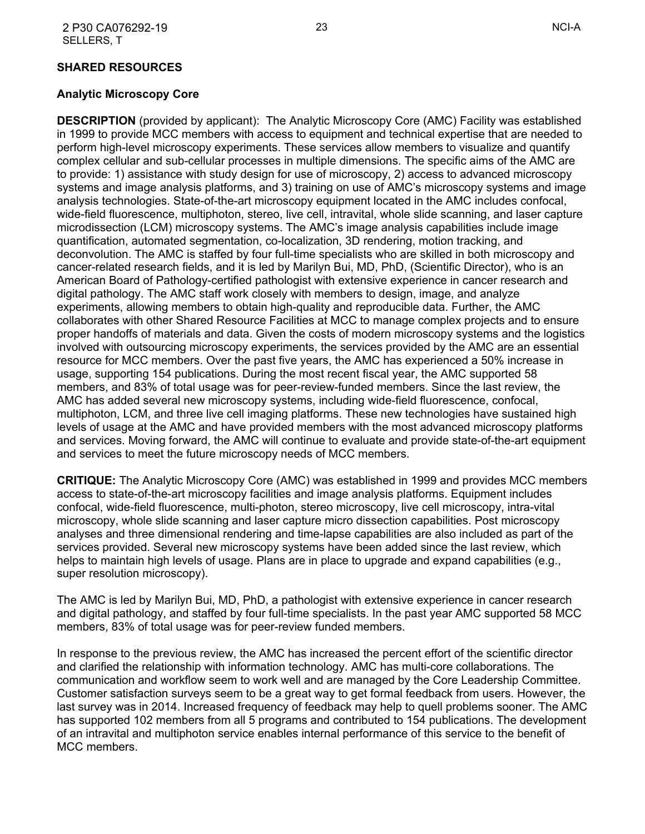#### <span id="page-22-0"></span>**SHARED RESOURCES**

#### <span id="page-22-1"></span>**Analytic Microscopy Core**

**DESCRIPTION** (provided by applicant): The Analytic Microscopy Core (AMC) Facility was established in 1999 to provide MCC members with access to equipment and technical expertise that are needed to perform high-level microscopy experiments. These services allow members to visualize and quantify complex cellular and sub-cellular processes in multiple dimensions. The specific aims of the AMC are to provide: 1) assistance with study design for use of microscopy, 2) access to advanced microscopy systems and image analysis platforms, and 3) training on use of AMC's microscopy systems and image analysis technologies. State-of-the-art microscopy equipment located in the AMC includes confocal, wide-field fluorescence, multiphoton, stereo, live cell, intravital, whole slide scanning, and laser capture microdissection (LCM) microscopy systems. The AMC's image analysis capabilities include image quantification, automated segmentation, co-localization, 3D rendering, motion tracking, and deconvolution. The AMC is staffed by four full-time specialists who are skilled in both microscopy and cancer-related research fields, and it is led by Marilyn Bui, MD, PhD, (Scientific Director), who is an American Board of Pathology-certified pathologist with extensive experience in cancer research and digital pathology. The AMC staff work closely with members to design, image, and analyze experiments, allowing members to obtain high-quality and reproducible data. Further, the AMC collaborates with other Shared Resource Facilities at MCC to manage complex projects and to ensure proper handoffs of materials and data. Given the costs of modern microscopy systems and the logistics involved with outsourcing microscopy experiments, the services provided by the AMC are an essential resource for MCC members. Over the past five years, the AMC has experienced a 50% increase in usage, supporting 154 publications. During the most recent fiscal year, the AMC supported 58 members, and 83% of total usage was for peer-review-funded members. Since the last review, the AMC has added several new microscopy systems, including wide-field fluorescence, confocal, multiphoton, LCM, and three live cell imaging platforms. These new technologies have sustained high levels of usage at the AMC and have provided members with the most advanced microscopy platforms and services. Moving forward, the AMC will continue to evaluate and provide state-of-the-art equipment and services to meet the future microscopy needs of MCC members.

**CRITIQUE:** The Analytic Microscopy Core (AMC) was established in 1999 and provides MCC members access to state-of-the-art microscopy facilities and image analysis platforms. Equipment includes confocal, wide-field fluorescence, multi-photon, stereo microscopy, live cell microscopy, intra-vital microscopy, whole slide scanning and laser capture micro dissection capabilities. Post microscopy analyses and three dimensional rendering and time-lapse capabilities are also included as part of the services provided. Several new microscopy systems have been added since the last review, which helps to maintain high levels of usage. Plans are in place to upgrade and expand capabilities (e.g., super resolution microscopy).

The AMC is led by Marilyn Bui, MD, PhD, a pathologist with extensive experience in cancer research and digital pathology, and staffed by four full-time specialists. In the past year AMC supported 58 MCC members, 83% of total usage was for peer-review funded members.

In response to the previous review, the AMC has increased the percent effort of the scientific director and clarified the relationship with information technology. AMC has multi-core collaborations. The communication and workflow seem to work well and are managed by the Core Leadership Committee. Customer satisfaction surveys seem to be a great way to get formal feedback from users. However, the last survey was in 2014. Increased frequency of feedback may help to quell problems sooner. The AMC has supported 102 members from all 5 programs and contributed to 154 publications. The development of an intravital and multiphoton service enables internal performance of this service to the benefit of MCC members.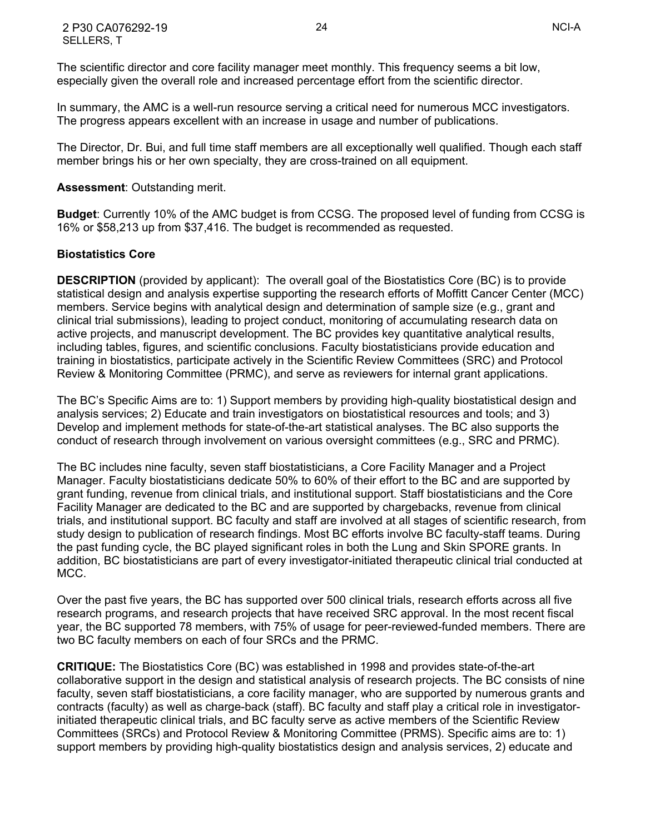In summary, the AMC is a well-run resource serving a critical need for numerous MCC investigators. The progress appears excellent with an increase in usage and number of publications.

The Director, Dr. Bui, and full time staff members are all exceptionally well qualified. Though each staff member brings his or her own specialty, they are cross-trained on all equipment.

#### **Assessment**: Outstanding merit.

**Budget**: Currently 10% of the AMC budget is from CCSG. The proposed level of funding from CCSG is 16% or \$58,213 up from \$37,416. The budget is recommended as requested.

# <span id="page-23-0"></span>**Biostatistics Core**

**DESCRIPTION** (provided by applicant): The overall goal of the Biostatistics Core (BC) is to provide statistical design and analysis expertise supporting the research efforts of Moffitt Cancer Center (MCC) members. Service begins with analytical design and determination of sample size (e.g., grant and clinical trial submissions), leading to project conduct, monitoring of accumulating research data on active projects, and manuscript development. The BC provides key quantitative analytical results, including tables, figures, and scientific conclusions. Faculty biostatisticians provide education and training in biostatistics, participate actively in the Scientific Review Committees (SRC) and Protocol Review & Monitoring Committee (PRMC), and serve as reviewers for internal grant applications.

The BC's Specific Aims are to: 1) Support members by providing high-quality biostatistical design and analysis services; 2) Educate and train investigators on biostatistical resources and tools; and 3) Develop and implement methods for state-of-the-art statistical analyses. The BC also supports the conduct of research through involvement on various oversight committees (e.g., SRC and PRMC).

The BC includes nine faculty, seven staff biostatisticians, a Core Facility Manager and a Project Manager. Faculty biostatisticians dedicate 50% to 60% of their effort to the BC and are supported by grant funding, revenue from clinical trials, and institutional support. Staff biostatisticians and the Core Facility Manager are dedicated to the BC and are supported by chargebacks, revenue from clinical trials, and institutional support. BC faculty and staff are involved at all stages of scientific research, from study design to publication of research findings. Most BC efforts involve BC faculty-staff teams. During the past funding cycle, the BC played significant roles in both the Lung and Skin SPORE grants. In addition, BC biostatisticians are part of every investigator-initiated therapeutic clinical trial conducted at MCC.

Over the past five years, the BC has supported over 500 clinical trials, research efforts across all five research programs, and research projects that have received SRC approval. In the most recent fiscal year, the BC supported 78 members, with 75% of usage for peer-reviewed-funded members. There are two BC faculty members on each of four SRCs and the PRMC.

**CRITIQUE:** The Biostatistics Core (BC) was established in 1998 and provides state-of-the-art collaborative support in the design and statistical analysis of research projects. The BC consists of nine faculty, seven staff biostatisticians, a core facility manager, who are supported by numerous grants and contracts (faculty) as well as charge-back (staff). BC faculty and staff play a critical role in investigatorinitiated therapeutic clinical trials, and BC faculty serve as active members of the Scientific Review Committees (SRCs) and Protocol Review & Monitoring Committee (PRMS). Specific aims are to: 1) support members by providing high-quality biostatistics design and analysis services, 2) educate and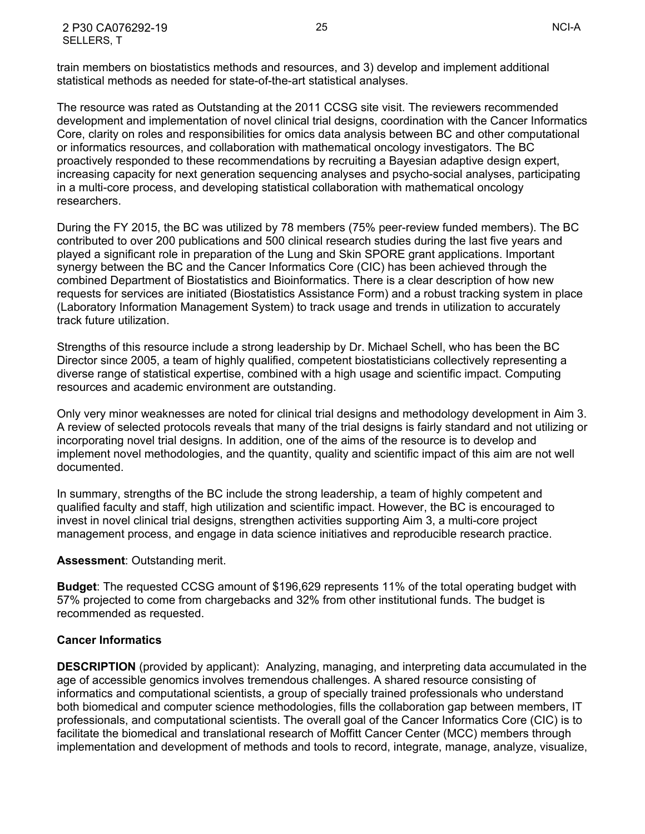train members on biostatistics methods and resources, and 3) develop and implement additional statistical methods as needed for state-of-the-art statistical analyses.

The resource was rated as Outstanding at the 2011 CCSG site visit. The reviewers recommended development and implementation of novel clinical trial designs, coordination with the Cancer Informatics Core, clarity on roles and responsibilities for omics data analysis between BC and other computational or informatics resources, and collaboration with mathematical oncology investigators. The BC proactively responded to these recommendations by recruiting a Bayesian adaptive design expert, increasing capacity for next generation sequencing analyses and psycho-social analyses, participating in a multi-core process, and developing statistical collaboration with mathematical oncology researchers.

During the FY 2015, the BC was utilized by 78 members (75% peer-review funded members). The BC contributed to over 200 publications and 500 clinical research studies during the last five years and played a significant role in preparation of the Lung and Skin SPORE grant applications. Important synergy between the BC and the Cancer Informatics Core (CIC) has been achieved through the combined Department of Biostatistics and Bioinformatics. There is a clear description of how new requests for services are initiated (Biostatistics Assistance Form) and a robust tracking system in place (Laboratory Information Management System) to track usage and trends in utilization to accurately track future utilization.

Strengths of this resource include a strong leadership by Dr. Michael Schell, who has been the BC Director since 2005, a team of highly qualified, competent biostatisticians collectively representing a diverse range of statistical expertise, combined with a high usage and scientific impact. Computing resources and academic environment are outstanding.

Only very minor weaknesses are noted for clinical trial designs and methodology development in Aim 3. A review of selected protocols reveals that many of the trial designs is fairly standard and not utilizing or incorporating novel trial designs. In addition, one of the aims of the resource is to develop and implement novel methodologies, and the quantity, quality and scientific impact of this aim are not well documented.

In summary, strengths of the BC include the strong leadership, a team of highly competent and qualified faculty and staff, high utilization and scientific impact. However, the BC is encouraged to invest in novel clinical trial designs, strengthen activities supporting Aim 3, a multi-core project management process, and engage in data science initiatives and reproducible research practice.

#### **Assessment**: Outstanding merit.

**Budget**: The requested CCSG amount of \$196,629 represents 11% of the total operating budget with 57% projected to come from chargebacks and 32% from other institutional funds. The budget is recommended as requested.

#### <span id="page-24-0"></span>**Cancer Informatics**

**DESCRIPTION** (provided by applicant): Analyzing, managing, and interpreting data accumulated in the age of accessible genomics involves tremendous challenges. A shared resource consisting of informatics and computational scientists, a group of specially trained professionals who understand both biomedical and computer science methodologies, fills the collaboration gap between members, IT professionals, and computational scientists. The overall goal of the Cancer Informatics Core (CIC) is to facilitate the biomedical and translational research of Moffitt Cancer Center (MCC) members through implementation and development of methods and tools to record, integrate, manage, analyze, visualize,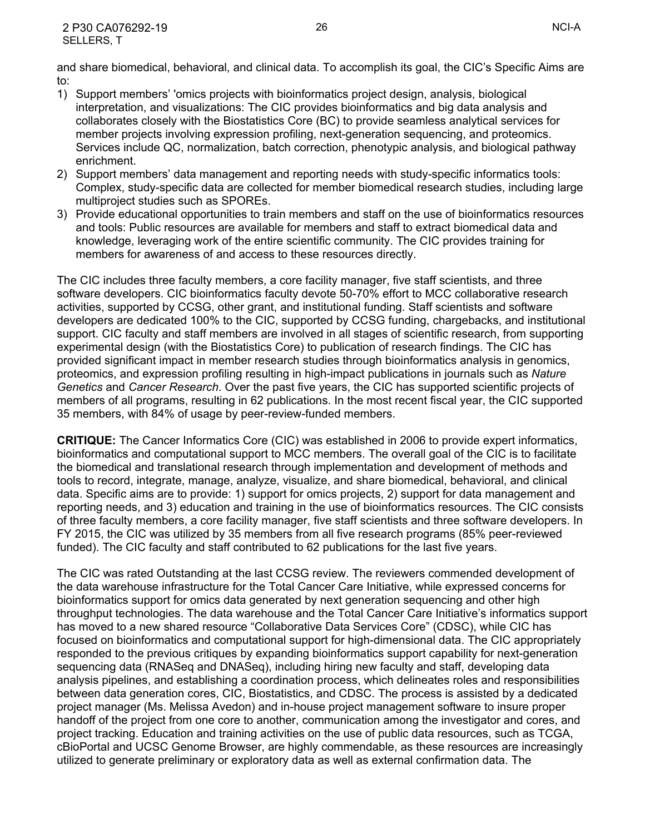- 1) Support members' 'omics projects with bioinformatics project design, analysis, biological interpretation, and visualizations: The CIC provides bioinformatics and big data analysis and collaborates closely with the Biostatistics Core (BC) to provide seamless analytical services for member projects involving expression profiling, next-generation sequencing, and proteomics. Services include QC, normalization, batch correction, phenotypic analysis, and biological pathway enrichment.
- 2) Support members' data management and reporting needs with study-specific informatics tools: Complex, study-specific data are collected for member biomedical research studies, including large multiproject studies such as SPOREs.
- 3) Provide educational opportunities to train members and staff on the use of bioinformatics resources and tools: Public resources are available for members and staff to extract biomedical data and knowledge, leveraging work of the entire scientific community. The CIC provides training for members for awareness of and access to these resources directly.

The CIC includes three faculty members, a core facility manager, five staff scientists, and three software developers. CIC bioinformatics faculty devote 50-70% effort to MCC collaborative research activities, supported by CCSG, other grant, and institutional funding. Staff scientists and software developers are dedicated 100% to the CIC, supported by CCSG funding, chargebacks, and institutional support. CIC faculty and staff members are involved in all stages of scientific research, from supporting experimental design (with the Biostatistics Core) to publication of research findings. The CIC has provided significant impact in member research studies through bioinformatics analysis in genomics, proteomics, and expression profiling resulting in high-impact publications in journals such as *Nature Genetics* and *Cancer Research*. Over the past five years, the CIC has supported scientific projects of members of all programs, resulting in 62 publications. In the most recent fiscal year, the CIC supported 35 members, with 84% of usage by peer-review-funded members.

**CRITIQUE:** The Cancer Informatics Core (CIC) was established in 2006 to provide expert informatics, bioinformatics and computational support to MCC members. The overall goal of the CIC is to facilitate the biomedical and translational research through implementation and development of methods and tools to record, integrate, manage, analyze, visualize, and share biomedical, behavioral, and clinical data. Specific aims are to provide: 1) support for omics projects, 2) support for data management and reporting needs, and 3) education and training in the use of bioinformatics resources. The CIC consists of three faculty members, a core facility manager, five staff scientists and three software developers. In FY 2015, the CIC was utilized by 35 members from all five research programs (85% peer-reviewed funded). The CIC faculty and staff contributed to 62 publications for the last five years.

The CIC was rated Outstanding at the last CCSG review. The reviewers commended development of the data warehouse infrastructure for the Total Cancer Care Initiative, while expressed concerns for bioinformatics support for omics data generated by next generation sequencing and other high throughput technologies. The data warehouse and the Total Cancer Care Initiative's informatics support has moved to a new shared resource "Collaborative Data Services Core" (CDSC), while CIC has focused on bioinformatics and computational support for high-dimensional data. The CIC appropriately responded to the previous critiques by expanding bioinformatics support capability for next-generation sequencing data (RNASeq and DNASeq), including hiring new faculty and staff, developing data analysis pipelines, and establishing a coordination process, which delineates roles and responsibilities between data generation cores, CIC, Biostatistics, and CDSC. The process is assisted by a dedicated project manager (Ms. Melissa Avedon) and in-house project management software to insure proper handoff of the project from one core to another, communication among the investigator and cores, and project tracking. Education and training activities on the use of public data resources, such as TCGA, cBioPortal and UCSC Genome Browser, are highly commendable, as these resources are increasingly utilized to generate preliminary or exploratory data as well as external confirmation data. The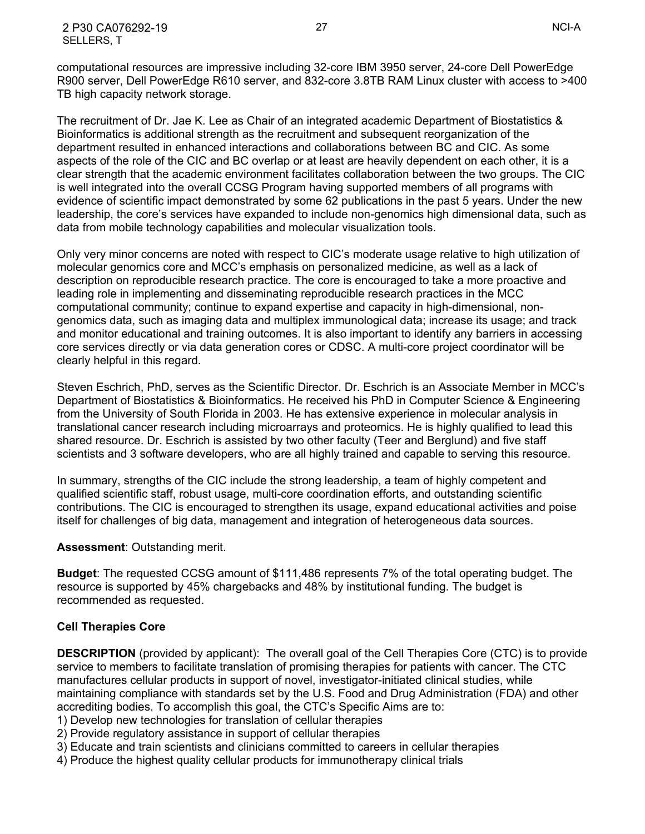computational resources are impressive including 32-core IBM 3950 server, 24-core Dell PowerEdge R900 server, Dell PowerEdge R610 server, and 832-core 3.8TB RAM Linux cluster with access to >400 TB high capacity network storage.

The recruitment of Dr. Jae K. Lee as Chair of an integrated academic Department of Biostatistics & Bioinformatics is additional strength as the recruitment and subsequent reorganization of the department resulted in enhanced interactions and collaborations between BC and CIC. As some aspects of the role of the CIC and BC overlap or at least are heavily dependent on each other, it is a clear strength that the academic environment facilitates collaboration between the two groups. The CIC is well integrated into the overall CCSG Program having supported members of all programs with evidence of scientific impact demonstrated by some 62 publications in the past 5 years. Under the new leadership, the core's services have expanded to include non-genomics high dimensional data, such as data from mobile technology capabilities and molecular visualization tools.

Only very minor concerns are noted with respect to CIC's moderate usage relative to high utilization of molecular genomics core and MCC's emphasis on personalized medicine, as well as a lack of description on reproducible research practice. The core is encouraged to take a more proactive and leading role in implementing and disseminating reproducible research practices in the MCC computational community; continue to expand expertise and capacity in high-dimensional, nongenomics data, such as imaging data and multiplex immunological data; increase its usage; and track and monitor educational and training outcomes. It is also important to identify any barriers in accessing core services directly or via data generation cores or CDSC. A multi-core project coordinator will be clearly helpful in this regard.

Steven Eschrich, PhD, serves as the Scientific Director. Dr. Eschrich is an Associate Member in MCC's Department of Biostatistics & Bioinformatics. He received his PhD in Computer Science & Engineering from the University of South Florida in 2003. He has extensive experience in molecular analysis in translational cancer research including microarrays and proteomics. He is highly qualified to lead this shared resource. Dr. Eschrich is assisted by two other faculty (Teer and Berglund) and five staff scientists and 3 software developers, who are all highly trained and capable to serving this resource.

In summary, strengths of the CIC include the strong leadership, a team of highly competent and qualified scientific staff, robust usage, multi-core coordination efforts, and outstanding scientific contributions. The CIC is encouraged to strengthen its usage, expand educational activities and poise itself for challenges of big data, management and integration of heterogeneous data sources.

#### **Assessment**: Outstanding merit.

**Budget**: The requested CCSG amount of \$111,486 represents 7% of the total operating budget. The resource is supported by 45% chargebacks and 48% by institutional funding. The budget is recommended as requested.

#### <span id="page-26-0"></span>**Cell Therapies Core**

**DESCRIPTION** (provided by applicant): The overall goal of the Cell Therapies Core (CTC) is to provide service to members to facilitate translation of promising therapies for patients with cancer. The CTC manufactures cellular products in support of novel, investigator-initiated clinical studies, while maintaining compliance with standards set by the U.S. Food and Drug Administration (FDA) and other accrediting bodies. To accomplish this goal, the CTC's Specific Aims are to:

- 1) Develop new technologies for translation of cellular therapies
- 2) Provide regulatory assistance in support of cellular therapies
- 3) Educate and train scientists and clinicians committed to careers in cellular therapies
- 4) Produce the highest quality cellular products for immunotherapy clinical trials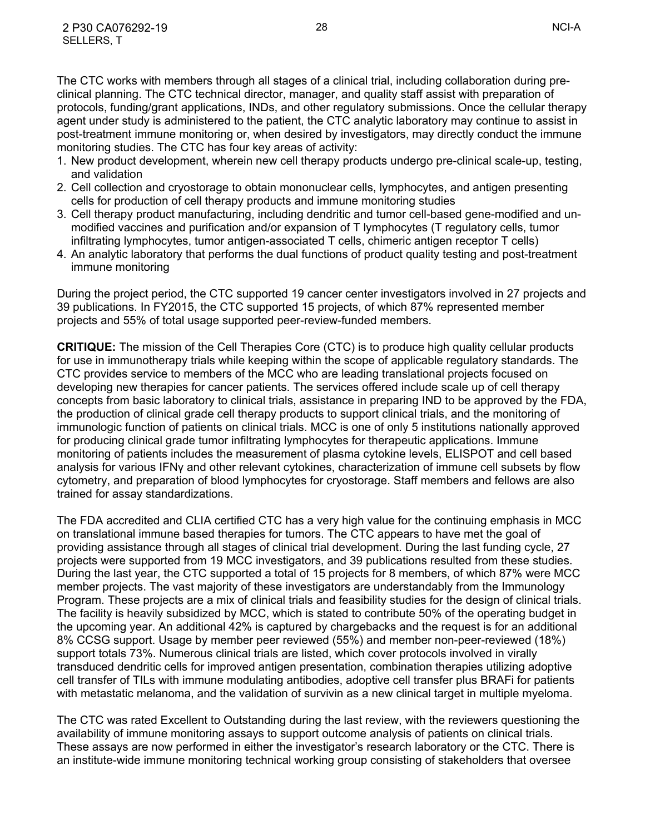The CTC works with members through all stages of a clinical trial, including collaboration during preclinical planning. The CTC technical director, manager, and quality staff assist with preparation of protocols, funding/grant applications, INDs, and other regulatory submissions. Once the cellular therapy agent under study is administered to the patient, the CTC analytic laboratory may continue to assist in post-treatment immune monitoring or, when desired by investigators, may directly conduct the immune monitoring studies. The CTC has four key areas of activity:

- 1. New product development, wherein new cell therapy products undergo pre-clinical scale-up, testing, and validation
- 2. Cell collection and cryostorage to obtain mononuclear cells, lymphocytes, and antigen presenting cells for production of cell therapy products and immune monitoring studies
- 3. Cell therapy product manufacturing, including dendritic and tumor cell-based gene-modified and unmodified vaccines and purification and/or expansion of T lymphocytes (T regulatory cells, tumor infiltrating lymphocytes, tumor antigen-associated T cells, chimeric antigen receptor T cells)
- 4. An analytic laboratory that performs the dual functions of product quality testing and post-treatment immune monitoring

During the project period, the CTC supported 19 cancer center investigators involved in 27 projects and 39 publications. In FY2015, the CTC supported 15 projects, of which 87% represented member projects and 55% of total usage supported peer-review-funded members.

**CRITIQUE:** The mission of the Cell Therapies Core (CTC) is to produce high quality cellular products for use in immunotherapy trials while keeping within the scope of applicable regulatory standards. The CTC provides service to members of the MCC who are leading translational projects focused on developing new therapies for cancer patients. The services offered include scale up of cell therapy concepts from basic laboratory to clinical trials, assistance in preparing IND to be approved by the FDA, the production of clinical grade cell therapy products to support clinical trials, and the monitoring of immunologic function of patients on clinical trials. MCC is one of only 5 institutions nationally approved for producing clinical grade tumor infiltrating lymphocytes for therapeutic applications. Immune monitoring of patients includes the measurement of plasma cytokine levels, ELISPOT and cell based analysis for various IFNγ and other relevant cytokines, characterization of immune cell subsets by flow cytometry, and preparation of blood lymphocytes for cryostorage. Staff members and fellows are also trained for assay standardizations.

The FDA accredited and CLIA certified CTC has a very high value for the continuing emphasis in MCC on translational immune based therapies for tumors. The CTC appears to have met the goal of providing assistance through all stages of clinical trial development. During the last funding cycle, 27 projects were supported from 19 MCC investigators, and 39 publications resulted from these studies. During the last year, the CTC supported a total of 15 projects for 8 members, of which 87% were MCC member projects. The vast majority of these investigators are understandably from the Immunology Program. These projects are a mix of clinical trials and feasibility studies for the design of clinical trials. The facility is heavily subsidized by MCC, which is stated to contribute 50% of the operating budget in the upcoming year. An additional 42% is captured by chargebacks and the request is for an additional 8% CCSG support. Usage by member peer reviewed (55%) and member non-peer-reviewed (18%) support totals 73%. Numerous clinical trials are listed, which cover protocols involved in virally transduced dendritic cells for improved antigen presentation, combination therapies utilizing adoptive cell transfer of TILs with immune modulating antibodies, adoptive cell transfer plus BRAFi for patients with metastatic melanoma, and the validation of survivin as a new clinical target in multiple myeloma.

The CTC was rated Excellent to Outstanding during the last review, with the reviewers questioning the availability of immune monitoring assays to support outcome analysis of patients on clinical trials. These assays are now performed in either the investigator's research laboratory or the CTC. There is an institute-wide immune monitoring technical working group consisting of stakeholders that oversee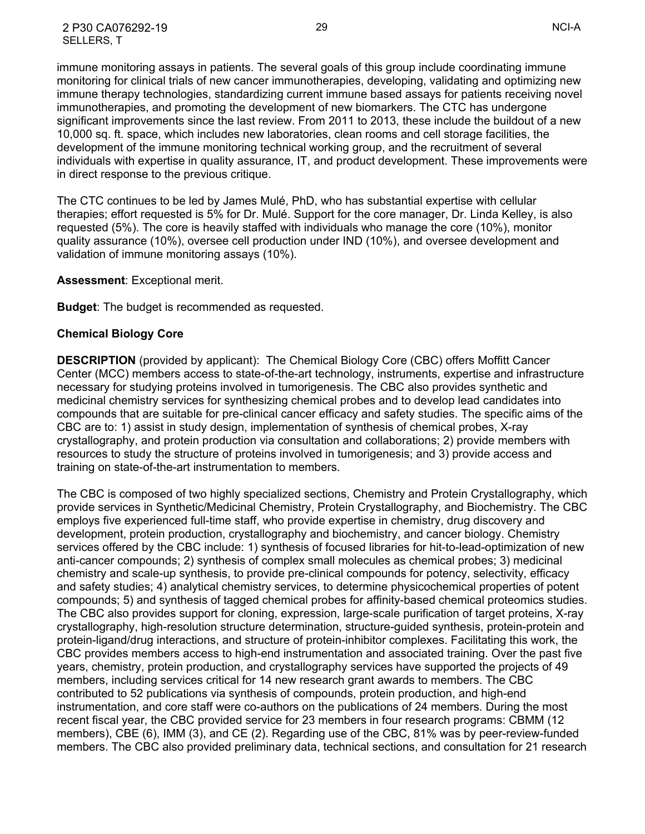immune monitoring assays in patients. The several goals of this group include coordinating immune monitoring for clinical trials of new cancer immunotherapies, developing, validating and optimizing new immune therapy technologies, standardizing current immune based assays for patients receiving novel immunotherapies, and promoting the development of new biomarkers. The CTC has undergone significant improvements since the last review. From 2011 to 2013, these include the buildout of a new 10,000 sq. ft. space, which includes new laboratories, clean rooms and cell storage facilities, the development of the immune monitoring technical working group, and the recruitment of several individuals with expertise in quality assurance, IT, and product development. These improvements were in direct response to the previous critique.

The CTC continues to be led by James Mulé, PhD, who has substantial expertise with cellular therapies; effort requested is 5% for Dr. Mulé. Support for the core manager, Dr. Linda Kelley, is also requested (5%). The core is heavily staffed with individuals who manage the core (10%), monitor quality assurance (10%), oversee cell production under IND (10%), and oversee development and validation of immune monitoring assays (10%).

**Assessment**: Exceptional merit.

**Budget**: The budget is recommended as requested.

#### <span id="page-28-0"></span>**Chemical Biology Core**

**DESCRIPTION** (provided by applicant): The Chemical Biology Core (CBC) offers Moffitt Cancer Center (MCC) members access to state-of-the-art technology, instruments, expertise and infrastructure necessary for studying proteins involved in tumorigenesis. The CBC also provides synthetic and medicinal chemistry services for synthesizing chemical probes and to develop lead candidates into compounds that are suitable for pre-clinical cancer efficacy and safety studies. The specific aims of the CBC are to: 1) assist in study design, implementation of synthesis of chemical probes, X-ray crystallography, and protein production via consultation and collaborations; 2) provide members with resources to study the structure of proteins involved in tumorigenesis; and 3) provide access and training on state-of-the-art instrumentation to members.

The CBC is composed of two highly specialized sections, Chemistry and Protein Crystallography, which provide services in Synthetic/Medicinal Chemistry, Protein Crystallography, and Biochemistry. The CBC employs five experienced full-time staff, who provide expertise in chemistry, drug discovery and development, protein production, crystallography and biochemistry, and cancer biology. Chemistry services offered by the CBC include: 1) synthesis of focused libraries for hit-to-lead-optimization of new anti-cancer compounds; 2) synthesis of complex small molecules as chemical probes; 3) medicinal chemistry and scale-up synthesis, to provide pre-clinical compounds for potency, selectivity, efficacy and safety studies; 4) analytical chemistry services, to determine physicochemical properties of potent compounds; 5) and synthesis of tagged chemical probes for affinity-based chemical proteomics studies. The CBC also provides support for cloning, expression, large-scale purification of target proteins, X-ray crystallography, high-resolution structure determination, structure-guided synthesis, protein-protein and protein-ligand/drug interactions, and structure of protein-inhibitor complexes. Facilitating this work, the CBC provides members access to high-end instrumentation and associated training. Over the past five years, chemistry, protein production, and crystallography services have supported the projects of 49 members, including services critical for 14 new research grant awards to members. The CBC contributed to 52 publications via synthesis of compounds, protein production, and high-end instrumentation, and core staff were co-authors on the publications of 24 members. During the most recent fiscal year, the CBC provided service for 23 members in four research programs: CBMM (12 members), CBE (6), IMM (3), and CE (2). Regarding use of the CBC, 81% was by peer-review-funded members. The CBC also provided preliminary data, technical sections, and consultation for 21 research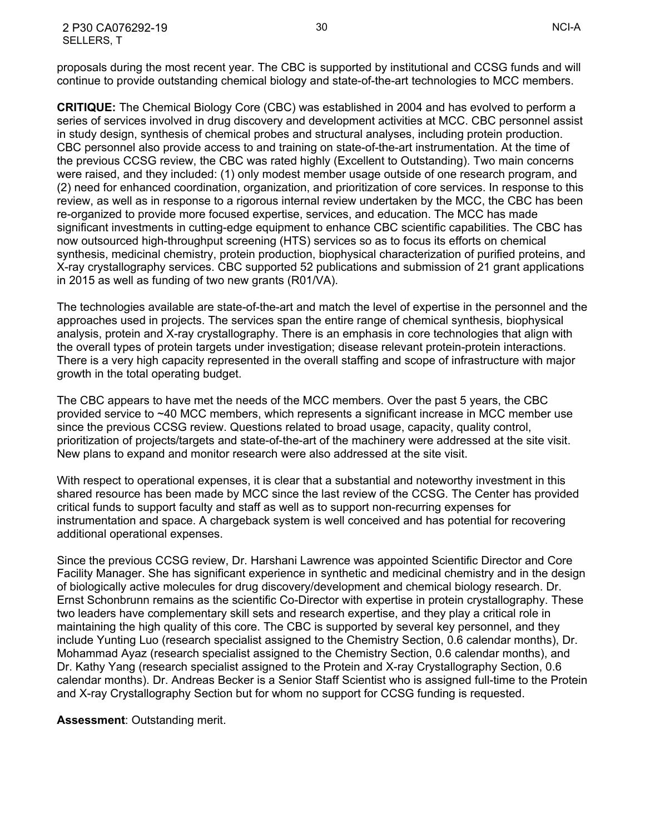proposals during the most recent year. The CBC is supported by institutional and CCSG funds and will continue to provide outstanding chemical biology and state-of-the-art technologies to MCC members.

**CRITIQUE:** The Chemical Biology Core (CBC) was established in 2004 and has evolved to perform a series of services involved in drug discovery and development activities at MCC. CBC personnel assist in study design, synthesis of chemical probes and structural analyses, including protein production. CBC personnel also provide access to and training on state-of-the-art instrumentation. At the time of the previous CCSG review, the CBC was rated highly (Excellent to Outstanding). Two main concerns were raised, and they included: (1) only modest member usage outside of one research program, and (2) need for enhanced coordination, organization, and prioritization of core services. In response to this review, as well as in response to a rigorous internal review undertaken by the MCC, the CBC has been re-organized to provide more focused expertise, services, and education. The MCC has made significant investments in cutting-edge equipment to enhance CBC scientific capabilities. The CBC has now outsourced high-throughput screening (HTS) services so as to focus its efforts on chemical synthesis, medicinal chemistry, protein production, biophysical characterization of purified proteins, and X-ray crystallography services. CBC supported 52 publications and submission of 21 grant applications in 2015 as well as funding of two new grants (R01/VA).

The technologies available are state-of-the-art and match the level of expertise in the personnel and the approaches used in projects. The services span the entire range of chemical synthesis, biophysical analysis, protein and X-ray crystallography. There is an emphasis in core technologies that align with the overall types of protein targets under investigation; disease relevant protein-protein interactions. There is a very high capacity represented in the overall staffing and scope of infrastructure with major growth in the total operating budget.

The CBC appears to have met the needs of the MCC members. Over the past 5 years, the CBC provided service to ~40 MCC members, which represents a significant increase in MCC member use since the previous CCSG review. Questions related to broad usage, capacity, quality control, prioritization of projects/targets and state-of-the-art of the machinery were addressed at the site visit. New plans to expand and monitor research were also addressed at the site visit.

With respect to operational expenses, it is clear that a substantial and noteworthy investment in this shared resource has been made by MCC since the last review of the CCSG. The Center has provided critical funds to support faculty and staff as well as to support non-recurring expenses for instrumentation and space. A chargeback system is well conceived and has potential for recovering additional operational expenses.

Since the previous CCSG review, Dr. Harshani Lawrence was appointed Scientific Director and Core Facility Manager. She has significant experience in synthetic and medicinal chemistry and in the design of biologically active molecules for drug discovery/development and chemical biology research. Dr. Ernst Schonbrunn remains as the scientific Co-Director with expertise in protein crystallography. These two leaders have complementary skill sets and research expertise, and they play a critical role in maintaining the high quality of this core. The CBC is supported by several key personnel, and they include Yunting Luo (research specialist assigned to the Chemistry Section, 0.6 calendar months), Dr. Mohammad Ayaz (research specialist assigned to the Chemistry Section, 0.6 calendar months), and Dr. Kathy Yang (research specialist assigned to the Protein and X-ray Crystallography Section, 0.6 calendar months). Dr. Andreas Becker is a Senior Staff Scientist who is assigned full-time to the Protein and X-ray Crystallography Section but for whom no support for CCSG funding is requested.

**Assessment**: Outstanding merit.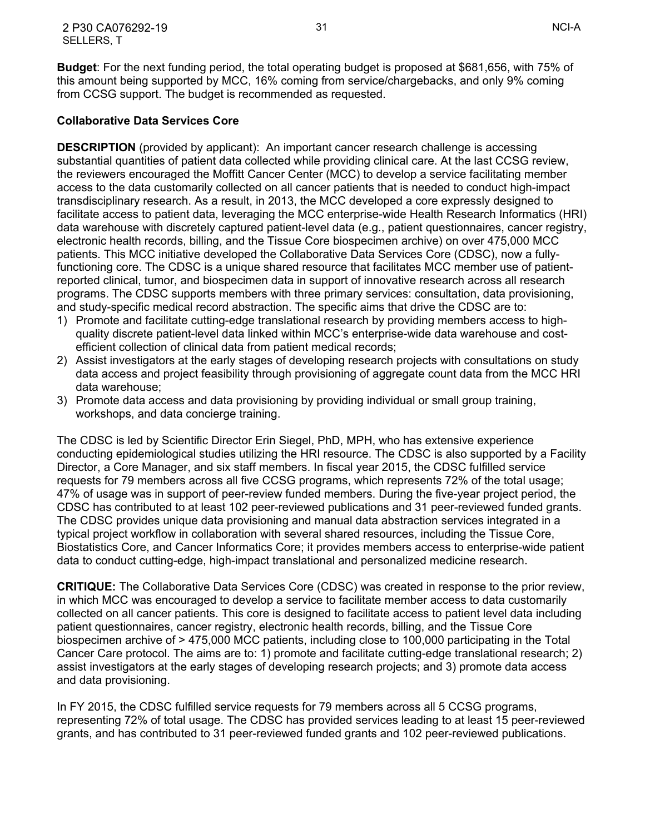**Budget**: For the next funding period, the total operating budget is proposed at \$681,656, with 75% of this amount being supported by MCC, 16% coming from service/chargebacks, and only 9% coming from CCSG support. The budget is recommended as requested.

# <span id="page-30-0"></span>**Collaborative Data Services Core**

**DESCRIPTION** (provided by applicant): An important cancer research challenge is accessing substantial quantities of patient data collected while providing clinical care. At the last CCSG review, the reviewers encouraged the Moffitt Cancer Center (MCC) to develop a service facilitating member access to the data customarily collected on all cancer patients that is needed to conduct high-impact transdisciplinary research. As a result, in 2013, the MCC developed a core expressly designed to facilitate access to patient data, leveraging the MCC enterprise-wide Health Research Informatics (HRI) data warehouse with discretely captured patient-level data (e.g., patient questionnaires, cancer registry, electronic health records, billing, and the Tissue Core biospecimen archive) on over 475,000 MCC patients. This MCC initiative developed the Collaborative Data Services Core (CDSC), now a fullyfunctioning core. The CDSC is a unique shared resource that facilitates MCC member use of patientreported clinical, tumor, and biospecimen data in support of innovative research across all research programs. The CDSC supports members with three primary services: consultation, data provisioning, and study-specific medical record abstraction. The specific aims that drive the CDSC are to:

- 1) Promote and facilitate cutting-edge translational research by providing members access to highquality discrete patient-level data linked within MCC's enterprise-wide data warehouse and costefficient collection of clinical data from patient medical records;
- 2) Assist investigators at the early stages of developing research projects with consultations on study data access and project feasibility through provisioning of aggregate count data from the MCC HRI data warehouse;
- 3) Promote data access and data provisioning by providing individual or small group training, workshops, and data concierge training.

The CDSC is led by Scientific Director Erin Siegel, PhD, MPH, who has extensive experience conducting epidemiological studies utilizing the HRI resource. The CDSC is also supported by a Facility Director, a Core Manager, and six staff members. In fiscal year 2015, the CDSC fulfilled service requests for 79 members across all five CCSG programs, which represents 72% of the total usage; 47% of usage was in support of peer-review funded members. During the five-year project period, the CDSC has contributed to at least 102 peer-reviewed publications and 31 peer-reviewed funded grants. The CDSC provides unique data provisioning and manual data abstraction services integrated in a typical project workflow in collaboration with several shared resources, including the Tissue Core, Biostatistics Core, and Cancer Informatics Core; it provides members access to enterprise-wide patient data to conduct cutting-edge, high-impact translational and personalized medicine research.

**CRITIQUE:** The Collaborative Data Services Core (CDSC) was created in response to the prior review, in which MCC was encouraged to develop a service to facilitate member access to data customarily collected on all cancer patients. This core is designed to facilitate access to patient level data including patient questionnaires, cancer registry, electronic health records, billing, and the Tissue Core biospecimen archive of > 475,000 MCC patients, including close to 100,000 participating in the Total Cancer Care protocol. The aims are to: 1) promote and facilitate cutting-edge translational research; 2) assist investigators at the early stages of developing research projects; and 3) promote data access and data provisioning.

In FY 2015, the CDSC fulfilled service requests for 79 members across all 5 CCSG programs, representing 72% of total usage. The CDSC has provided services leading to at least 15 peer-reviewed grants, and has contributed to 31 peer-reviewed funded grants and 102 peer-reviewed publications.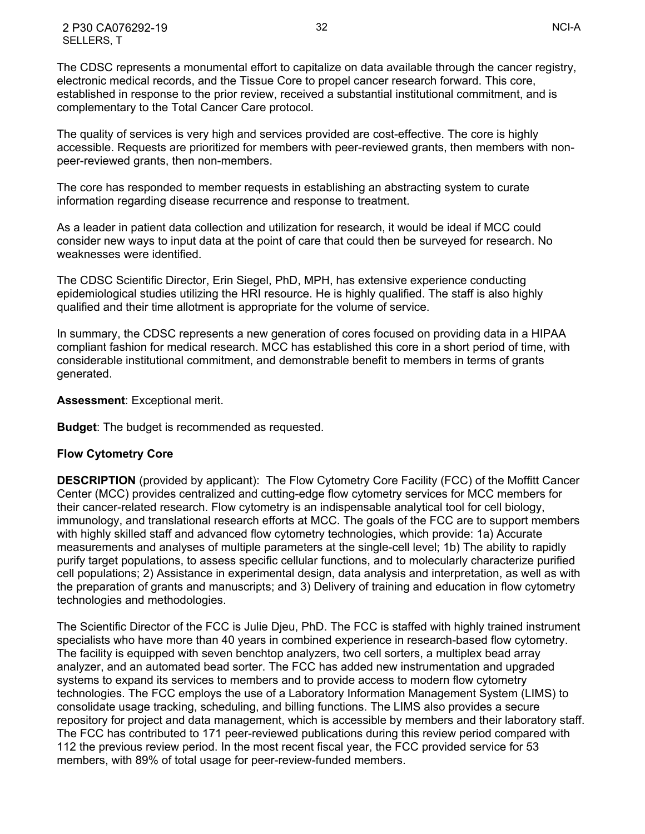2 P30 CA076292-19 32 NCI-A SELLERS, T

The CDSC represents a monumental effort to capitalize on data available through the cancer registry, electronic medical records, and the Tissue Core to propel cancer research forward. This core, established in response to the prior review, received a substantial institutional commitment, and is complementary to the Total Cancer Care protocol.

The quality of services is very high and services provided are cost-effective. The core is highly accessible. Requests are prioritized for members with peer-reviewed grants, then members with nonpeer-reviewed grants, then non-members.

The core has responded to member requests in establishing an abstracting system to curate information regarding disease recurrence and response to treatment.

As a leader in patient data collection and utilization for research, it would be ideal if MCC could consider new ways to input data at the point of care that could then be surveyed for research. No weaknesses were identified.

The CDSC Scientific Director, Erin Siegel, PhD, MPH, has extensive experience conducting epidemiological studies utilizing the HRI resource. He is highly qualified. The staff is also highly qualified and their time allotment is appropriate for the volume of service.

In summary, the CDSC represents a new generation of cores focused on providing data in a HIPAA compliant fashion for medical research. MCC has established this core in a short period of time, with considerable institutional commitment, and demonstrable benefit to members in terms of grants generated.

**Assessment**: Exceptional merit.

**Budget**: The budget is recommended as requested.

#### <span id="page-31-0"></span>**Flow Cytometry Core**

**DESCRIPTION** (provided by applicant): The Flow Cytometry Core Facility (FCC) of the Moffitt Cancer Center (MCC) provides centralized and cutting-edge flow cytometry services for MCC members for their cancer-related research. Flow cytometry is an indispensable analytical tool for cell biology, immunology, and translational research efforts at MCC. The goals of the FCC are to support members with highly skilled staff and advanced flow cytometry technologies, which provide: 1a) Accurate measurements and analyses of multiple parameters at the single-cell level; 1b) The ability to rapidly purify target populations, to assess specific cellular functions, and to molecularly characterize purified cell populations; 2) Assistance in experimental design, data analysis and interpretation, as well as with the preparation of grants and manuscripts; and 3) Delivery of training and education in flow cytometry technologies and methodologies.

The Scientific Director of the FCC is Julie Djeu, PhD. The FCC is staffed with highly trained instrument specialists who have more than 40 years in combined experience in research-based flow cytometry. The facility is equipped with seven benchtop analyzers, two cell sorters, a multiplex bead array analyzer, and an automated bead sorter. The FCC has added new instrumentation and upgraded systems to expand its services to members and to provide access to modern flow cytometry technologies. The FCC employs the use of a Laboratory Information Management System (LIMS) to consolidate usage tracking, scheduling, and billing functions. The LIMS also provides a secure repository for project and data management, which is accessible by members and their laboratory staff. The FCC has contributed to 171 peer-reviewed publications during this review period compared with 112 the previous review period. In the most recent fiscal year, the FCC provided service for 53 members, with 89% of total usage for peer-review-funded members.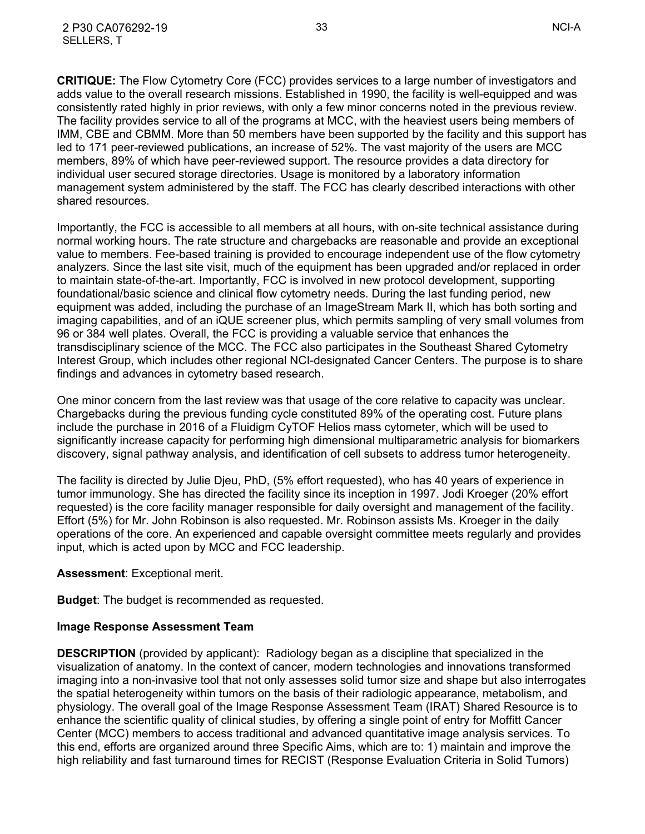**CRITIQUE:** The Flow Cytometry Core (FCC) provides services to a large number of investigators and adds value to the overall research missions. Established in 1990, the facility is well-equipped and was consistently rated highly in prior reviews, with only a few minor concerns noted in the previous review. The facility provides service to all of the programs at MCC, with the heaviest users being members of IMM, CBE and CBMM. More than 50 members have been supported by the facility and this support has led to 171 peer-reviewed publications, an increase of 52%. The vast majority of the users are MCC members, 89% of which have peer-reviewed support. The resource provides a data directory for individual user secured storage directories. Usage is monitored by a laboratory information management system administered by the staff. The FCC has clearly described interactions with other shared resources.

Importantly, the FCC is accessible to all members at all hours, with on-site technical assistance during normal working hours. The rate structure and chargebacks are reasonable and provide an exceptional value to members. Fee-based training is provided to encourage independent use of the flow cytometry analyzers. Since the last site visit, much of the equipment has been upgraded and/or replaced in order to maintain state-of-the-art. Importantly, FCC is involved in new protocol development, supporting foundational/basic science and clinical flow cytometry needs. During the last funding period, new equipment was added, including the purchase of an ImageStream Mark II, which has both sorting and imaging capabilities, and of an iQUE screener plus, which permits sampling of very small volumes from 96 or 384 well plates. Overall, the FCC is providing a valuable service that enhances the transdisciplinary science of the MCC. The FCC also participates in the Southeast Shared Cytometry Interest Group, which includes other regional NCI-designated Cancer Centers. The purpose is to share findings and advances in cytometry based research.

One minor concern from the last review was that usage of the core relative to capacity was unclear. Chargebacks during the previous funding cycle constituted 89% of the operating cost. Future plans include the purchase in 2016 of a Fluidigm CyTOF Helios mass cytometer, which will be used to significantly increase capacity for performing high dimensional multiparametric analysis for biomarkers discovery, signal pathway analysis, and identification of cell subsets to address tumor heterogeneity.

The facility is directed by Julie Djeu, PhD, (5% effort requested), who has 40 years of experience in tumor immunology. She has directed the facility since its inception in 1997. Jodi Kroeger (20% effort requested) is the core facility manager responsible for daily oversight and management of the facility. Effort (5%) for Mr. John Robinson is also requested. Mr. Robinson assists Ms. Kroeger in the daily operations of the core. An experienced and capable oversight committee meets regularly and provides input, which is acted upon by MCC and FCC leadership.

#### **Assessment**: Exceptional merit.

**Budget**: The budget is recommended as requested.

#### <span id="page-32-0"></span>**Image Response Assessment Team**

**DESCRIPTION** (provided by applicant): Radiology began as a discipline that specialized in the visualization of anatomy. In the context of cancer, modern technologies and innovations transformed imaging into a non-invasive tool that not only assesses solid tumor size and shape but also interrogates the spatial heterogeneity within tumors on the basis of their radiologic appearance, metabolism, and physiology. The overall goal of the Image Response Assessment Team (IRAT) Shared Resource is to enhance the scientific quality of clinical studies, by offering a single point of entry for Moffitt Cancer Center (MCC) members to access traditional and advanced quantitative image analysis services. To this end, efforts are organized around three Specific Aims, which are to: 1) maintain and improve the high reliability and fast turnaround times for RECIST (Response Evaluation Criteria in Solid Tumors)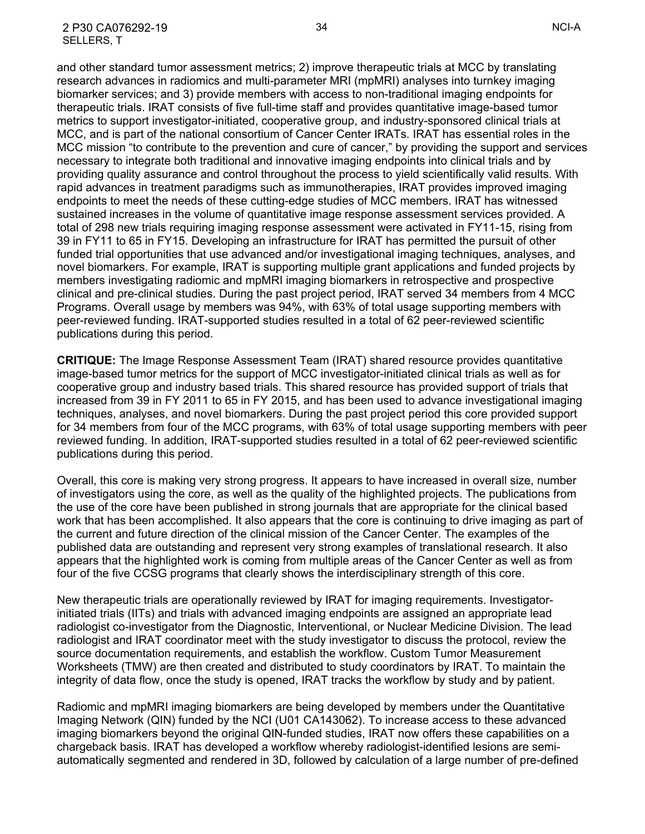and other standard tumor assessment metrics; 2) improve therapeutic trials at MCC by translating research advances in radiomics and multi-parameter MRI (mpMRI) analyses into turnkey imaging biomarker services; and 3) provide members with access to non-traditional imaging endpoints for therapeutic trials. IRAT consists of five full-time staff and provides quantitative image-based tumor metrics to support investigator-initiated, cooperative group, and industry-sponsored clinical trials at MCC, and is part of the national consortium of Cancer Center IRATs. IRAT has essential roles in the MCC mission "to contribute to the prevention and cure of cancer," by providing the support and services necessary to integrate both traditional and innovative imaging endpoints into clinical trials and by providing quality assurance and control throughout the process to yield scientifically valid results. With rapid advances in treatment paradigms such as immunotherapies, IRAT provides improved imaging endpoints to meet the needs of these cutting-edge studies of MCC members. IRAT has witnessed sustained increases in the volume of quantitative image response assessment services provided. A total of 298 new trials requiring imaging response assessment were activated in FY11-15, rising from 39 in FY11 to 65 in FY15. Developing an infrastructure for IRAT has permitted the pursuit of other funded trial opportunities that use advanced and/or investigational imaging techniques, analyses, and novel biomarkers. For example, IRAT is supporting multiple grant applications and funded projects by members investigating radiomic and mpMRI imaging biomarkers in retrospective and prospective clinical and pre-clinical studies. During the past project period, IRAT served 34 members from 4 MCC Programs. Overall usage by members was 94%, with 63% of total usage supporting members with peer-reviewed funding. IRAT-supported studies resulted in a total of 62 peer-reviewed scientific publications during this period.

**CRITIQUE:** The Image Response Assessment Team (IRAT) shared resource provides quantitative image-based tumor metrics for the support of MCC investigator-initiated clinical trials as well as for cooperative group and industry based trials. This shared resource has provided support of trials that increased from 39 in FY 2011 to 65 in FY 2015, and has been used to advance investigational imaging techniques, analyses, and novel biomarkers. During the past project period this core provided support for 34 members from four of the MCC programs, with 63% of total usage supporting members with peer reviewed funding. In addition, IRAT-supported studies resulted in a total of 62 peer-reviewed scientific publications during this period.

Overall, this core is making very strong progress. It appears to have increased in overall size, number of investigators using the core, as well as the quality of the highlighted projects. The publications from the use of the core have been published in strong journals that are appropriate for the clinical based work that has been accomplished. It also appears that the core is continuing to drive imaging as part of the current and future direction of the clinical mission of the Cancer Center. The examples of the published data are outstanding and represent very strong examples of translational research. It also appears that the highlighted work is coming from multiple areas of the Cancer Center as well as from four of the five CCSG programs that clearly shows the interdisciplinary strength of this core.

New therapeutic trials are operationally reviewed by IRAT for imaging requirements. Investigatorinitiated trials (IITs) and trials with advanced imaging endpoints are assigned an appropriate lead radiologist co-investigator from the Diagnostic, Interventional, or Nuclear Medicine Division. The lead radiologist and IRAT coordinator meet with the study investigator to discuss the protocol, review the source documentation requirements, and establish the workflow. Custom Tumor Measurement Worksheets (TMW) are then created and distributed to study coordinators by IRAT. To maintain the integrity of data flow, once the study is opened, IRAT tracks the workflow by study and by patient.

Radiomic and mpMRI imaging biomarkers are being developed by members under the Quantitative Imaging Network (QIN) funded by the NCI (U01 CA143062). To increase access to these advanced imaging biomarkers beyond the original QIN-funded studies, IRAT now offers these capabilities on a chargeback basis. IRAT has developed a workflow whereby radiologist-identified lesions are semiautomatically segmented and rendered in 3D, followed by calculation of a large number of pre-defined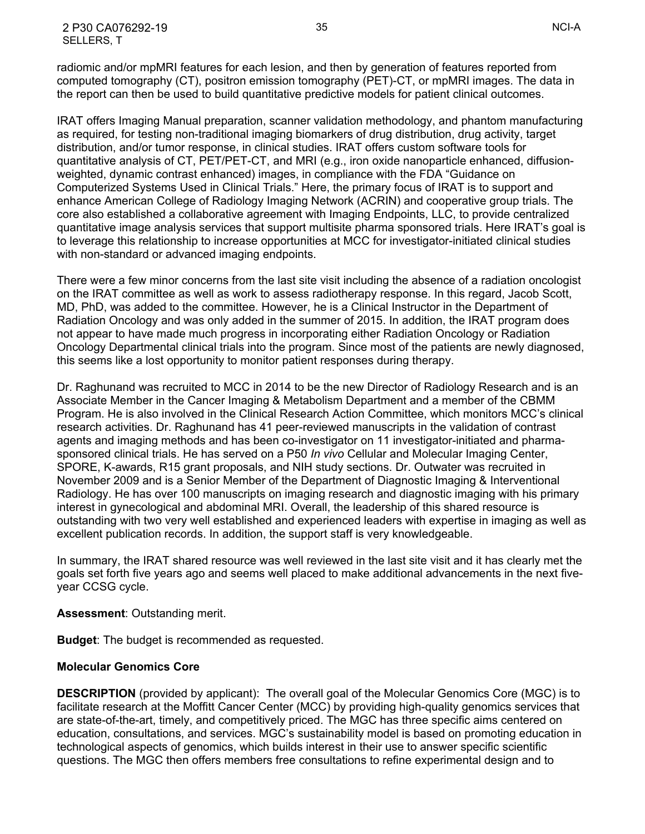IRAT offers Imaging Manual preparation, scanner validation methodology, and phantom manufacturing as required, for testing non-traditional imaging biomarkers of drug distribution, drug activity, target distribution, and/or tumor response, in clinical studies. IRAT offers custom software tools for quantitative analysis of CT, PET/PET-CT, and MRI (e.g., iron oxide nanoparticle enhanced, diffusionweighted, dynamic contrast enhanced) images, in compliance with the FDA "Guidance on Computerized Systems Used in Clinical Trials." Here, the primary focus of IRAT is to support and enhance American College of Radiology Imaging Network (ACRIN) and cooperative group trials. The core also established a collaborative agreement with Imaging Endpoints, LLC, to provide centralized quantitative image analysis services that support multisite pharma sponsored trials. Here IRAT's goal is to leverage this relationship to increase opportunities at MCC for investigator-initiated clinical studies with non-standard or advanced imaging endpoints.

There were a few minor concerns from the last site visit including the absence of a radiation oncologist on the IRAT committee as well as work to assess radiotherapy response. In this regard, Jacob Scott, MD, PhD, was added to the committee. However, he is a Clinical Instructor in the Department of Radiation Oncology and was only added in the summer of 2015. In addition, the IRAT program does not appear to have made much progress in incorporating either Radiation Oncology or Radiation Oncology Departmental clinical trials into the program. Since most of the patients are newly diagnosed, this seems like a lost opportunity to monitor patient responses during therapy.

Dr. Raghunand was recruited to MCC in 2014 to be the new Director of Radiology Research and is an Associate Member in the Cancer Imaging & Metabolism Department and a member of the CBMM Program. He is also involved in the Clinical Research Action Committee, which monitors MCC's clinical research activities. Dr. Raghunand has 41 peer-reviewed manuscripts in the validation of contrast agents and imaging methods and has been co-investigator on 11 investigator-initiated and pharmasponsored clinical trials. He has served on a P50 *In vivo* Cellular and Molecular Imaging Center, SPORE, K-awards, R15 grant proposals, and NIH study sections. Dr. Outwater was recruited in November 2009 and is a Senior Member of the Department of Diagnostic Imaging & Interventional Radiology. He has over 100 manuscripts on imaging research and diagnostic imaging with his primary interest in gynecological and abdominal MRI. Overall, the leadership of this shared resource is outstanding with two very well established and experienced leaders with expertise in imaging as well as excellent publication records. In addition, the support staff is very knowledgeable.

In summary, the IRAT shared resource was well reviewed in the last site visit and it has clearly met the goals set forth five years ago and seems well placed to make additional advancements in the next fiveyear CCSG cycle.

#### **Assessment**: Outstanding merit.

**Budget**: The budget is recommended as requested.

#### <span id="page-34-0"></span>**Molecular Genomics Core**

**DESCRIPTION** (provided by applicant): The overall goal of the Molecular Genomics Core (MGC) is to facilitate research at the Moffitt Cancer Center (MCC) by providing high-quality genomics services that are state-of-the-art, timely, and competitively priced. The MGC has three specific aims centered on education, consultations, and services. MGC's sustainability model is based on promoting education in technological aspects of genomics, which builds interest in their use to answer specific scientific questions. The MGC then offers members free consultations to refine experimental design and to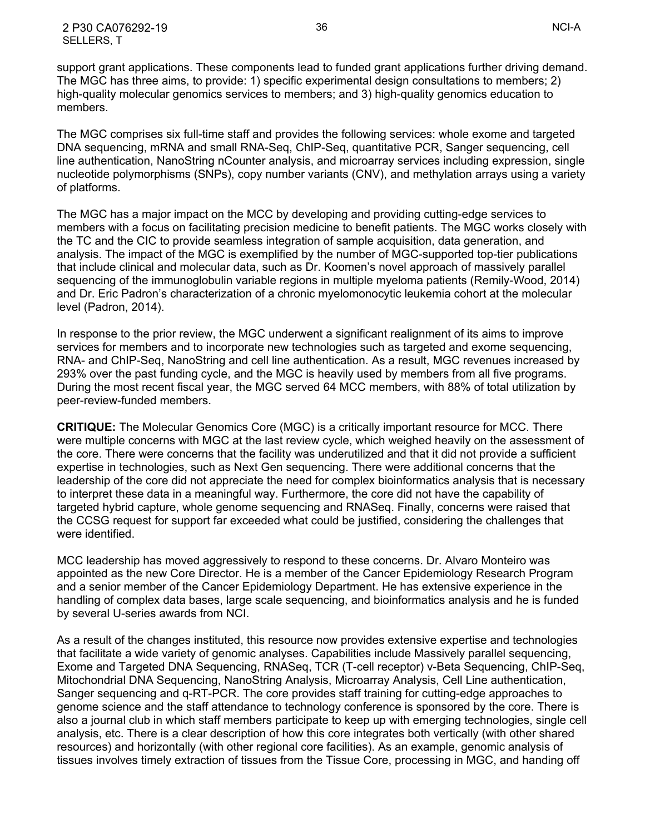support grant applications. These components lead to funded grant applications further driving demand. The MGC has three aims, to provide: 1) specific experimental design consultations to members; 2) high-quality molecular genomics services to members; and 3) high-quality genomics education to members.

The MGC comprises six full-time staff and provides the following services: whole exome and targeted DNA sequencing, mRNA and small RNA-Seq, ChIP-Seq, quantitative PCR, Sanger sequencing, cell line authentication, NanoString nCounter analysis, and microarray services including expression, single nucleotide polymorphisms (SNPs), copy number variants (CNV), and methylation arrays using a variety of platforms.

The MGC has a major impact on the MCC by developing and providing cutting-edge services to members with a focus on facilitating precision medicine to benefit patients. The MGC works closely with the TC and the CIC to provide seamless integration of sample acquisition, data generation, and analysis. The impact of the MGC is exemplified by the number of MGC-supported top-tier publications that include clinical and molecular data, such as Dr. Koomen's novel approach of massively parallel sequencing of the immunoglobulin variable regions in multiple myeloma patients (Remily-Wood, 2014) and Dr. Eric Padron's characterization of a chronic myelomonocytic leukemia cohort at the molecular level (Padron, 2014).

In response to the prior review, the MGC underwent a significant realignment of its aims to improve services for members and to incorporate new technologies such as targeted and exome sequencing, RNA- and ChIP-Seq, NanoString and cell line authentication. As a result, MGC revenues increased by 293% over the past funding cycle, and the MGC is heavily used by members from all five programs. During the most recent fiscal year, the MGC served 64 MCC members, with 88% of total utilization by peer-review-funded members.

**CRITIQUE:** The Molecular Genomics Core (MGC) is a critically important resource for MCC. There were multiple concerns with MGC at the last review cycle, which weighed heavily on the assessment of the core. There were concerns that the facility was underutilized and that it did not provide a sufficient expertise in technologies, such as Next Gen sequencing. There were additional concerns that the leadership of the core did not appreciate the need for complex bioinformatics analysis that is necessary to interpret these data in a meaningful way. Furthermore, the core did not have the capability of targeted hybrid capture, whole genome sequencing and RNASeq. Finally, concerns were raised that the CCSG request for support far exceeded what could be justified, considering the challenges that were identified.

MCC leadership has moved aggressively to respond to these concerns. Dr. Alvaro Monteiro was appointed as the new Core Director. He is a member of the Cancer Epidemiology Research Program and a senior member of the Cancer Epidemiology Department. He has extensive experience in the handling of complex data bases, large scale sequencing, and bioinformatics analysis and he is funded by several U-series awards from NCI.

As a result of the changes instituted, this resource now provides extensive expertise and technologies that facilitate a wide variety of genomic analyses. Capabilities include Massively parallel sequencing, Exome and Targeted DNA Sequencing, RNASeq, TCR (T-cell receptor) v-Beta Sequencing, ChIP-Seq, Mitochondrial DNA Sequencing, NanoString Analysis, Microarray Analysis, Cell Line authentication, Sanger sequencing and q-RT-PCR. The core provides staff training for cutting-edge approaches to genome science and the staff attendance to technology conference is sponsored by the core. There is also a journal club in which staff members participate to keep up with emerging technologies, single cell analysis, etc. There is a clear description of how this core integrates both vertically (with other shared resources) and horizontally (with other regional core facilities). As an example, genomic analysis of tissues involves timely extraction of tissues from the Tissue Core, processing in MGC, and handing off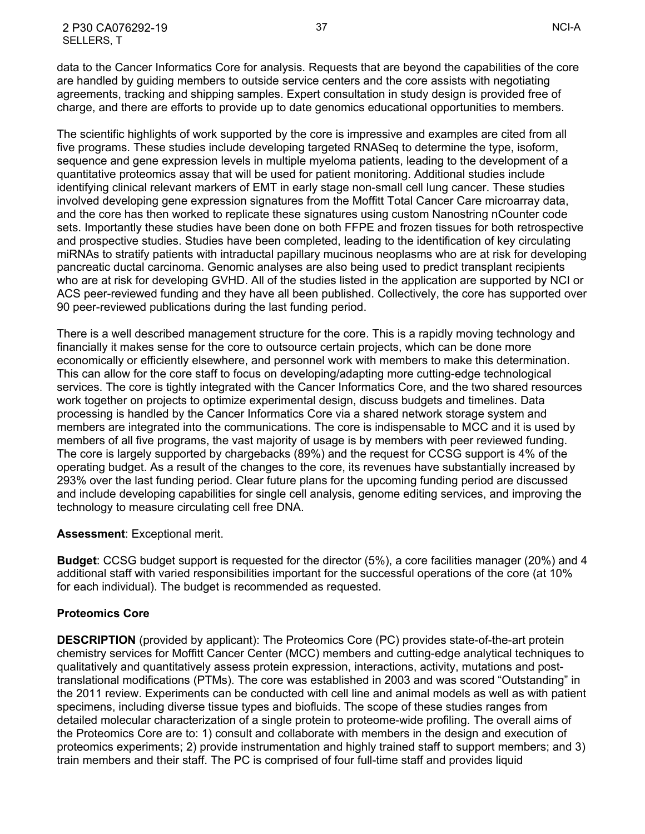The scientific highlights of work supported by the core is impressive and examples are cited from all five programs. These studies include developing targeted RNASeq to determine the type, isoform, sequence and gene expression levels in multiple myeloma patients, leading to the development of a quantitative proteomics assay that will be used for patient monitoring. Additional studies include identifying clinical relevant markers of EMT in early stage non-small cell lung cancer. These studies involved developing gene expression signatures from the Moffitt Total Cancer Care microarray data, and the core has then worked to replicate these signatures using custom Nanostring nCounter code sets. Importantly these studies have been done on both FFPE and frozen tissues for both retrospective and prospective studies. Studies have been completed, leading to the identification of key circulating miRNAs to stratify patients with intraductal papillary mucinous neoplasms who are at risk for developing pancreatic ductal carcinoma. Genomic analyses are also being used to predict transplant recipients who are at risk for developing GVHD. All of the studies listed in the application are supported by NCI or ACS peer-reviewed funding and they have all been published. Collectively, the core has supported over 90 peer-reviewed publications during the last funding period.

There is a well described management structure for the core. This is a rapidly moving technology and financially it makes sense for the core to outsource certain projects, which can be done more economically or efficiently elsewhere, and personnel work with members to make this determination. This can allow for the core staff to focus on developing/adapting more cutting-edge technological services. The core is tightly integrated with the Cancer Informatics Core, and the two shared resources work together on projects to optimize experimental design, discuss budgets and timelines. Data processing is handled by the Cancer Informatics Core via a shared network storage system and members are integrated into the communications. The core is indispensable to MCC and it is used by members of all five programs, the vast majority of usage is by members with peer reviewed funding. The core is largely supported by chargebacks (89%) and the request for CCSG support is 4% of the operating budget. As a result of the changes to the core, its revenues have substantially increased by 293% over the last funding period. Clear future plans for the upcoming funding period are discussed and include developing capabilities for single cell analysis, genome editing services, and improving the technology to measure circulating cell free DNA.

#### **Assessment**: Exceptional merit.

**Budget**: CCSG budget support is requested for the director (5%), a core facilities manager (20%) and 4 additional staff with varied responsibilities important for the successful operations of the core (at 10% for each individual). The budget is recommended as requested.

# <span id="page-36-0"></span>**Proteomics Core**

**DESCRIPTION** (provided by applicant): The Proteomics Core (PC) provides state-of-the-art protein chemistry services for Moffitt Cancer Center (MCC) members and cutting-edge analytical techniques to qualitatively and quantitatively assess protein expression, interactions, activity, mutations and posttranslational modifications (PTMs). The core was established in 2003 and was scored "Outstanding" in the 2011 review. Experiments can be conducted with cell line and animal models as well as with patient specimens, including diverse tissue types and biofluids. The scope of these studies ranges from detailed molecular characterization of a single protein to proteome-wide profiling. The overall aims of the Proteomics Core are to: 1) consult and collaborate with members in the design and execution of proteomics experiments; 2) provide instrumentation and highly trained staff to support members; and 3) train members and their staff. The PC is comprised of four full-time staff and provides liquid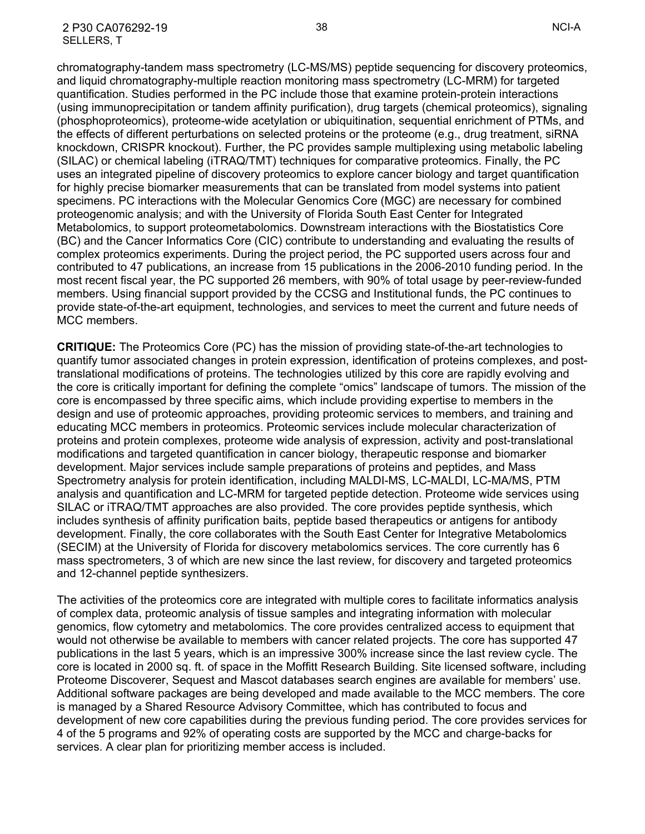chromatography-tandem mass spectrometry (LC-MS/MS) peptide sequencing for discovery proteomics, and liquid chromatography-multiple reaction monitoring mass spectrometry (LC-MRM) for targeted quantification. Studies performed in the PC include those that examine protein-protein interactions (using immunoprecipitation or tandem affinity purification), drug targets (chemical proteomics), signaling (phosphoproteomics), proteome-wide acetylation or ubiquitination, sequential enrichment of PTMs, and the effects of different perturbations on selected proteins or the proteome (e.g., drug treatment, siRNA knockdown, CRISPR knockout). Further, the PC provides sample multiplexing using metabolic labeling (SILAC) or chemical labeling (iTRAQ/TMT) techniques for comparative proteomics. Finally, the PC uses an integrated pipeline of discovery proteomics to explore cancer biology and target quantification for highly precise biomarker measurements that can be translated from model systems into patient specimens. PC interactions with the Molecular Genomics Core (MGC) are necessary for combined proteogenomic analysis; and with the University of Florida South East Center for Integrated Metabolomics, to support proteometabolomics. Downstream interactions with the Biostatistics Core (BC) and the Cancer Informatics Core (CIC) contribute to understanding and evaluating the results of complex proteomics experiments. During the project period, the PC supported users across four and contributed to 47 publications, an increase from 15 publications in the 2006-2010 funding period. In the most recent fiscal year, the PC supported 26 members, with 90% of total usage by peer-review-funded members. Using financial support provided by the CCSG and Institutional funds, the PC continues to provide state-of-the-art equipment, technologies, and services to meet the current and future needs of MCC members.

**CRITIQUE:** The Proteomics Core (PC) has the mission of providing state-of-the-art technologies to quantify tumor associated changes in protein expression, identification of proteins complexes, and posttranslational modifications of proteins. The technologies utilized by this core are rapidly evolving and the core is critically important for defining the complete "omics" landscape of tumors. The mission of the core is encompassed by three specific aims, which include providing expertise to members in the design and use of proteomic approaches, providing proteomic services to members, and training and educating MCC members in proteomics. Proteomic services include molecular characterization of proteins and protein complexes, proteome wide analysis of expression, activity and post-translational modifications and targeted quantification in cancer biology, therapeutic response and biomarker development. Major services include sample preparations of proteins and peptides, and Mass Spectrometry analysis for protein identification, including MALDI-MS, LC-MALDI, LC-MA/MS, PTM analysis and quantification and LC-MRM for targeted peptide detection. Proteome wide services using SILAC or iTRAQ/TMT approaches are also provided. The core provides peptide synthesis, which includes synthesis of affinity purification baits, peptide based therapeutics or antigens for antibody development. Finally, the core collaborates with the South East Center for Integrative Metabolomics (SECIM) at the University of Florida for discovery metabolomics services. The core currently has 6 mass spectrometers, 3 of which are new since the last review, for discovery and targeted proteomics and 12-channel peptide synthesizers.

The activities of the proteomics core are integrated with multiple cores to facilitate informatics analysis of complex data, proteomic analysis of tissue samples and integrating information with molecular genomics, flow cytometry and metabolomics. The core provides centralized access to equipment that would not otherwise be available to members with cancer related projects. The core has supported 47 publications in the last 5 years, which is an impressive 300% increase since the last review cycle. The core is located in 2000 sq. ft. of space in the Moffitt Research Building. Site licensed software, including Proteome Discoverer, Sequest and Mascot databases search engines are available for members' use. Additional software packages are being developed and made available to the MCC members. The core is managed by a Shared Resource Advisory Committee, which has contributed to focus and development of new core capabilities during the previous funding period. The core provides services for 4 of the 5 programs and 92% of operating costs are supported by the MCC and charge-backs for services. A clear plan for prioritizing member access is included.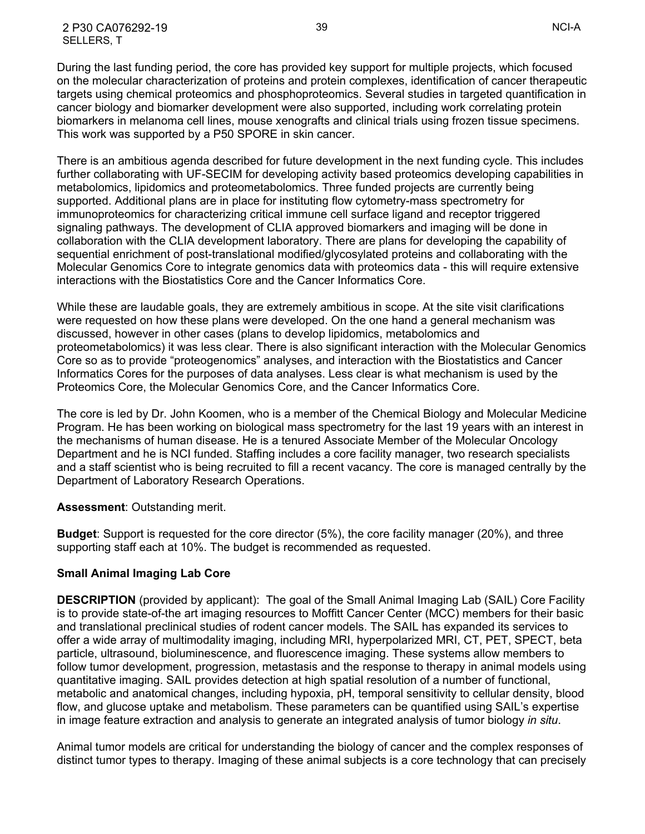2 P30 CA076292-19 39 NCI-A SELLERS, T

There is an ambitious agenda described for future development in the next funding cycle. This includes further collaborating with UF-SECIM for developing activity based proteomics developing capabilities in metabolomics, lipidomics and proteometabolomics. Three funded projects are currently being supported. Additional plans are in place for instituting flow cytometry-mass spectrometry for immunoproteomics for characterizing critical immune cell surface ligand and receptor triggered signaling pathways. The development of CLIA approved biomarkers and imaging will be done in collaboration with the CLIA development laboratory. There are plans for developing the capability of sequential enrichment of post-translational modified/glycosylated proteins and collaborating with the Molecular Genomics Core to integrate genomics data with proteomics data - this will require extensive interactions with the Biostatistics Core and the Cancer Informatics Core.

While these are laudable goals, they are extremely ambitious in scope. At the site visit clarifications were requested on how these plans were developed. On the one hand a general mechanism was discussed, however in other cases (plans to develop lipidomics, metabolomics and proteometabolomics) it was less clear. There is also significant interaction with the Molecular Genomics Core so as to provide "proteogenomics" analyses, and interaction with the Biostatistics and Cancer Informatics Cores for the purposes of data analyses. Less clear is what mechanism is used by the Proteomics Core, the Molecular Genomics Core, and the Cancer Informatics Core.

The core is led by Dr. John Koomen, who is a member of the Chemical Biology and Molecular Medicine Program. He has been working on biological mass spectrometry for the last 19 years with an interest in the mechanisms of human disease. He is a tenured Associate Member of the Molecular Oncology Department and he is NCI funded. Staffing includes a core facility manager, two research specialists and a staff scientist who is being recruited to fill a recent vacancy. The core is managed centrally by the Department of Laboratory Research Operations.

#### **Assessment**: Outstanding merit.

**Budget**: Support is requested for the core director (5%), the core facility manager (20%), and three supporting staff each at 10%. The budget is recommended as requested.

#### <span id="page-38-0"></span>**Small Animal Imaging Lab Core**

**DESCRIPTION** (provided by applicant): The goal of the Small Animal Imaging Lab (SAIL) Core Facility is to provide state-of-the art imaging resources to Moffitt Cancer Center (MCC) members for their basic and translational preclinical studies of rodent cancer models. The SAIL has expanded its services to offer a wide array of multimodality imaging, including MRI, hyperpolarized MRI, CT, PET, SPECT, beta particle, ultrasound, bioluminescence, and fluorescence imaging. These systems allow members to follow tumor development, progression, metastasis and the response to therapy in animal models using quantitative imaging. SAIL provides detection at high spatial resolution of a number of functional, metabolic and anatomical changes, including hypoxia, pH, temporal sensitivity to cellular density, blood flow, and glucose uptake and metabolism. These parameters can be quantified using SAIL's expertise in image feature extraction and analysis to generate an integrated analysis of tumor biology *in situ*.

Animal tumor models are critical for understanding the biology of cancer and the complex responses of distinct tumor types to therapy. Imaging of these animal subjects is a core technology that can precisely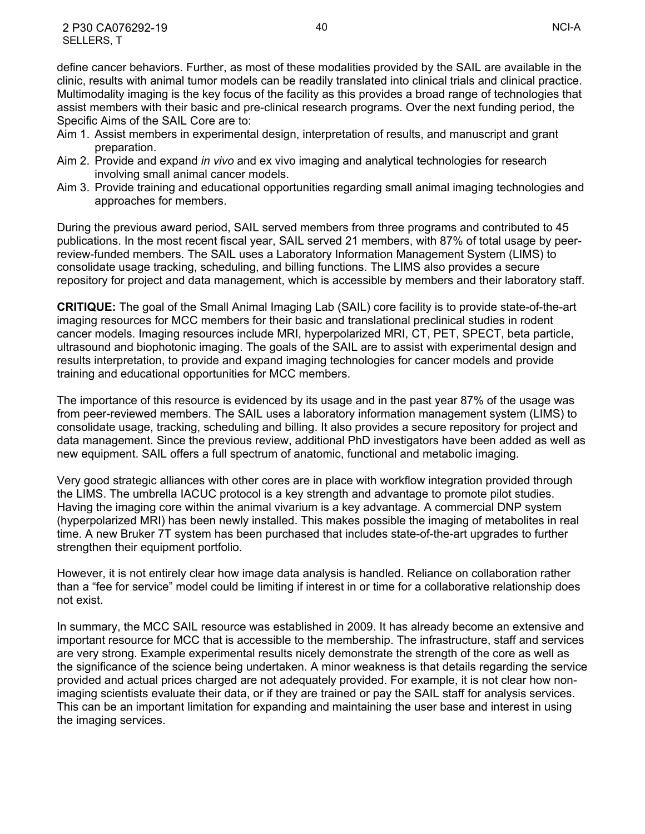define cancer behaviors. Further, as most of these modalities provided by the SAIL are available in the clinic, results with animal tumor models can be readily translated into clinical trials and clinical practice. Multimodality imaging is the key focus of the facility as this provides a broad range of technologies that assist members with their basic and pre-clinical research programs. Over the next funding period, the Specific Aims of the SAIL Core are to:

- Aim 1. Assist members in experimental design, interpretation of results, and manuscript and grant preparation.
- Aim 2. Provide and expand *in vivo* and ex vivo imaging and analytical technologies for research involving small animal cancer models.
- Aim 3. Provide training and educational opportunities regarding small animal imaging technologies and approaches for members.

During the previous award period, SAIL served members from three programs and contributed to 45 publications. In the most recent fiscal year, SAIL served 21 members, with 87% of total usage by peerreview-funded members. The SAIL uses a Laboratory Information Management System (LIMS) to consolidate usage tracking, scheduling, and billing functions. The LIMS also provides a secure repository for project and data management, which is accessible by members and their laboratory staff.

**CRITIQUE:** The goal of the Small Animal Imaging Lab (SAIL) core facility is to provide state-of-the-art imaging resources for MCC members for their basic and translational preclinical studies in rodent cancer models. Imaging resources include MRI, hyperpolarized MRI, CT, PET, SPECT, beta particle, ultrasound and biophotonic imaging. The goals of the SAIL are to assist with experimental design and results interpretation, to provide and expand imaging technologies for cancer models and provide training and educational opportunities for MCC members.

The importance of this resource is evidenced by its usage and in the past year 87% of the usage was from peer-reviewed members. The SAIL uses a laboratory information management system (LIMS) to consolidate usage, tracking, scheduling and billing. It also provides a secure repository for project and data management. Since the previous review, additional PhD investigators have been added as well as new equipment. SAIL offers a full spectrum of anatomic, functional and metabolic imaging.

Very good strategic alliances with other cores are in place with workflow integration provided through the LIMS. The umbrella IACUC protocol is a key strength and advantage to promote pilot studies. Having the imaging core within the animal vivarium is a key advantage. A commercial DNP system (hyperpolarized MRI) has been newly installed. This makes possible the imaging of metabolites in real time. A new Bruker 7T system has been purchased that includes state-of-the-art upgrades to further strengthen their equipment portfolio.

However, it is not entirely clear how image data analysis is handled. Reliance on collaboration rather than a "fee for service" model could be limiting if interest in or time for a collaborative relationship does not exist.

In summary, the MCC SAIL resource was established in 2009. It has already become an extensive and important resource for MCC that is accessible to the membership. The infrastructure, staff and services are very strong. Example experimental results nicely demonstrate the strength of the core as well as the significance of the science being undertaken. A minor weakness is that details regarding the service provided and actual prices charged are not adequately provided. For example, it is not clear how nonimaging scientists evaluate their data, or if they are trained or pay the SAIL staff for analysis services. This can be an important limitation for expanding and maintaining the user base and interest in using the imaging services.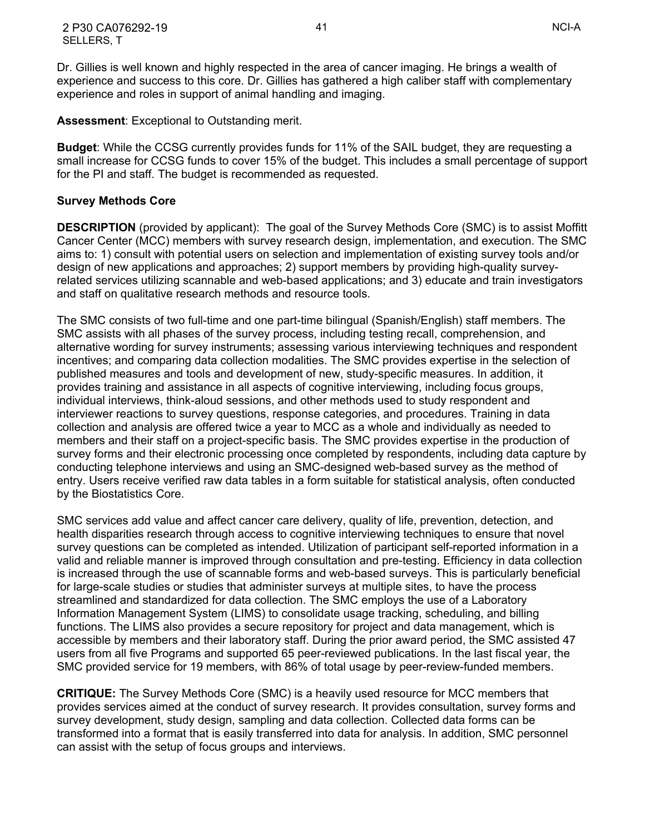Dr. Gillies is well known and highly respected in the area of cancer imaging. He brings a wealth of experience and success to this core. Dr. Gillies has gathered a high caliber staff with complementary experience and roles in support of animal handling and imaging.

**Assessment**: Exceptional to Outstanding merit.

**Budget**: While the CCSG currently provides funds for 11% of the SAIL budget, they are requesting a small increase for CCSG funds to cover 15% of the budget. This includes a small percentage of support for the PI and staff. The budget is recommended as requested.

#### <span id="page-40-0"></span>**Survey Methods Core**

**DESCRIPTION** (provided by applicant): The goal of the Survey Methods Core (SMC) is to assist Moffitt Cancer Center (MCC) members with survey research design, implementation, and execution. The SMC aims to: 1) consult with potential users on selection and implementation of existing survey tools and/or design of new applications and approaches; 2) support members by providing high-quality surveyrelated services utilizing scannable and web-based applications; and 3) educate and train investigators and staff on qualitative research methods and resource tools.

The SMC consists of two full-time and one part-time bilingual (Spanish/English) staff members. The SMC assists with all phases of the survey process, including testing recall, comprehension, and alternative wording for survey instruments; assessing various interviewing techniques and respondent incentives; and comparing data collection modalities. The SMC provides expertise in the selection of published measures and tools and development of new, study-specific measures. In addition, it provides training and assistance in all aspects of cognitive interviewing, including focus groups, individual interviews, think-aloud sessions, and other methods used to study respondent and interviewer reactions to survey questions, response categories, and procedures. Training in data collection and analysis are offered twice a year to MCC as a whole and individually as needed to members and their staff on a project-specific basis. The SMC provides expertise in the production of survey forms and their electronic processing once completed by respondents, including data capture by conducting telephone interviews and using an SMC-designed web-based survey as the method of entry. Users receive verified raw data tables in a form suitable for statistical analysis, often conducted by the Biostatistics Core.

SMC services add value and affect cancer care delivery, quality of life, prevention, detection, and health disparities research through access to cognitive interviewing techniques to ensure that novel survey questions can be completed as intended. Utilization of participant self-reported information in a valid and reliable manner is improved through consultation and pre-testing. Efficiency in data collection is increased through the use of scannable forms and web-based surveys. This is particularly beneficial for large-scale studies or studies that administer surveys at multiple sites, to have the process streamlined and standardized for data collection. The SMC employs the use of a Laboratory Information Management System (LIMS) to consolidate usage tracking, scheduling, and billing functions. The LIMS also provides a secure repository for project and data management, which is accessible by members and their laboratory staff. During the prior award period, the SMC assisted 47 users from all five Programs and supported 65 peer-reviewed publications. In the last fiscal year, the SMC provided service for 19 members, with 86% of total usage by peer-review-funded members.

**CRITIQUE:** The Survey Methods Core (SMC) is a heavily used resource for MCC members that provides services aimed at the conduct of survey research. It provides consultation, survey forms and survey development, study design, sampling and data collection. Collected data forms can be transformed into a format that is easily transferred into data for analysis. In addition, SMC personnel can assist with the setup of focus groups and interviews.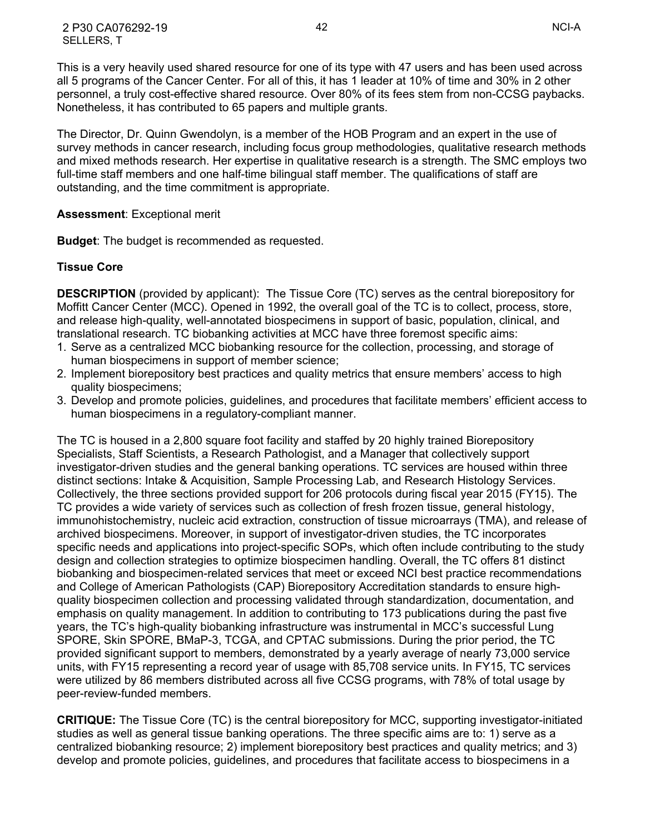2 P30 CA076292-19 42 NCI-A SELLERS, T

This is a very heavily used shared resource for one of its type with 47 users and has been used across all 5 programs of the Cancer Center. For all of this, it has 1 leader at 10% of time and 30% in 2 other personnel, a truly cost-effective shared resource. Over 80% of its fees stem from non-CCSG paybacks. Nonetheless, it has contributed to 65 papers and multiple grants.

The Director, Dr. Quinn Gwendolyn, is a member of the HOB Program and an expert in the use of survey methods in cancer research, including focus group methodologies, qualitative research methods and mixed methods research. Her expertise in qualitative research is a strength. The SMC employs two full-time staff members and one half-time bilingual staff member. The qualifications of staff are outstanding, and the time commitment is appropriate.

#### **Assessment**: Exceptional merit

**Budget**: The budget is recommended as requested.

#### <span id="page-41-0"></span>**Tissue Core**

**DESCRIPTION** (provided by applicant): The Tissue Core (TC) serves as the central biorepository for Moffitt Cancer Center (MCC). Opened in 1992, the overall goal of the TC is to collect, process, store, and release high-quality, well-annotated biospecimens in support of basic, population, clinical, and translational research. TC biobanking activities at MCC have three foremost specific aims:

- 1. Serve as a centralized MCC biobanking resource for the collection, processing, and storage of human biospecimens in support of member science;
- 2. Implement biorepository best practices and quality metrics that ensure members' access to high quality biospecimens;
- 3. Develop and promote policies, guidelines, and procedures that facilitate members' efficient access to human biospecimens in a regulatory-compliant manner.

The TC is housed in a 2,800 square foot facility and staffed by 20 highly trained Biorepository Specialists, Staff Scientists, a Research Pathologist, and a Manager that collectively support investigator-driven studies and the general banking operations. TC services are housed within three distinct sections: Intake & Acquisition, Sample Processing Lab, and Research Histology Services. Collectively, the three sections provided support for 206 protocols during fiscal year 2015 (FY15). The TC provides a wide variety of services such as collection of fresh frozen tissue, general histology, immunohistochemistry, nucleic acid extraction, construction of tissue microarrays (TMA), and release of archived biospecimens. Moreover, in support of investigator-driven studies, the TC incorporates specific needs and applications into project-specific SOPs, which often include contributing to the study design and collection strategies to optimize biospecimen handling. Overall, the TC offers 81 distinct biobanking and biospecimen-related services that meet or exceed NCI best practice recommendations and College of American Pathologists (CAP) Biorepository Accreditation standards to ensure highquality biospecimen collection and processing validated through standardization, documentation, and emphasis on quality management. In addition to contributing to 173 publications during the past five years, the TC's high-quality biobanking infrastructure was instrumental in MCC's successful Lung SPORE, Skin SPORE, BMaP-3, TCGA, and CPTAC submissions. During the prior period, the TC provided significant support to members, demonstrated by a yearly average of nearly 73,000 service units, with FY15 representing a record year of usage with 85,708 service units. In FY15, TC services were utilized by 86 members distributed across all five CCSG programs, with 78% of total usage by peer-review-funded members.

**CRITIQUE:** The Tissue Core (TC) is the central biorepository for MCC, supporting investigator-initiated studies as well as general tissue banking operations. The three specific aims are to: 1) serve as a centralized biobanking resource; 2) implement biorepository best practices and quality metrics; and 3) develop and promote policies, guidelines, and procedures that facilitate access to biospecimens in a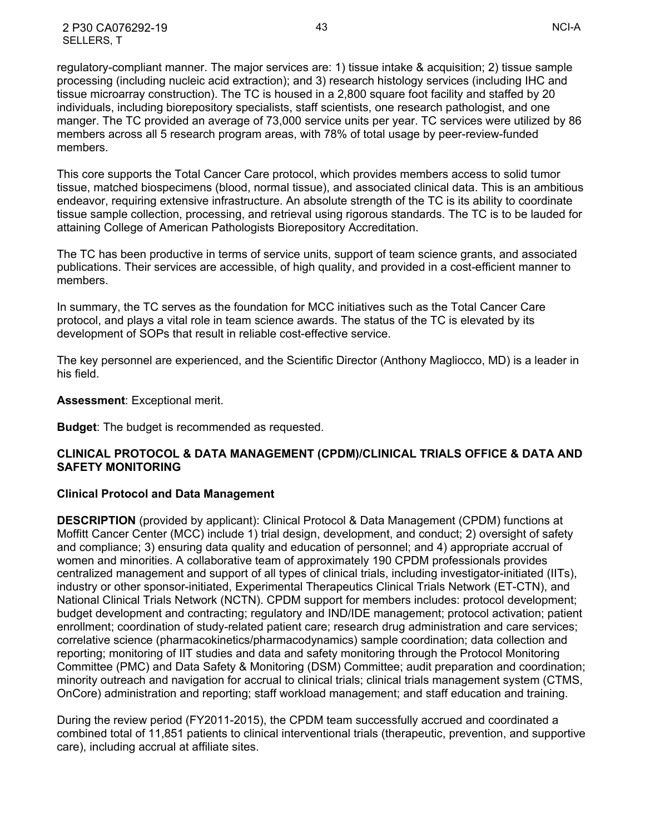regulatory-compliant manner. The major services are: 1) tissue intake & acquisition; 2) tissue sample processing (including nucleic acid extraction); and 3) research histology services (including IHC and tissue microarray construction). The TC is housed in a 2,800 square foot facility and staffed by 20 individuals, including biorepository specialists, staff scientists, one research pathologist, and one manger. The TC provided an average of 73,000 service units per year. TC services were utilized by 86 members across all 5 research program areas, with 78% of total usage by peer-review-funded members.

This core supports the Total Cancer Care protocol, which provides members access to solid tumor tissue, matched biospecimens (blood, normal tissue), and associated clinical data. This is an ambitious endeavor, requiring extensive infrastructure. An absolute strength of the TC is its ability to coordinate tissue sample collection, processing, and retrieval using rigorous standards. The TC is to be lauded for attaining College of American Pathologists Biorepository Accreditation.

The TC has been productive in terms of service units, support of team science grants, and associated publications. Their services are accessible, of high quality, and provided in a cost-efficient manner to members.

In summary, the TC serves as the foundation for MCC initiatives such as the Total Cancer Care protocol, and plays a vital role in team science awards. The status of the TC is elevated by its development of SOPs that result in reliable cost-effective service.

The key personnel are experienced, and the Scientific Director (Anthony Magliocco, MD) is a leader in his field.

**Assessment**: Exceptional merit.

**Budget**: The budget is recommended as requested.

#### <span id="page-42-0"></span>**CLINICAL PROTOCOL & DATA MANAGEMENT (CPDM)/CLINICAL TRIALS OFFICE & DATA AND SAFETY MONITORING**

#### <span id="page-42-1"></span>**Clinical Protocol and Data Management**

**DESCRIPTION** (provided by applicant): Clinical Protocol & Data Management (CPDM) functions at Moffitt Cancer Center (MCC) include 1) trial design, development, and conduct; 2) oversight of safety and compliance; 3) ensuring data quality and education of personnel; and 4) appropriate accrual of women and minorities. A collaborative team of approximately 190 CPDM professionals provides centralized management and support of all types of clinical trials, including investigator-initiated (IITs), industry or other sponsor-initiated, Experimental Therapeutics Clinical Trials Network (ET-CTN), and National Clinical Trials Network (NCTN). CPDM support for members includes: protocol development; budget development and contracting; regulatory and IND/IDE management; protocol activation; patient enrollment; coordination of study-related patient care; research drug administration and care services; correlative science (pharmacokinetics/pharmacodynamics) sample coordination; data collection and reporting; monitoring of IIT studies and data and safety monitoring through the Protocol Monitoring Committee (PMC) and Data Safety & Monitoring (DSM) Committee; audit preparation and coordination; minority outreach and navigation for accrual to clinical trials; clinical trials management system (CTMS, OnCore) administration and reporting; staff workload management; and staff education and training.

During the review period (FY2011-2015), the CPDM team successfully accrued and coordinated a combined total of 11,851 patients to clinical interventional trials (therapeutic, prevention, and supportive care), including accrual at affiliate sites.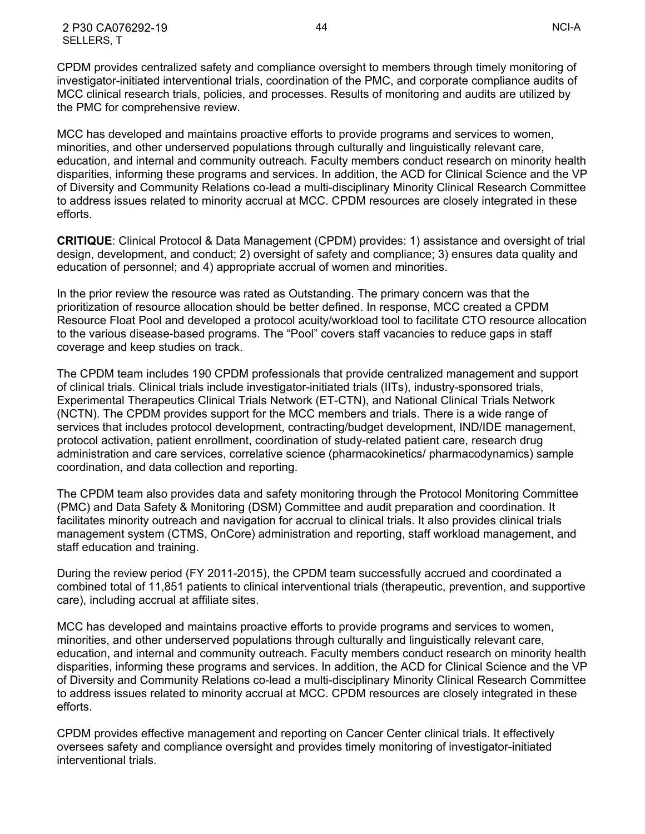2 P30 CA076292-19 44 NCI-A SELLERS, T

CPDM provides centralized safety and compliance oversight to members through timely monitoring of investigator-initiated interventional trials, coordination of the PMC, and corporate compliance audits of MCC clinical research trials, policies, and processes. Results of monitoring and audits are utilized by the PMC for comprehensive review.

MCC has developed and maintains proactive efforts to provide programs and services to women, minorities, and other underserved populations through culturally and linguistically relevant care, education, and internal and community outreach. Faculty members conduct research on minority health disparities, informing these programs and services. In addition, the ACD for Clinical Science and the VP of Diversity and Community Relations co-lead a multi-disciplinary Minority Clinical Research Committee to address issues related to minority accrual at MCC. CPDM resources are closely integrated in these efforts.

**CRITIQUE**: Clinical Protocol & Data Management (CPDM) provides: 1) assistance and oversight of trial design, development, and conduct; 2) oversight of safety and compliance; 3) ensures data quality and education of personnel; and 4) appropriate accrual of women and minorities.

In the prior review the resource was rated as Outstanding. The primary concern was that the prioritization of resource allocation should be better defined. In response, MCC created a CPDM Resource Float Pool and developed a protocol acuity/workload tool to facilitate CTO resource allocation to the various disease-based programs. The "Pool" covers staff vacancies to reduce gaps in staff coverage and keep studies on track.

The CPDM team includes 190 CPDM professionals that provide centralized management and support of clinical trials. Clinical trials include investigator-initiated trials (IITs), industry-sponsored trials, Experimental Therapeutics Clinical Trials Network (ET-CTN), and National Clinical Trials Network (NCTN). The CPDM provides support for the MCC members and trials. There is a wide range of services that includes protocol development, contracting/budget development, IND/IDE management, protocol activation, patient enrollment, coordination of study-related patient care, research drug administration and care services, correlative science (pharmacokinetics/ pharmacodynamics) sample coordination, and data collection and reporting.

The CPDM team also provides data and safety monitoring through the Protocol Monitoring Committee (PMC) and Data Safety & Monitoring (DSM) Committee and audit preparation and coordination. It facilitates minority outreach and navigation for accrual to clinical trials. It also provides clinical trials management system (CTMS, OnCore) administration and reporting, staff workload management, and staff education and training.

During the review period (FY 2011-2015), the CPDM team successfully accrued and coordinated a combined total of 11,851 patients to clinical interventional trials (therapeutic, prevention, and supportive care), including accrual at affiliate sites.

MCC has developed and maintains proactive efforts to provide programs and services to women, minorities, and other underserved populations through culturally and linguistically relevant care, education, and internal and community outreach. Faculty members conduct research on minority health disparities, informing these programs and services. In addition, the ACD for Clinical Science and the VP of Diversity and Community Relations co-lead a multi-disciplinary Minority Clinical Research Committee to address issues related to minority accrual at MCC. CPDM resources are closely integrated in these efforts.

CPDM provides effective management and reporting on Cancer Center clinical trials. It effectively oversees safety and compliance oversight and provides timely monitoring of investigator-initiated interventional trials.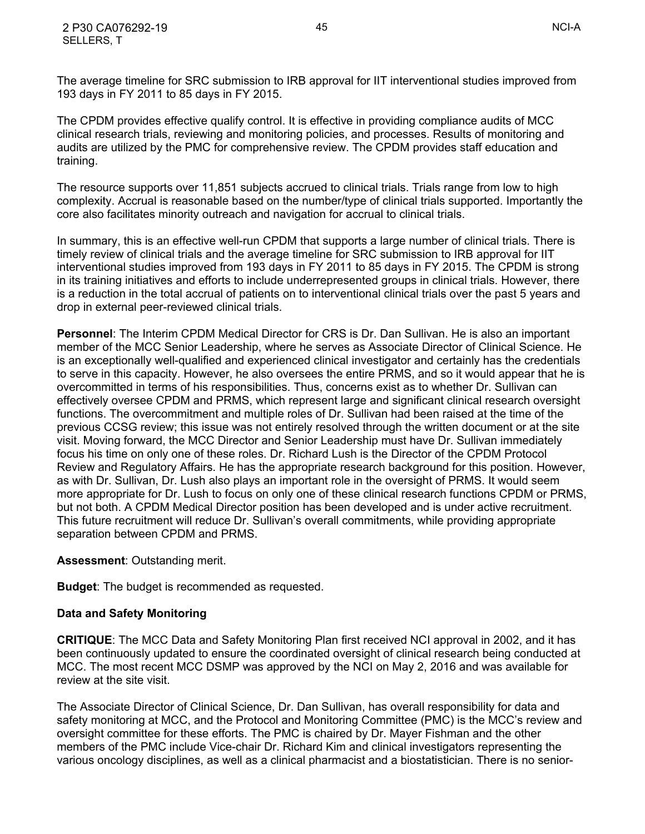The average timeline for SRC submission to IRB approval for IIT interventional studies improved from 193 days in FY 2011 to 85 days in FY 2015.

The CPDM provides effective qualify control. It is effective in providing compliance audits of MCC clinical research trials, reviewing and monitoring policies, and processes. Results of monitoring and audits are utilized by the PMC for comprehensive review. The CPDM provides staff education and training.

The resource supports over 11,851 subjects accrued to clinical trials. Trials range from low to high complexity. Accrual is reasonable based on the number/type of clinical trials supported. Importantly the core also facilitates minority outreach and navigation for accrual to clinical trials.

In summary, this is an effective well-run CPDM that supports a large number of clinical trials. There is timely review of clinical trials and the average timeline for SRC submission to IRB approval for IIT interventional studies improved from 193 days in FY 2011 to 85 days in FY 2015. The CPDM is strong in its training initiatives and efforts to include underrepresented groups in clinical trials. However, there is a reduction in the total accrual of patients on to interventional clinical trials over the past 5 years and drop in external peer-reviewed clinical trials.

**Personnel**: The Interim CPDM Medical Director for CRS is Dr. Dan Sullivan. He is also an important member of the MCC Senior Leadership, where he serves as Associate Director of Clinical Science. He is an exceptionally well-qualified and experienced clinical investigator and certainly has the credentials to serve in this capacity. However, he also oversees the entire PRMS, and so it would appear that he is overcommitted in terms of his responsibilities. Thus, concerns exist as to whether Dr. Sullivan can effectively oversee CPDM and PRMS, which represent large and significant clinical research oversight functions. The overcommitment and multiple roles of Dr. Sullivan had been raised at the time of the previous CCSG review; this issue was not entirely resolved through the written document or at the site visit. Moving forward, the MCC Director and Senior Leadership must have Dr. Sullivan immediately focus his time on only one of these roles. Dr. Richard Lush is the Director of the CPDM Protocol Review and Regulatory Affairs. He has the appropriate research background for this position. However, as with Dr. Sullivan, Dr. Lush also plays an important role in the oversight of PRMS. It would seem more appropriate for Dr. Lush to focus on only one of these clinical research functions CPDM or PRMS, but not both. A CPDM Medical Director position has been developed and is under active recruitment. This future recruitment will reduce Dr. Sullivan's overall commitments, while providing appropriate separation between CPDM and PRMS.

**Assessment**: Outstanding merit.

**Budget**: The budget is recommended as requested.

#### <span id="page-44-0"></span>**Data and Safety Monitoring**

**CRITIQUE**: The MCC Data and Safety Monitoring Plan first received NCI approval in 2002, and it has been continuously updated to ensure the coordinated oversight of clinical research being conducted at MCC. The most recent MCC DSMP was approved by the NCI on May 2, 2016 and was available for review at the site visit.

The Associate Director of Clinical Science, Dr. Dan Sullivan, has overall responsibility for data and safety monitoring at MCC, and the Protocol and Monitoring Committee (PMC) is the MCC's review and oversight committee for these efforts. The PMC is chaired by Dr. Mayer Fishman and the other members of the PMC include Vice-chair Dr. Richard Kim and clinical investigators representing the various oncology disciplines, as well as a clinical pharmacist and a biostatistician. There is no senior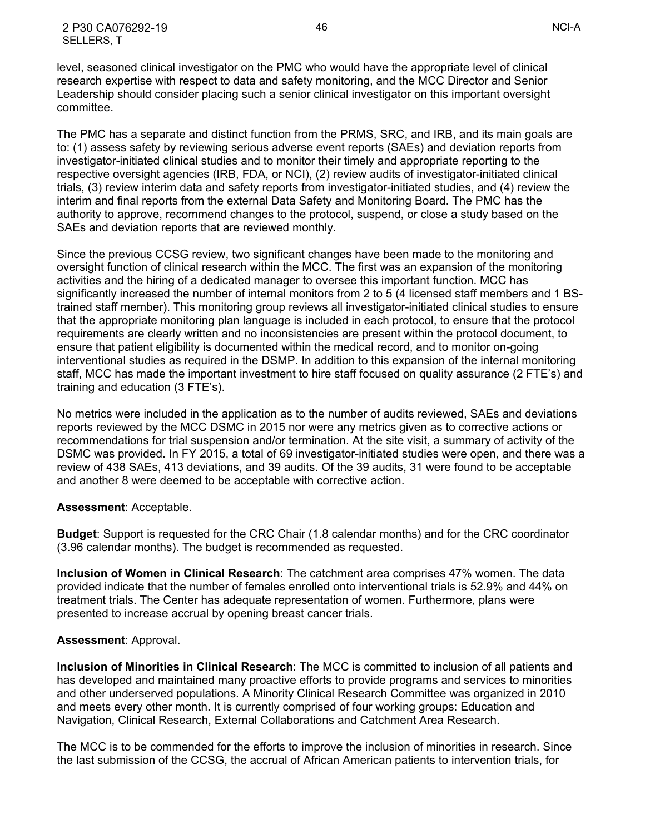2 P30 CA076292-19 46 NCI-A SELLERS, T

level, seasoned clinical investigator on the PMC who would have the appropriate level of clinical research expertise with respect to data and safety monitoring, and the MCC Director and Senior Leadership should consider placing such a senior clinical investigator on this important oversight committee.

The PMC has a separate and distinct function from the PRMS, SRC, and IRB, and its main goals are to: (1) assess safety by reviewing serious adverse event reports (SAEs) and deviation reports from investigator-initiated clinical studies and to monitor their timely and appropriate reporting to the respective oversight agencies (IRB, FDA, or NCI), (2) review audits of investigator-initiated clinical trials, (3) review interim data and safety reports from investigator-initiated studies, and (4) review the interim and final reports from the external Data Safety and Monitoring Board. The PMC has the authority to approve, recommend changes to the protocol, suspend, or close a study based on the SAEs and deviation reports that are reviewed monthly.

Since the previous CCSG review, two significant changes have been made to the monitoring and oversight function of clinical research within the MCC. The first was an expansion of the monitoring activities and the hiring of a dedicated manager to oversee this important function. MCC has significantly increased the number of internal monitors from 2 to 5 (4 licensed staff members and 1 BStrained staff member). This monitoring group reviews all investigator-initiated clinical studies to ensure that the appropriate monitoring plan language is included in each protocol, to ensure that the protocol requirements are clearly written and no inconsistencies are present within the protocol document, to ensure that patient eligibility is documented within the medical record, and to monitor on-going interventional studies as required in the DSMP. In addition to this expansion of the internal monitoring staff, MCC has made the important investment to hire staff focused on quality assurance (2 FTE's) and training and education (3 FTE's).

No metrics were included in the application as to the number of audits reviewed, SAEs and deviations reports reviewed by the MCC DSMC in 2015 nor were any metrics given as to corrective actions or recommendations for trial suspension and/or termination. At the site visit, a summary of activity of the DSMC was provided. In FY 2015, a total of 69 investigator-initiated studies were open, and there was a review of 438 SAEs, 413 deviations, and 39 audits. Of the 39 audits, 31 were found to be acceptable and another 8 were deemed to be acceptable with corrective action.

#### **Assessment**: Acceptable.

**Budget**: Support is requested for the CRC Chair (1.8 calendar months) and for the CRC coordinator (3.96 calendar months). The budget is recommended as requested.

<span id="page-45-0"></span>**Inclusion of Women in Clinical Research**: The catchment area comprises 47% women. The data provided indicate that the number of females enrolled onto interventional trials is 52.9% and 44% on treatment trials. The Center has adequate representation of women. Furthermore, plans were presented to increase accrual by opening breast cancer trials.

#### **Assessment**: Approval.

<span id="page-45-1"></span>**Inclusion of Minorities in Clinical Research**: The MCC is committed to inclusion of all patients and has developed and maintained many proactive efforts to provide programs and services to minorities and other underserved populations. A Minority Clinical Research Committee was organized in 2010 and meets every other month. It is currently comprised of four working groups: Education and Navigation, Clinical Research, External Collaborations and Catchment Area Research.

The MCC is to be commended for the efforts to improve the inclusion of minorities in research. Since the last submission of the CCSG, the accrual of African American patients to intervention trials, for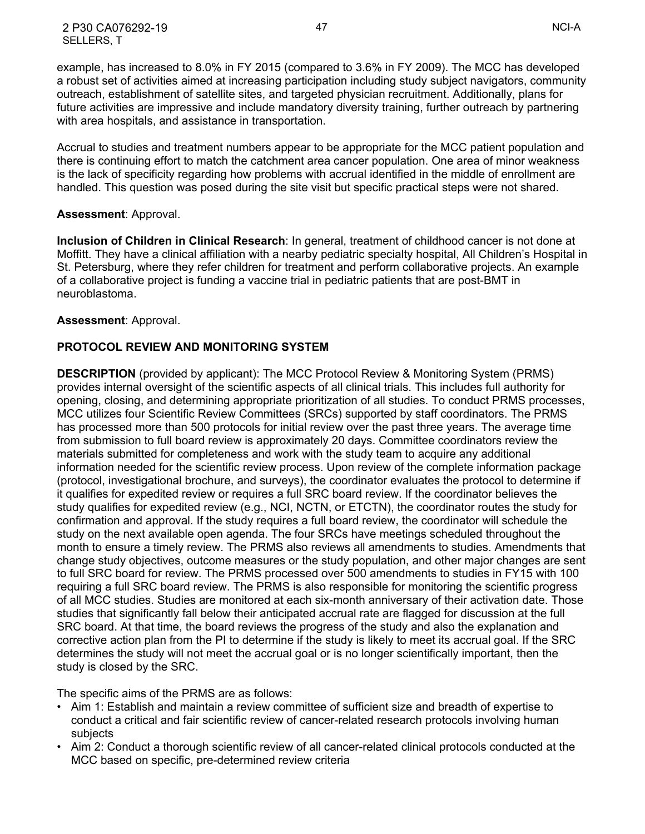2 P30 CA076292-19 47 NCI-A SELLERS, T

example, has increased to 8.0% in FY 2015 (compared to 3.6% in FY 2009). The MCC has developed a robust set of activities aimed at increasing participation including study subject navigators, community outreach, establishment of satellite sites, and targeted physician recruitment. Additionally, plans for future activities are impressive and include mandatory diversity training, further outreach by partnering with area hospitals, and assistance in transportation.

Accrual to studies and treatment numbers appear to be appropriate for the MCC patient population and there is continuing effort to match the catchment area cancer population. One area of minor weakness is the lack of specificity regarding how problems with accrual identified in the middle of enrollment are handled. This question was posed during the site visit but specific practical steps were not shared.

#### **Assessment**: Approval.

<span id="page-46-0"></span>**Inclusion of Children in Clinical Research**: In general, treatment of childhood cancer is not done at Moffitt. They have a clinical affiliation with a nearby pediatric specialty hospital, All Children's Hospital in St. Petersburg, where they refer children for treatment and perform collaborative projects. An example of a collaborative project is funding a vaccine trial in pediatric patients that are post-BMT in neuroblastoma.

#### **Assessment**: Approval.

## <span id="page-46-1"></span>**PROTOCOL REVIEW AND MONITORING SYSTEM**

**DESCRIPTION** (provided by applicant): The MCC Protocol Review & Monitoring System (PRMS) provides internal oversight of the scientific aspects of all clinical trials. This includes full authority for opening, closing, and determining appropriate prioritization of all studies. To conduct PRMS processes, MCC utilizes four Scientific Review Committees (SRCs) supported by staff coordinators. The PRMS has processed more than 500 protocols for initial review over the past three years. The average time from submission to full board review is approximately 20 days. Committee coordinators review the materials submitted for completeness and work with the study team to acquire any additional information needed for the scientific review process. Upon review of the complete information package (protocol, investigational brochure, and surveys), the coordinator evaluates the protocol to determine if it qualifies for expedited review or requires a full SRC board review. If the coordinator believes the study qualifies for expedited review (e.g., NCI, NCTN, or ETCTN), the coordinator routes the study for confirmation and approval. If the study requires a full board review, the coordinator will schedule the study on the next available open agenda. The four SRCs have meetings scheduled throughout the month to ensure a timely review. The PRMS also reviews all amendments to studies. Amendments that change study objectives, outcome measures or the study population, and other major changes are sent to full SRC board for review. The PRMS processed over 500 amendments to studies in FY15 with 100 requiring a full SRC board review. The PRMS is also responsible for monitoring the scientific progress of all MCC studies. Studies are monitored at each six-month anniversary of their activation date. Those studies that significantly fall below their anticipated accrual rate are flagged for discussion at the full SRC board. At that time, the board reviews the progress of the study and also the explanation and corrective action plan from the PI to determine if the study is likely to meet its accrual goal. If the SRC determines the study will not meet the accrual goal or is no longer scientifically important, then the study is closed by the SRC.

The specific aims of the PRMS are as follows:

- Aim 1: Establish and maintain a review committee of sufficient size and breadth of expertise to conduct a critical and fair scientific review of cancer-related research protocols involving human subjects
- Aim 2: Conduct a thorough scientific review of all cancer-related clinical protocols conducted at the MCC based on specific, pre-determined review criteria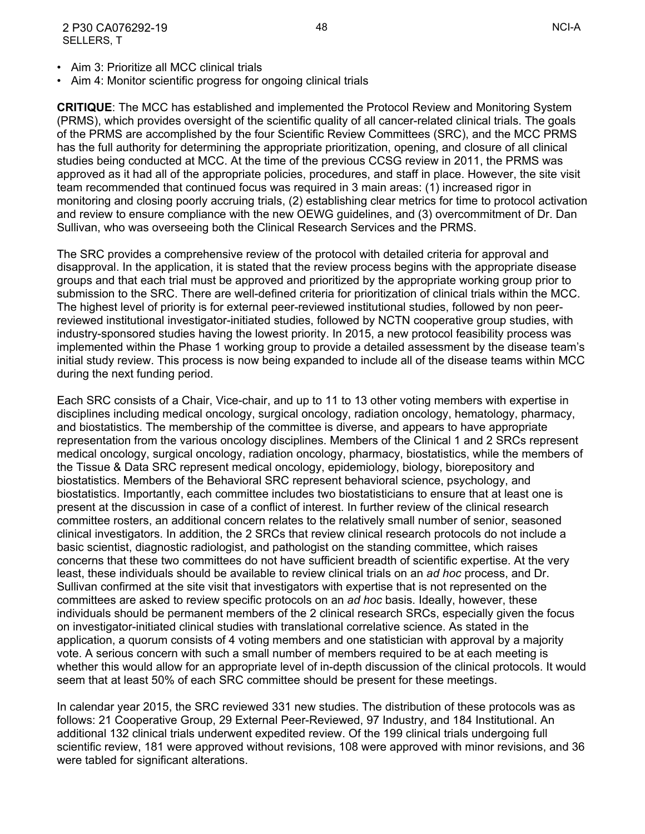- Aim 3: Prioritize all MCC clinical trials
- Aim 4: Monitor scientific progress for ongoing clinical trials

**CRITIQUE**: The MCC has established and implemented the Protocol Review and Monitoring System (PRMS), which provides oversight of the scientific quality of all cancer-related clinical trials. The goals of the PRMS are accomplished by the four Scientific Review Committees (SRC), and the MCC PRMS has the full authority for determining the appropriate prioritization, opening, and closure of all clinical studies being conducted at MCC. At the time of the previous CCSG review in 2011, the PRMS was approved as it had all of the appropriate policies, procedures, and staff in place. However, the site visit team recommended that continued focus was required in 3 main areas: (1) increased rigor in monitoring and closing poorly accruing trials, (2) establishing clear metrics for time to protocol activation and review to ensure compliance with the new OEWG guidelines, and (3) overcommitment of Dr. Dan Sullivan, who was overseeing both the Clinical Research Services and the PRMS.

The SRC provides a comprehensive review of the protocol with detailed criteria for approval and disapproval. In the application, it is stated that the review process begins with the appropriate disease groups and that each trial must be approved and prioritized by the appropriate working group prior to submission to the SRC. There are well-defined criteria for prioritization of clinical trials within the MCC. The highest level of priority is for external peer-reviewed institutional studies, followed by non peerreviewed institutional investigator-initiated studies, followed by NCTN cooperative group studies, with industry-sponsored studies having the lowest priority. In 2015, a new protocol feasibility process was implemented within the Phase 1 working group to provide a detailed assessment by the disease team's initial study review. This process is now being expanded to include all of the disease teams within MCC during the next funding period.

Each SRC consists of a Chair, Vice-chair, and up to 11 to 13 other voting members with expertise in disciplines including medical oncology, surgical oncology, radiation oncology, hematology, pharmacy, and biostatistics. The membership of the committee is diverse, and appears to have appropriate representation from the various oncology disciplines. Members of the Clinical 1 and 2 SRCs represent medical oncology, surgical oncology, radiation oncology, pharmacy, biostatistics, while the members of the Tissue & Data SRC represent medical oncology, epidemiology, biology, biorepository and biostatistics. Members of the Behavioral SRC represent behavioral science, psychology, and biostatistics. Importantly, each committee includes two biostatisticians to ensure that at least one is present at the discussion in case of a conflict of interest. In further review of the clinical research committee rosters, an additional concern relates to the relatively small number of senior, seasoned clinical investigators. In addition, the 2 SRCs that review clinical research protocols do not include a basic scientist, diagnostic radiologist, and pathologist on the standing committee, which raises concerns that these two committees do not have sufficient breadth of scientific expertise. At the very least, these individuals should be available to review clinical trials on an *ad hoc* process, and Dr. Sullivan confirmed at the site visit that investigators with expertise that is not represented on the committees are asked to review specific protocols on an *ad hoc* basis. Ideally, however, these individuals should be permanent members of the 2 clinical research SRCs, especially given the focus on investigator-initiated clinical studies with translational correlative science. As stated in the application, a quorum consists of 4 voting members and one statistician with approval by a majority vote. A serious concern with such a small number of members required to be at each meeting is whether this would allow for an appropriate level of in-depth discussion of the clinical protocols. It would seem that at least 50% of each SRC committee should be present for these meetings.

In calendar year 2015, the SRC reviewed 331 new studies. The distribution of these protocols was as follows: 21 Cooperative Group, 29 External Peer-Reviewed, 97 Industry, and 184 Institutional. An additional 132 clinical trials underwent expedited review. Of the 199 clinical trials undergoing full scientific review, 181 were approved without revisions, 108 were approved with minor revisions, and 36 were tabled for significant alterations.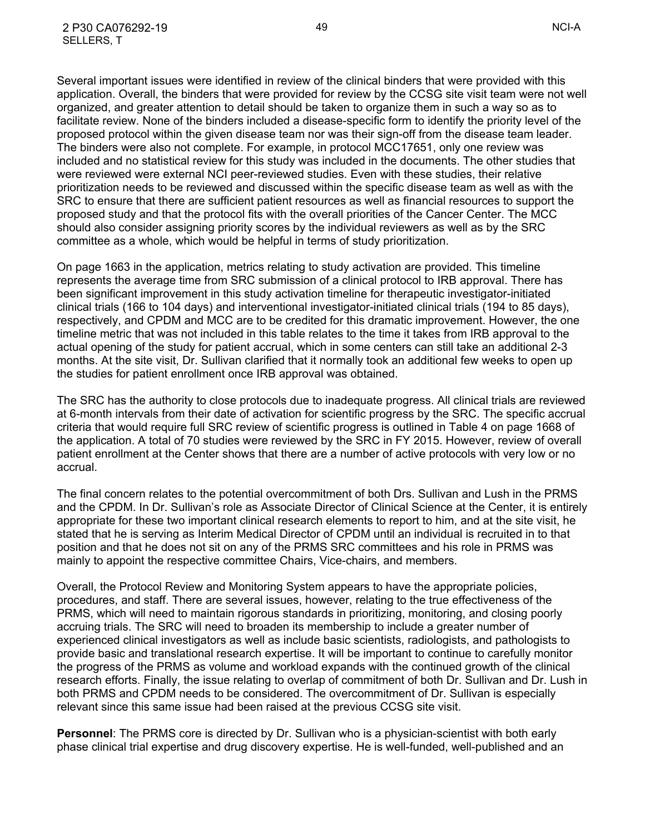Several important issues were identified in review of the clinical binders that were provided with this application. Overall, the binders that were provided for review by the CCSG site visit team were not well organized, and greater attention to detail should be taken to organize them in such a way so as to facilitate review. None of the binders included a disease-specific form to identify the priority level of the proposed protocol within the given disease team nor was their sign-off from the disease team leader. The binders were also not complete. For example, in protocol MCC17651, only one review was included and no statistical review for this study was included in the documents. The other studies that were reviewed were external NCI peer-reviewed studies. Even with these studies, their relative prioritization needs to be reviewed and discussed within the specific disease team as well as with the SRC to ensure that there are sufficient patient resources as well as financial resources to support the proposed study and that the protocol fits with the overall priorities of the Cancer Center. The MCC should also consider assigning priority scores by the individual reviewers as well as by the SRC committee as a whole, which would be helpful in terms of study prioritization.

On page 1663 in the application, metrics relating to study activation are provided. This timeline represents the average time from SRC submission of a clinical protocol to IRB approval. There has been significant improvement in this study activation timeline for therapeutic investigator-initiated clinical trials (166 to 104 days) and interventional investigator-initiated clinical trials (194 to 85 days), respectively, and CPDM and MCC are to be credited for this dramatic improvement. However, the one timeline metric that was not included in this table relates to the time it takes from IRB approval to the actual opening of the study for patient accrual, which in some centers can still take an additional 2-3 months. At the site visit, Dr. Sullivan clarified that it normally took an additional few weeks to open up the studies for patient enrollment once IRB approval was obtained.

The SRC has the authority to close protocols due to inadequate progress. All clinical trials are reviewed at 6-month intervals from their date of activation for scientific progress by the SRC. The specific accrual criteria that would require full SRC review of scientific progress is outlined in Table 4 on page 1668 of the application. A total of 70 studies were reviewed by the SRC in FY 2015. However, review of overall patient enrollment at the Center shows that there are a number of active protocols with very low or no accrual.

The final concern relates to the potential overcommitment of both Drs. Sullivan and Lush in the PRMS and the CPDM. In Dr. Sullivan's role as Associate Director of Clinical Science at the Center, it is entirely appropriate for these two important clinical research elements to report to him, and at the site visit, he stated that he is serving as Interim Medical Director of CPDM until an individual is recruited in to that position and that he does not sit on any of the PRMS SRC committees and his role in PRMS was mainly to appoint the respective committee Chairs, Vice-chairs, and members.

Overall, the Protocol Review and Monitoring System appears to have the appropriate policies, procedures, and staff. There are several issues, however, relating to the true effectiveness of the PRMS, which will need to maintain rigorous standards in prioritizing, monitoring, and closing poorly accruing trials. The SRC will need to broaden its membership to include a greater number of experienced clinical investigators as well as include basic scientists, radiologists, and pathologists to provide basic and translational research expertise. It will be important to continue to carefully monitor the progress of the PRMS as volume and workload expands with the continued growth of the clinical research efforts. Finally, the issue relating to overlap of commitment of both Dr. Sullivan and Dr. Lush in both PRMS and CPDM needs to be considered. The overcommitment of Dr. Sullivan is especially relevant since this same issue had been raised at the previous CCSG site visit.

**Personnel**: The PRMS core is directed by Dr. Sullivan who is a physician-scientist with both early phase clinical trial expertise and drug discovery expertise. He is well-funded, well-published and an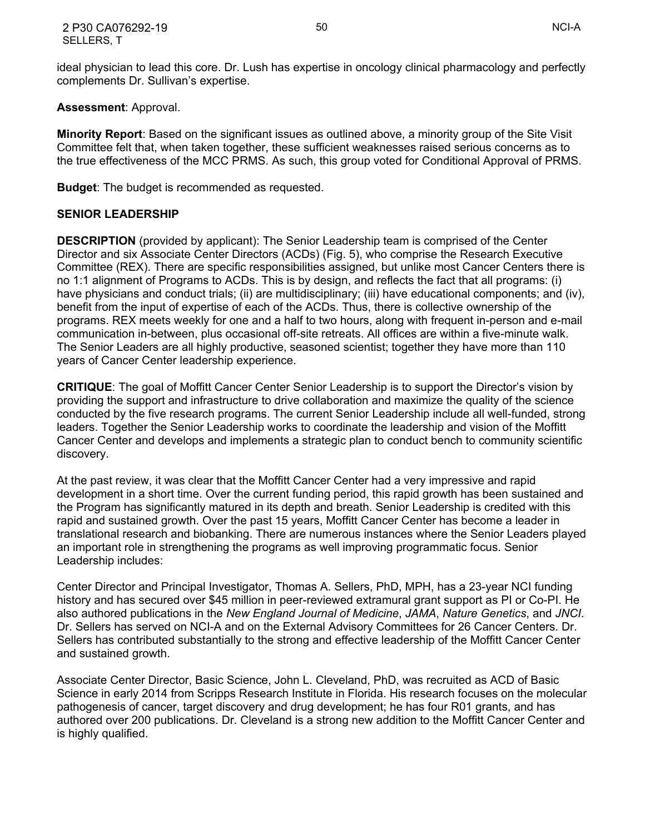ideal physician to lead this core. Dr. Lush has expertise in oncology clinical pharmacology and perfectly complements Dr. Sullivan's expertise.

**Assessment**: Approval.

**Minority Report**: Based on the significant issues as outlined above, a minority group of the Site Visit Committee felt that, when taken together, these sufficient weaknesses raised serious concerns as to the true effectiveness of the MCC PRMS. As such, this group voted for Conditional Approval of PRMS.

**Budget**: The budget is recommended as requested.

#### <span id="page-49-0"></span>**SENIOR LEADERSHIP**

**DESCRIPTION** (provided by applicant): The Senior Leadership team is comprised of the Center Director and six Associate Center Directors (ACDs) (Fig. 5), who comprise the Research Executive Committee (REX). There are specific responsibilities assigned, but unlike most Cancer Centers there is no 1:1 alignment of Programs to ACDs. This is by design, and reflects the fact that all programs: (i) have physicians and conduct trials; (ii) are multidisciplinary; (iii) have educational components; and (iv), benefit from the input of expertise of each of the ACDs. Thus, there is collective ownership of the programs. REX meets weekly for one and a half to two hours, along with frequent in-person and e-mail communication in-between, plus occasional off-site retreats. All offices are within a five-minute walk. The Senior Leaders are all highly productive, seasoned scientist; together they have more than 110 years of Cancer Center leadership experience.

**CRITIQUE**: The goal of Moffitt Cancer Center Senior Leadership is to support the Director's vision by providing the support and infrastructure to drive collaboration and maximize the quality of the science conducted by the five research programs. The current Senior Leadership include all well-funded, strong leaders. Together the Senior Leadership works to coordinate the leadership and vision of the Moffitt Cancer Center and develops and implements a strategic plan to conduct bench to community scientific discovery.

At the past review, it was clear that the Moffitt Cancer Center had a very impressive and rapid development in a short time. Over the current funding period, this rapid growth has been sustained and the Program has significantly matured in its depth and breath. Senior Leadership is credited with this rapid and sustained growth. Over the past 15 years, Moffitt Cancer Center has become a leader in translational research and biobanking. There are numerous instances where the Senior Leaders played an important role in strengthening the programs as well improving programmatic focus. Senior Leadership includes:

Center Director and Principal Investigator, Thomas A. Sellers, PhD, MPH, has a 23-year NCI funding history and has secured over \$45 million in peer-reviewed extramural grant support as PI or Co-PI. He also authored publications in the *New England Journal of Medicine*, *JAMA*, *Nature Genetics*, and *JNCI*. Dr. Sellers has served on NCI-A and on the External Advisory Committees for 26 Cancer Centers. Dr. Sellers has contributed substantially to the strong and effective leadership of the Moffitt Cancer Center and sustained growth.

Associate Center Director, Basic Science, John L. Cleveland, PhD, was recruited as ACD of Basic Science in early 2014 from Scripps Research Institute in Florida. His research focuses on the molecular pathogenesis of cancer, target discovery and drug development; he has four R01 grants, and has authored over 200 publications. Dr. Cleveland is a strong new addition to the Moffitt Cancer Center and is highly qualified.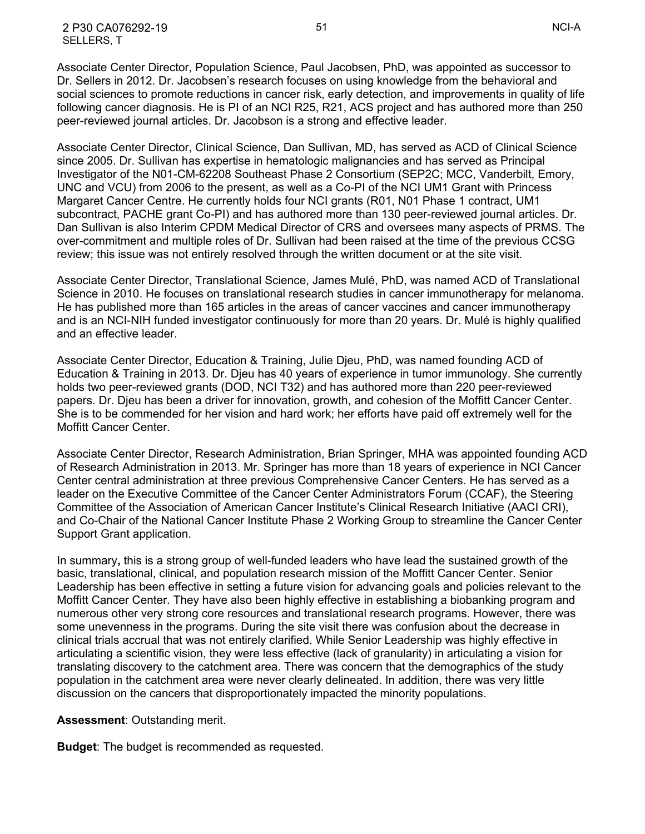2 P30 CA076292-19 51 NCI-A SELLERS, T

Associate Center Director, Population Science, Paul Jacobsen, PhD, was appointed as successor to Dr. Sellers in 2012. Dr. Jacobsen's research focuses on using knowledge from the behavioral and social sciences to promote reductions in cancer risk, early detection, and improvements in quality of life following cancer diagnosis. He is PI of an NCI R25, R21, ACS project and has authored more than 250 peer-reviewed journal articles. Dr. Jacobson is a strong and effective leader.

Associate Center Director, Clinical Science, Dan Sullivan, MD, has served as ACD of Clinical Science since 2005. Dr. Sullivan has expertise in hematologic malignancies and has served as Principal Investigator of the N01-CM-62208 Southeast Phase 2 Consortium (SEP2C; MCC, Vanderbilt, Emory, UNC and VCU) from 2006 to the present, as well as a Co-PI of the NCI UM1 Grant with Princess Margaret Cancer Centre. He currently holds four NCI grants (R01, N01 Phase 1 contract, UM1 subcontract, PACHE grant Co-PI) and has authored more than 130 peer-reviewed journal articles. Dr. Dan Sullivan is also Interim CPDM Medical Director of CRS and oversees many aspects of PRMS. The over-commitment and multiple roles of Dr. Sullivan had been raised at the time of the previous CCSG review; this issue was not entirely resolved through the written document or at the site visit.

Associate Center Director, Translational Science, James Mulé, PhD, was named ACD of Translational Science in 2010. He focuses on translational research studies in cancer immunotherapy for melanoma. He has published more than 165 articles in the areas of cancer vaccines and cancer immunotherapy and is an NCI-NIH funded investigator continuously for more than 20 years. Dr. Mulé is highly qualified and an effective leader.

Associate Center Director, Education & Training, Julie Djeu, PhD, was named founding ACD of Education & Training in 2013. Dr. Djeu has 40 years of experience in tumor immunology. She currently holds two peer-reviewed grants (DOD, NCI T32) and has authored more than 220 peer-reviewed papers. Dr. Djeu has been a driver for innovation, growth, and cohesion of the Moffitt Cancer Center. She is to be commended for her vision and hard work; her efforts have paid off extremely well for the Moffitt Cancer Center.

Associate Center Director, Research Administration, Brian Springer, MHA was appointed founding ACD of Research Administration in 2013. Mr. Springer has more than 18 years of experience in NCI Cancer Center central administration at three previous Comprehensive Cancer Centers. He has served as a leader on the Executive Committee of the Cancer Center Administrators Forum (CCAF), the Steering Committee of the Association of American Cancer Institute's Clinical Research Initiative (AACI CRI), and Co-Chair of the National Cancer Institute Phase 2 Working Group to streamline the Cancer Center Support Grant application.

In summary**,** this is a strong group of well-funded leaders who have lead the sustained growth of the basic, translational, clinical, and population research mission of the Moffitt Cancer Center. Senior Leadership has been effective in setting a future vision for advancing goals and policies relevant to the Moffitt Cancer Center. They have also been highly effective in establishing a biobanking program and numerous other very strong core resources and translational research programs. However, there was some unevenness in the programs. During the site visit there was confusion about the decrease in clinical trials accrual that was not entirely clarified. While Senior Leadership was highly effective in articulating a scientific vision, they were less effective (lack of granularity) in articulating a vision for translating discovery to the catchment area. There was concern that the demographics of the study population in the catchment area were never clearly delineated. In addition, there was very little discussion on the cancers that disproportionately impacted the minority populations.

**Assessment**: Outstanding merit.

**Budget**: The budget is recommended as requested.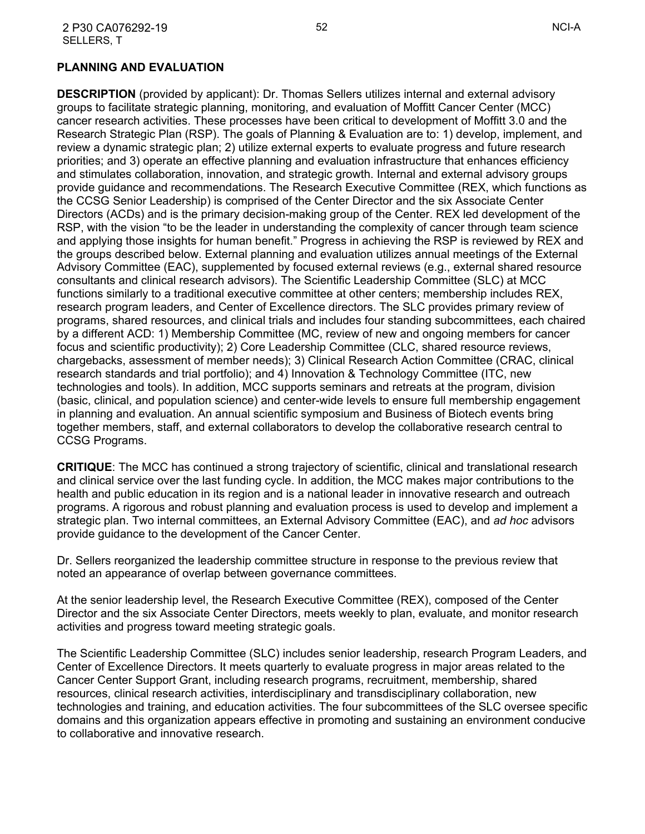#### <span id="page-51-0"></span>**PLANNING AND EVALUATION**

**DESCRIPTION** (provided by applicant): Dr. Thomas Sellers utilizes internal and external advisory groups to facilitate strategic planning, monitoring, and evaluation of Moffitt Cancer Center (MCC) cancer research activities. These processes have been critical to development of Moffitt 3.0 and the Research Strategic Plan (RSP). The goals of Planning & Evaluation are to: 1) develop, implement, and review a dynamic strategic plan; 2) utilize external experts to evaluate progress and future research priorities; and 3) operate an effective planning and evaluation infrastructure that enhances efficiency and stimulates collaboration, innovation, and strategic growth. Internal and external advisory groups provide guidance and recommendations. The Research Executive Committee (REX, which functions as the CCSG Senior Leadership) is comprised of the Center Director and the six Associate Center Directors (ACDs) and is the primary decision-making group of the Center. REX led development of the RSP, with the vision "to be the leader in understanding the complexity of cancer through team science and applying those insights for human benefit." Progress in achieving the RSP is reviewed by REX and the groups described below. External planning and evaluation utilizes annual meetings of the External Advisory Committee (EAC), supplemented by focused external reviews (e.g., external shared resource consultants and clinical research advisors). The Scientific Leadership Committee (SLC) at MCC functions similarly to a traditional executive committee at other centers; membership includes REX, research program leaders, and Center of Excellence directors. The SLC provides primary review of programs, shared resources, and clinical trials and includes four standing subcommittees, each chaired by a different ACD: 1) Membership Committee (MC, review of new and ongoing members for cancer focus and scientific productivity); 2) Core Leadership Committee (CLC, shared resource reviews, chargebacks, assessment of member needs); 3) Clinical Research Action Committee (CRAC, clinical research standards and trial portfolio); and 4) Innovation & Technology Committee (ITC, new technologies and tools). In addition, MCC supports seminars and retreats at the program, division (basic, clinical, and population science) and center-wide levels to ensure full membership engagement in planning and evaluation. An annual scientific symposium and Business of Biotech events bring together members, staff, and external collaborators to develop the collaborative research central to CCSG Programs.

**CRITIQUE**: The MCC has continued a strong trajectory of scientific, clinical and translational research and clinical service over the last funding cycle. In addition, the MCC makes major contributions to the health and public education in its region and is a national leader in innovative research and outreach programs. A rigorous and robust planning and evaluation process is used to develop and implement a strategic plan. Two internal committees, an External Advisory Committee (EAC), and *ad hoc* advisors provide guidance to the development of the Cancer Center.

Dr. Sellers reorganized the leadership committee structure in response to the previous review that noted an appearance of overlap between governance committees.

At the senior leadership level, the Research Executive Committee (REX), composed of the Center Director and the six Associate Center Directors, meets weekly to plan, evaluate, and monitor research activities and progress toward meeting strategic goals.

The Scientific Leadership Committee (SLC) includes senior leadership, research Program Leaders, and Center of Excellence Directors. It meets quarterly to evaluate progress in major areas related to the Cancer Center Support Grant, including research programs, recruitment, membership, shared resources, clinical research activities, interdisciplinary and transdisciplinary collaboration, new technologies and training, and education activities. The four subcommittees of the SLC oversee specific domains and this organization appears effective in promoting and sustaining an environment conducive to collaborative and innovative research.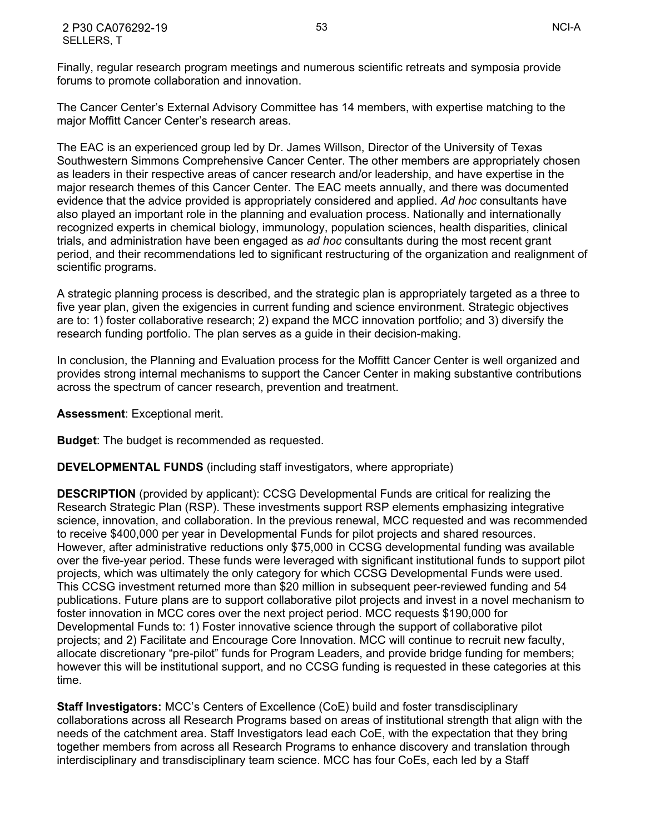Finally, regular research program meetings and numerous scientific retreats and symposia provide forums to promote collaboration and innovation.

The Cancer Center's External Advisory Committee has 14 members, with expertise matching to the major Moffitt Cancer Center's research areas.

The EAC is an experienced group led by Dr. James Willson, Director of the University of Texas Southwestern Simmons Comprehensive Cancer Center. The other members are appropriately chosen as leaders in their respective areas of cancer research and/or leadership, and have expertise in the major research themes of this Cancer Center. The EAC meets annually, and there was documented evidence that the advice provided is appropriately considered and applied. *Ad hoc* consultants have also played an important role in the planning and evaluation process. Nationally and internationally recognized experts in chemical biology, immunology, population sciences, health disparities, clinical trials, and administration have been engaged as *ad hoc* consultants during the most recent grant period, and their recommendations led to significant restructuring of the organization and realignment of scientific programs.

A strategic planning process is described, and the strategic plan is appropriately targeted as a three to five year plan, given the exigencies in current funding and science environment. Strategic objectives are to: 1) foster collaborative research; 2) expand the MCC innovation portfolio; and 3) diversify the research funding portfolio. The plan serves as a guide in their decision-making.

In conclusion, the Planning and Evaluation process for the Moffitt Cancer Center is well organized and provides strong internal mechanisms to support the Cancer Center in making substantive contributions across the spectrum of cancer research, prevention and treatment.

**Assessment**: Exceptional merit.

**Budget**: The budget is recommended as requested.

<span id="page-52-0"></span>**DEVELOPMENTAL FUNDS** (including staff investigators, where appropriate)

**DESCRIPTION** (provided by applicant): CCSG Developmental Funds are critical for realizing the Research Strategic Plan (RSP). These investments support RSP elements emphasizing integrative science, innovation, and collaboration. In the previous renewal, MCC requested and was recommended to receive \$400,000 per year in Developmental Funds for pilot projects and shared resources. However, after administrative reductions only \$75,000 in CCSG developmental funding was available over the five-year period. These funds were leveraged with significant institutional funds to support pilot projects, which was ultimately the only category for which CCSG Developmental Funds were used. This CCSG investment returned more than \$20 million in subsequent peer-reviewed funding and 54 publications. Future plans are to support collaborative pilot projects and invest in a novel mechanism to foster innovation in MCC cores over the next project period. MCC requests \$190,000 for Developmental Funds to: 1) Foster innovative science through the support of collaborative pilot projects; and 2) Facilitate and Encourage Core Innovation. MCC will continue to recruit new faculty, allocate discretionary "pre-pilot" funds for Program Leaders, and provide bridge funding for members; however this will be institutional support, and no CCSG funding is requested in these categories at this time.

**Staff Investigators:** MCC's Centers of Excellence (CoE) build and foster transdisciplinary collaborations across all Research Programs based on areas of institutional strength that align with the needs of the catchment area. Staff Investigators lead each CoE, with the expectation that they bring together members from across all Research Programs to enhance discovery and translation through interdisciplinary and transdisciplinary team science. MCC has four CoEs, each led by a Staff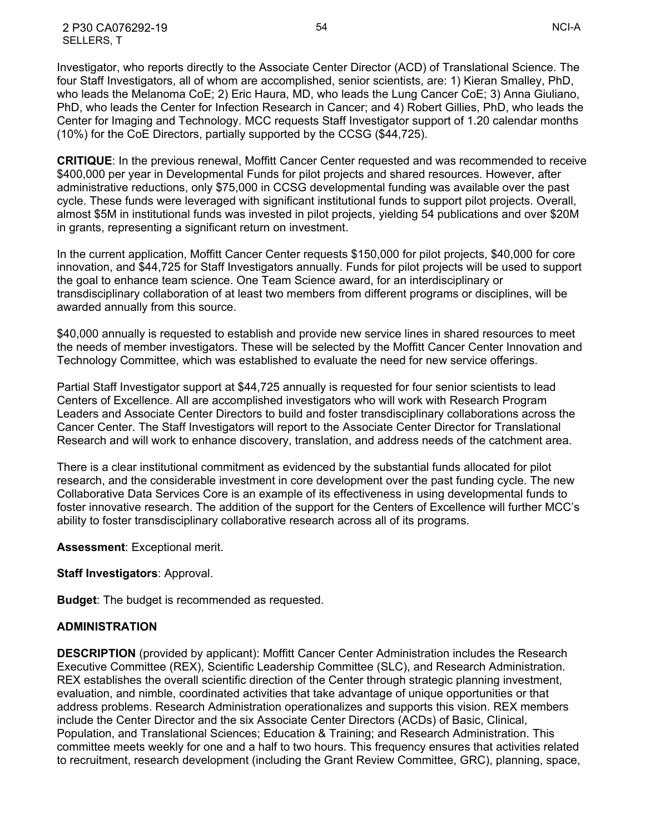2 P30 CA076292-19 54 NCI-A SELLERS, T

Investigator, who reports directly to the Associate Center Director (ACD) of Translational Science. The four Staff Investigators, all of whom are accomplished, senior scientists, are: 1) Kieran Smalley, PhD, who leads the Melanoma CoE; 2) Eric Haura, MD, who leads the Lung Cancer CoE; 3) Anna Giuliano, PhD, who leads the Center for Infection Research in Cancer; and 4) Robert Gillies, PhD, who leads the Center for Imaging and Technology. MCC requests Staff Investigator support of 1.20 calendar months (10%) for the CoE Directors, partially supported by the CCSG (\$44,725).

**CRITIQUE**: In the previous renewal, Moffitt Cancer Center requested and was recommended to receive \$400,000 per year in Developmental Funds for pilot projects and shared resources. However, after administrative reductions, only \$75,000 in CCSG developmental funding was available over the past cycle. These funds were leveraged with significant institutional funds to support pilot projects. Overall, almost \$5M in institutional funds was invested in pilot projects, yielding 54 publications and over \$20M in grants, representing a significant return on investment.

In the current application, Moffitt Cancer Center requests \$150,000 for pilot projects, \$40,000 for core innovation, and \$44,725 for Staff Investigators annually. Funds for pilot projects will be used to support the goal to enhance team science. One Team Science award, for an interdisciplinary or transdisciplinary collaboration of at least two members from different programs or disciplines, will be awarded annually from this source.

\$40,000 annually is requested to establish and provide new service lines in shared resources to meet the needs of member investigators. These will be selected by the Moffitt Cancer Center Innovation and Technology Committee, which was established to evaluate the need for new service offerings.

Partial Staff Investigator support at \$44,725 annually is requested for four senior scientists to lead Centers of Excellence. All are accomplished investigators who will work with Research Program Leaders and Associate Center Directors to build and foster transdisciplinary collaborations across the Cancer Center. The Staff Investigators will report to the Associate Center Director for Translational Research and will work to enhance discovery, translation, and address needs of the catchment area.

There is a clear institutional commitment as evidenced by the substantial funds allocated for pilot research, and the considerable investment in core development over the past funding cycle. The new Collaborative Data Services Core is an example of its effectiveness in using developmental funds to foster innovative research. The addition of the support for the Centers of Excellence will further MCC's ability to foster transdisciplinary collaborative research across all of its programs.

**Assessment**: Exceptional merit.

**Staff Investigators**: Approval.

**Budget**: The budget is recommended as requested.

#### <span id="page-53-0"></span>**ADMINISTRATION**

**DESCRIPTION** (provided by applicant): Moffitt Cancer Center Administration includes the Research Executive Committee (REX), Scientific Leadership Committee (SLC), and Research Administration. REX establishes the overall scientific direction of the Center through strategic planning investment, evaluation, and nimble, coordinated activities that take advantage of unique opportunities or that address problems. Research Administration operationalizes and supports this vision. REX members include the Center Director and the six Associate Center Directors (ACDs) of Basic, Clinical, Population, and Translational Sciences; Education & Training; and Research Administration. This committee meets weekly for one and a half to two hours. This frequency ensures that activities related to recruitment, research development (including the Grant Review Committee, GRC), planning, space,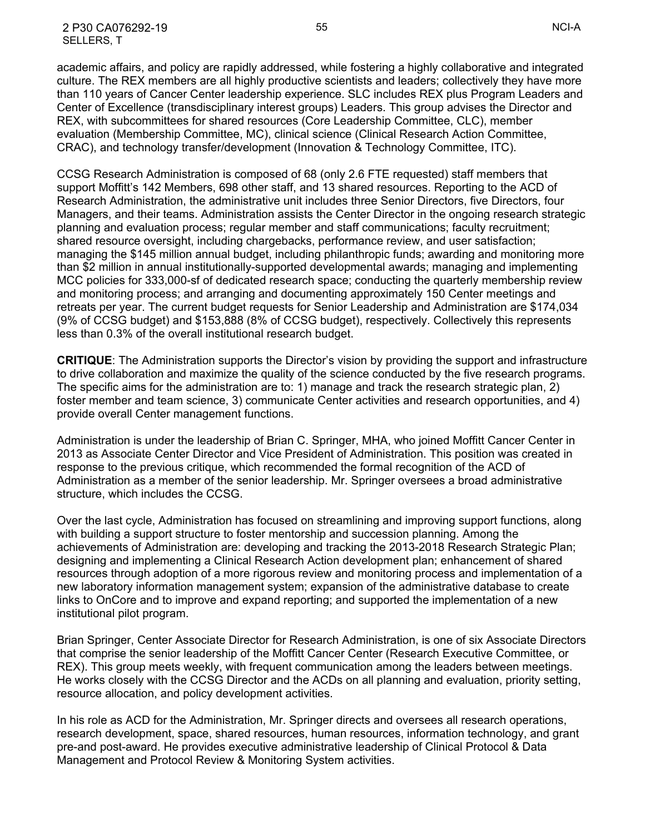2 P30 CA076292-19 55 NCI-A SELLERS, T

academic affairs, and policy are rapidly addressed, while fostering a highly collaborative and integrated culture. The REX members are all highly productive scientists and leaders; collectively they have more than 110 years of Cancer Center leadership experience. SLC includes REX plus Program Leaders and Center of Excellence (transdisciplinary interest groups) Leaders. This group advises the Director and REX, with subcommittees for shared resources (Core Leadership Committee, CLC), member evaluation (Membership Committee, MC), clinical science (Clinical Research Action Committee, CRAC), and technology transfer/development (Innovation & Technology Committee, ITC).

CCSG Research Administration is composed of 68 (only 2.6 FTE requested) staff members that support Moffitt's 142 Members, 698 other staff, and 13 shared resources. Reporting to the ACD of Research Administration, the administrative unit includes three Senior Directors, five Directors, four Managers, and their teams. Administration assists the Center Director in the ongoing research strategic planning and evaluation process; regular member and staff communications; faculty recruitment; shared resource oversight, including chargebacks, performance review, and user satisfaction; managing the \$145 million annual budget, including philanthropic funds; awarding and monitoring more than \$2 million in annual institutionally-supported developmental awards; managing and implementing MCC policies for 333,000-sf of dedicated research space; conducting the quarterly membership review and monitoring process; and arranging and documenting approximately 150 Center meetings and retreats per year. The current budget requests for Senior Leadership and Administration are \$174,034 (9% of CCSG budget) and \$153,888 (8% of CCSG budget), respectively. Collectively this represents less than 0.3% of the overall institutional research budget.

**CRITIQUE**: The Administration supports the Director's vision by providing the support and infrastructure to drive collaboration and maximize the quality of the science conducted by the five research programs. The specific aims for the administration are to: 1) manage and track the research strategic plan, 2) foster member and team science, 3) communicate Center activities and research opportunities, and 4) provide overall Center management functions.

Administration is under the leadership of Brian C. Springer, MHA, who joined Moffitt Cancer Center in 2013 as Associate Center Director and Vice President of Administration. This position was created in response to the previous critique, which recommended the formal recognition of the ACD of Administration as a member of the senior leadership. Mr. Springer oversees a broad administrative structure, which includes the CCSG.

Over the last cycle, Administration has focused on streamlining and improving support functions, along with building a support structure to foster mentorship and succession planning. Among the achievements of Administration are: developing and tracking the 2013-2018 Research Strategic Plan; designing and implementing a Clinical Research Action development plan; enhancement of shared resources through adoption of a more rigorous review and monitoring process and implementation of a new laboratory information management system; expansion of the administrative database to create links to OnCore and to improve and expand reporting; and supported the implementation of a new institutional pilot program.

Brian Springer, Center Associate Director for Research Administration, is one of six Associate Directors that comprise the senior leadership of the Moffitt Cancer Center (Research Executive Committee, or REX). This group meets weekly, with frequent communication among the leaders between meetings. He works closely with the CCSG Director and the ACDs on all planning and evaluation, priority setting, resource allocation, and policy development activities.

In his role as ACD for the Administration, Mr. Springer directs and oversees all research operations, research development, space, shared resources, human resources, information technology, and grant pre-and post-award. He provides executive administrative leadership of Clinical Protocol & Data Management and Protocol Review & Monitoring System activities.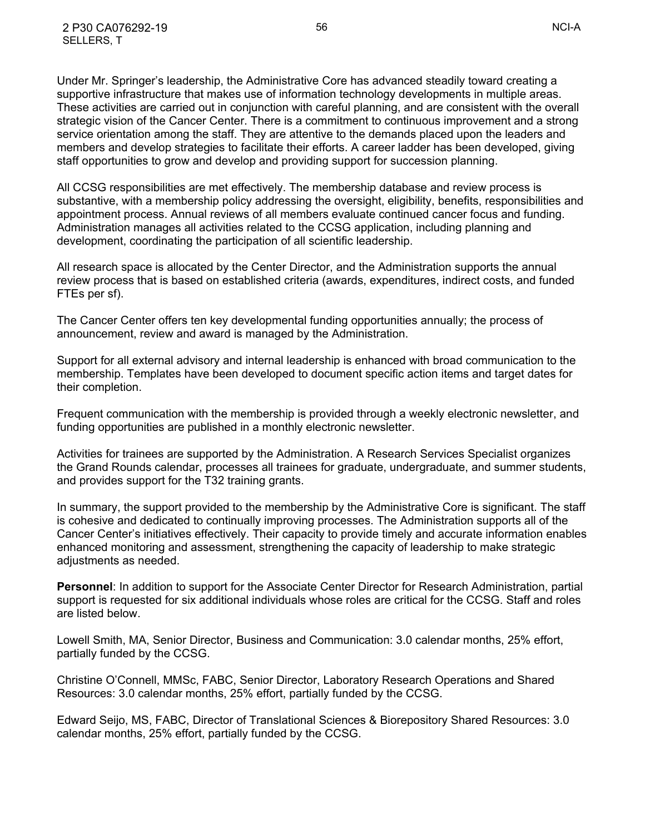Under Mr. Springer's leadership, the Administrative Core has advanced steadily toward creating a supportive infrastructure that makes use of information technology developments in multiple areas. These activities are carried out in conjunction with careful planning, and are consistent with the overall strategic vision of the Cancer Center. There is a commitment to continuous improvement and a strong service orientation among the staff. They are attentive to the demands placed upon the leaders and members and develop strategies to facilitate their efforts. A career ladder has been developed, giving staff opportunities to grow and develop and providing support for succession planning.

All CCSG responsibilities are met effectively. The membership database and review process is substantive, with a membership policy addressing the oversight, eligibility, benefits, responsibilities and appointment process. Annual reviews of all members evaluate continued cancer focus and funding. Administration manages all activities related to the CCSG application, including planning and development, coordinating the participation of all scientific leadership.

All research space is allocated by the Center Director, and the Administration supports the annual review process that is based on established criteria (awards, expenditures, indirect costs, and funded FTEs per sf).

The Cancer Center offers ten key developmental funding opportunities annually; the process of announcement, review and award is managed by the Administration.

Support for all external advisory and internal leadership is enhanced with broad communication to the membership. Templates have been developed to document specific action items and target dates for their completion.

Frequent communication with the membership is provided through a weekly electronic newsletter, and funding opportunities are published in a monthly electronic newsletter.

Activities for trainees are supported by the Administration. A Research Services Specialist organizes the Grand Rounds calendar, processes all trainees for graduate, undergraduate, and summer students, and provides support for the T32 training grants.

In summary, the support provided to the membership by the Administrative Core is significant. The staff is cohesive and dedicated to continually improving processes. The Administration supports all of the Cancer Center's initiatives effectively. Their capacity to provide timely and accurate information enables enhanced monitoring and assessment, strengthening the capacity of leadership to make strategic adjustments as needed.

**Personnel**: In addition to support for the Associate Center Director for Research Administration, partial support is requested for six additional individuals whose roles are critical for the CCSG. Staff and roles are listed below.

Lowell Smith, MA, Senior Director, Business and Communication: 3.0 calendar months, 25% effort, partially funded by the CCSG.

Christine O'Connell, MMSc, FABC, Senior Director, Laboratory Research Operations and Shared Resources: 3.0 calendar months, 25% effort, partially funded by the CCSG.

Edward Seijo, MS, FABC, Director of Translational Sciences & Biorepository Shared Resources: 3.0 calendar months, 25% effort, partially funded by the CCSG.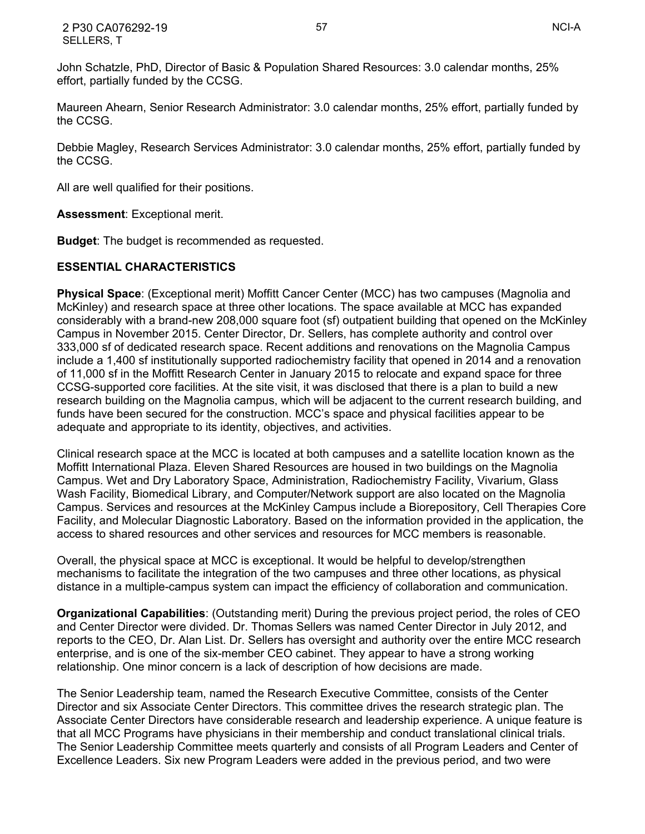John Schatzle, PhD, Director of Basic & Population Shared Resources: 3.0 calendar months, 25% effort, partially funded by the CCSG.

Maureen Ahearn, Senior Research Administrator: 3.0 calendar months, 25% effort, partially funded by the CCSG.

Debbie Magley, Research Services Administrator: 3.0 calendar months, 25% effort, partially funded by the CCSG.

All are well qualified for their positions.

**Assessment**: Exceptional merit.

**Budget**: The budget is recommended as requested.

## <span id="page-56-0"></span>**ESSENTIAL CHARACTERISTICS**

<span id="page-56-1"></span>**Physical Space**: (Exceptional merit) Moffitt Cancer Center (MCC) has two campuses (Magnolia and McKinley) and research space at three other locations. The space available at MCC has expanded considerably with a brand-new 208,000 square foot (sf) outpatient building that opened on the McKinley Campus in November 2015. Center Director, Dr. Sellers, has complete authority and control over 333,000 sf of dedicated research space. Recent additions and renovations on the Magnolia Campus include a 1,400 sf institutionally supported radiochemistry facility that opened in 2014 and a renovation of 11,000 sf in the Moffitt Research Center in January 2015 to relocate and expand space for three CCSG-supported core facilities. At the site visit, it was disclosed that there is a plan to build a new research building on the Magnolia campus, which will be adjacent to the current research building, and funds have been secured for the construction. MCC's space and physical facilities appear to be adequate and appropriate to its identity, objectives, and activities.

Clinical research space at the MCC is located at both campuses and a satellite location known as the Moffitt International Plaza. Eleven Shared Resources are housed in two buildings on the Magnolia Campus. Wet and Dry Laboratory Space, Administration, Radiochemistry Facility, Vivarium, Glass Wash Facility, Biomedical Library, and Computer/Network support are also located on the Magnolia Campus. Services and resources at the McKinley Campus include a Biorepository, Cell Therapies Core Facility, and Molecular Diagnostic Laboratory. Based on the information provided in the application, the access to shared resources and other services and resources for MCC members is reasonable.

Overall, the physical space at MCC is exceptional. It would be helpful to develop/strengthen mechanisms to facilitate the integration of the two campuses and three other locations, as physical distance in a multiple-campus system can impact the efficiency of collaboration and communication.

<span id="page-56-2"></span>**Organizational Capabilities**: (Outstanding merit) During the previous project period, the roles of CEO and Center Director were divided. Dr. Thomas Sellers was named Center Director in July 2012, and reports to the CEO, Dr. Alan List. Dr. Sellers has oversight and authority over the entire MCC research enterprise, and is one of the six-member CEO cabinet. They appear to have a strong working relationship. One minor concern is a lack of description of how decisions are made.

The Senior Leadership team, named the Research Executive Committee, consists of the Center Director and six Associate Center Directors. This committee drives the research strategic plan. The Associate Center Directors have considerable research and leadership experience. A unique feature is that all MCC Programs have physicians in their membership and conduct translational clinical trials. The Senior Leadership Committee meets quarterly and consists of all Program Leaders and Center of Excellence Leaders. Six new Program Leaders were added in the previous period, and two were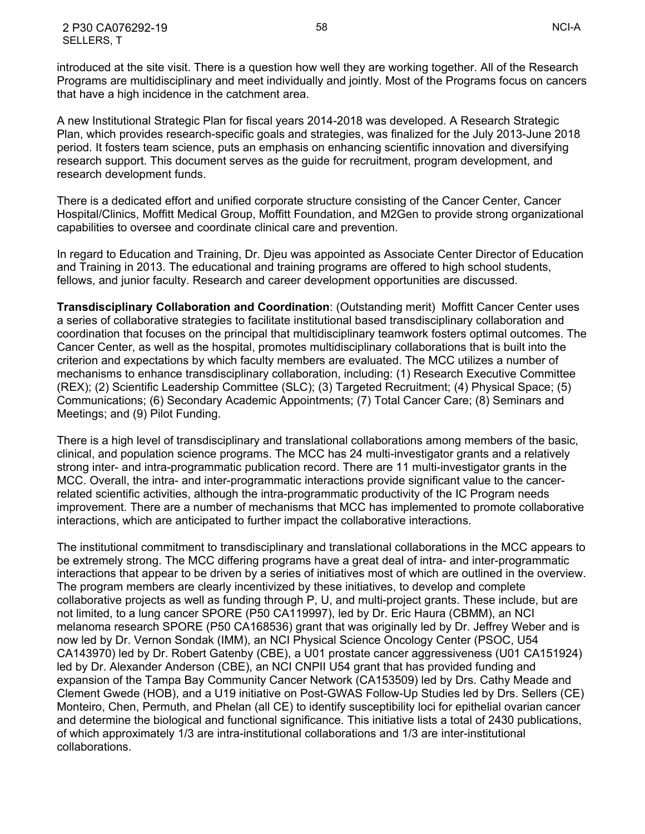introduced at the site visit. There is a question how well they are working together. All of the Research Programs are multidisciplinary and meet individually and jointly. Most of the Programs focus on cancers that have a high incidence in the catchment area.

A new Institutional Strategic Plan for fiscal years 2014-2018 was developed. A Research Strategic Plan, which provides research-specific goals and strategies, was finalized for the July 2013-June 2018 period. It fosters team science, puts an emphasis on enhancing scientific innovation and diversifying research support. This document serves as the guide for recruitment, program development, and research development funds.

There is a dedicated effort and unified corporate structure consisting of the Cancer Center, Cancer Hospital/Clinics, Moffitt Medical Group, Moffitt Foundation, and M2Gen to provide strong organizational capabilities to oversee and coordinate clinical care and prevention.

In regard to Education and Training, Dr. Djeu was appointed as Associate Center Director of Education and Training in 2013. The educational and training programs are offered to high school students, fellows, and junior faculty. Research and career development opportunities are discussed.

<span id="page-57-0"></span>**Transdisciplinary Collaboration and Coordination**: (Outstanding merit) Moffitt Cancer Center uses a series of collaborative strategies to facilitate institutional based transdisciplinary collaboration and coordination that focuses on the principal that multidisciplinary teamwork fosters optimal outcomes. The Cancer Center, as well as the hospital, promotes multidisciplinary collaborations that is built into the criterion and expectations by which faculty members are evaluated. The MCC utilizes a number of mechanisms to enhance transdisciplinary collaboration, including: (1) Research Executive Committee (REX); (2) Scientific Leadership Committee (SLC); (3) Targeted Recruitment; (4) Physical Space; (5) Communications; (6) Secondary Academic Appointments; (7) Total Cancer Care; (8) Seminars and Meetings; and (9) Pilot Funding.

There is a high level of transdisciplinary and translational collaborations among members of the basic, clinical, and population science programs. The MCC has 24 multi-investigator grants and a relatively strong inter- and intra-programmatic publication record. There are 11 multi-investigator grants in the MCC. Overall, the intra- and inter-programmatic interactions provide significant value to the cancerrelated scientific activities, although the intra-programmatic productivity of the IC Program needs improvement. There are a number of mechanisms that MCC has implemented to promote collaborative interactions, which are anticipated to further impact the collaborative interactions.

The institutional commitment to transdisciplinary and translational collaborations in the MCC appears to be extremely strong. The MCC differing programs have a great deal of intra- and inter-programmatic interactions that appear to be driven by a series of initiatives most of which are outlined in the overview. The program members are clearly incentivized by these initiatives, to develop and complete collaborative projects as well as funding through P, U, and multi-project grants. These include, but are not limited, to a lung cancer SPORE (P50 CA119997), led by Dr. Eric Haura (CBMM), an NCI melanoma research SPORE (P50 CA168536) grant that was originally led by Dr. Jeffrey Weber and is now led by Dr. Vernon Sondak (IMM), an NCI Physical Science Oncology Center (PSOC, U54 CA143970) led by Dr. Robert Gatenby (CBE), a U01 prostate cancer aggressiveness (U01 CA151924) led by Dr. Alexander Anderson (CBE), an NCI CNPII U54 grant that has provided funding and expansion of the Tampa Bay Community Cancer Network (CA153509) led by Drs. Cathy Meade and Clement Gwede (HOB), and a U19 initiative on Post-GWAS Follow-Up Studies led by Drs. Sellers (CE) Monteiro, Chen, Permuth, and Phelan (all CE) to identify susceptibility loci for epithelial ovarian cancer and determine the biological and functional significance. This initiative lists a total of 2430 publications, of which approximately 1/3 are intra-institutional collaborations and 1/3 are inter-institutional collaborations.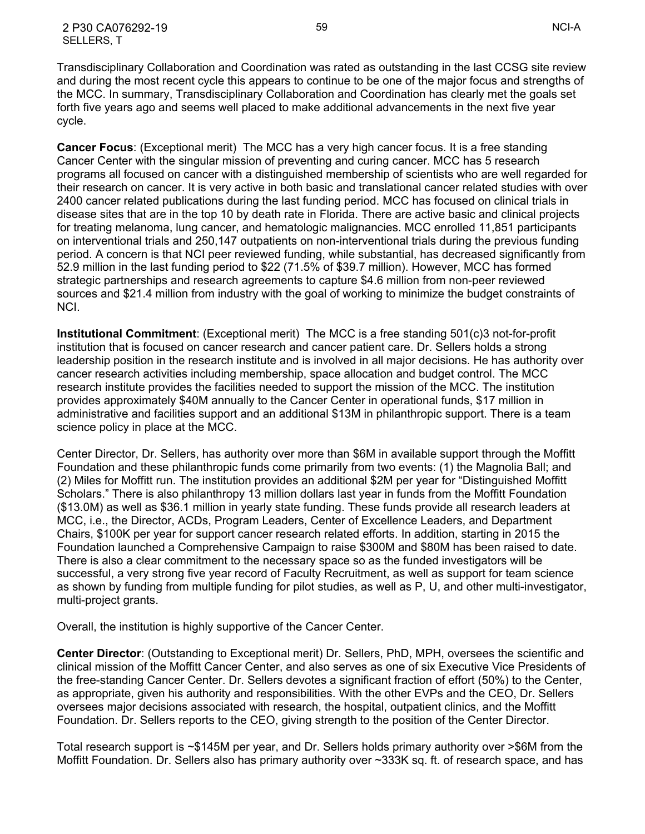Transdisciplinary Collaboration and Coordination was rated as outstanding in the last CCSG site review and during the most recent cycle this appears to continue to be one of the major focus and strengths of the MCC. In summary, Transdisciplinary Collaboration and Coordination has clearly met the goals set forth five years ago and seems well placed to make additional advancements in the next five year cycle.

<span id="page-58-0"></span>**Cancer Focus**: (Exceptional merit) The MCC has a very high cancer focus. It is a free standing Cancer Center with the singular mission of preventing and curing cancer. MCC has 5 research programs all focused on cancer with a distinguished membership of scientists who are well regarded for their research on cancer. It is very active in both basic and translational cancer related studies with over 2400 cancer related publications during the last funding period. MCC has focused on clinical trials in disease sites that are in the top 10 by death rate in Florida. There are active basic and clinical projects for treating melanoma, lung cancer, and hematologic malignancies. MCC enrolled 11,851 participants on interventional trials and 250,147 outpatients on non-interventional trials during the previous funding period. A concern is that NCI peer reviewed funding, while substantial, has decreased significantly from 52.9 million in the last funding period to \$22 (71.5% of \$39.7 million). However, MCC has formed strategic partnerships and research agreements to capture \$4.6 million from non-peer reviewed sources and \$21.4 million from industry with the goal of working to minimize the budget constraints of NCI.

<span id="page-58-1"></span>**Institutional Commitment**: (Exceptional merit) The MCC is a free standing 501(c)3 not-for-profit institution that is focused on cancer research and cancer patient care. Dr. Sellers holds a strong leadership position in the research institute and is involved in all major decisions. He has authority over cancer research activities including membership, space allocation and budget control. The MCC research institute provides the facilities needed to support the mission of the MCC. The institution provides approximately \$40M annually to the Cancer Center in operational funds, \$17 million in administrative and facilities support and an additional \$13M in philanthropic support. There is a team science policy in place at the MCC.

Center Director, Dr. Sellers, has authority over more than \$6M in available support through the Moffitt Foundation and these philanthropic funds come primarily from two events: (1) the Magnolia Ball; and (2) Miles for Moffitt run. The institution provides an additional \$2M per year for "Distinguished Moffitt Scholars." There is also philanthropy 13 million dollars last year in funds from the Moffitt Foundation (\$13.0M) as well as \$36.1 million in yearly state funding. These funds provide all research leaders at MCC, i.e., the Director, ACDs, Program Leaders, Center of Excellence Leaders, and Department Chairs, \$100K per year for support cancer research related efforts. In addition, starting in 2015 the Foundation launched a Comprehensive Campaign to raise \$300M and \$80M has been raised to date. There is also a clear commitment to the necessary space so as the funded investigators will be successful, a very strong five year record of Faculty Recruitment, as well as support for team science as shown by funding from multiple funding for pilot studies, as well as P, U, and other multi-investigator, multi-project grants.

Overall, the institution is highly supportive of the Cancer Center.

<span id="page-58-2"></span>**Center Director**: (Outstanding to Exceptional merit) Dr. Sellers, PhD, MPH, oversees the scientific and clinical mission of the Moffitt Cancer Center, and also serves as one of six Executive Vice Presidents of the free-standing Cancer Center. Dr. Sellers devotes a significant fraction of effort (50%) to the Center, as appropriate, given his authority and responsibilities. With the other EVPs and the CEO, Dr. Sellers oversees major decisions associated with research, the hospital, outpatient clinics, and the Moffitt Foundation. Dr. Sellers reports to the CEO, giving strength to the position of the Center Director.

Total research support is ~\$145M per year, and Dr. Sellers holds primary authority over >\$6M from the Moffitt Foundation. Dr. Sellers also has primary authority over ~333K sq. ft. of research space, and has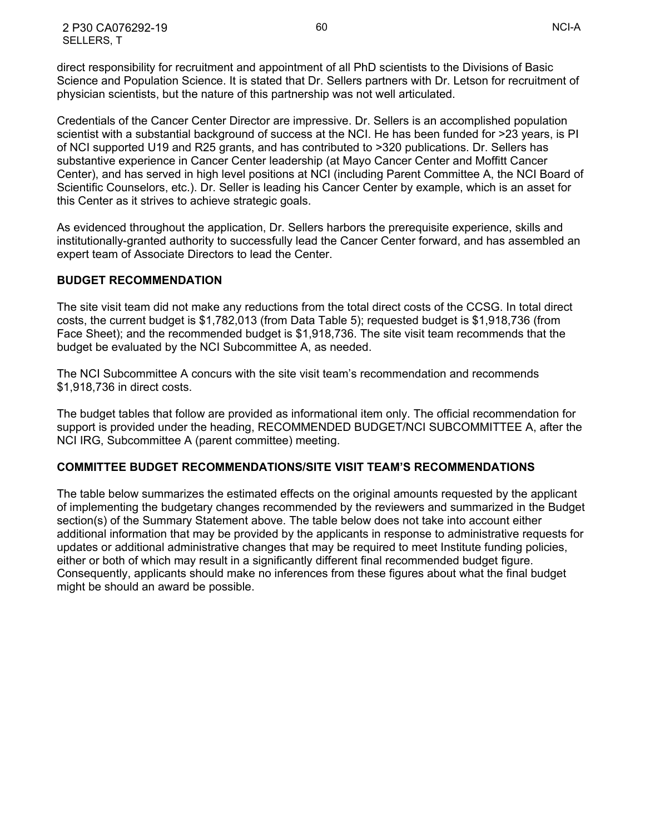direct responsibility for recruitment and appointment of all PhD scientists to the Divisions of Basic Science and Population Science. It is stated that Dr. Sellers partners with Dr. Letson for recruitment of physician scientists, but the nature of this partnership was not well articulated.

Credentials of the Cancer Center Director are impressive. Dr. Sellers is an accomplished population scientist with a substantial background of success at the NCI. He has been funded for >23 years, is PI of NCI supported U19 and R25 grants, and has contributed to >320 publications. Dr. Sellers has substantive experience in Cancer Center leadership (at Mayo Cancer Center and Moffitt Cancer Center), and has served in high level positions at NCI (including Parent Committee A, the NCI Board of Scientific Counselors, etc.). Dr. Seller is leading his Cancer Center by example, which is an asset for this Center as it strives to achieve strategic goals.

As evidenced throughout the application, Dr. Sellers harbors the prerequisite experience, skills and institutionally-granted authority to successfully lead the Cancer Center forward, and has assembled an expert team of Associate Directors to lead the Center.

#### <span id="page-59-0"></span>**BUDGET RECOMMENDATION**

The site visit team did not make any reductions from the total direct costs of the CCSG. In total direct costs, the current budget is \$1,782,013 (from Data Table 5); requested budget is \$1,918,736 (from Face Sheet); and the recommended budget is \$1,918,736. The site visit team recommends that the budget be evaluated by the NCI Subcommittee A, as needed.

The NCI Subcommittee A concurs with the site visit team's recommendation and recommends \$1,918,736 in direct costs.

The budget tables that follow are provided as informational item only. The official recommendation for support is provided under the heading, RECOMMENDED BUDGET/NCI SUBCOMMITTEE A, after the NCI IRG, Subcommittee A (parent committee) meeting.

#### <span id="page-59-1"></span>**COMMITTEE BUDGET RECOMMENDATIONS/SITE VISIT TEAM'S RECOMMENDATIONS**

The table below summarizes the estimated effects on the original amounts requested by the applicant of implementing the budgetary changes recommended by the reviewers and summarized in the Budget section(s) of the Summary Statement above. The table below does not take into account either additional information that may be provided by the applicants in response to administrative requests for updates or additional administrative changes that may be required to meet Institute funding policies, either or both of which may result in a significantly different final recommended budget figure. Consequently, applicants should make no inferences from these figures about what the final budget might be should an award be possible.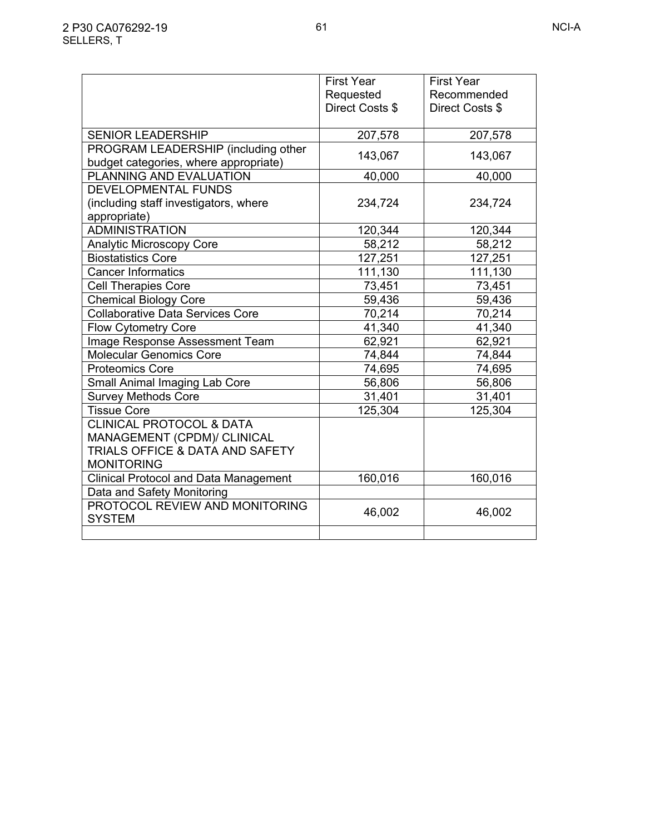|                                                                              | <b>First Year</b><br>Requested | <b>First Year</b><br>Recommended |  |
|------------------------------------------------------------------------------|--------------------------------|----------------------------------|--|
|                                                                              | Direct Costs \$                | Direct Costs \$                  |  |
| <b>SENIOR LEADERSHIP</b>                                                     | 207,578                        | 207,578                          |  |
| PROGRAM LEADERSHIP (including other<br>budget categories, where appropriate) | 143,067                        | 143,067                          |  |
| PLANNING AND EVALUATION                                                      | 40,000                         | 40,000                           |  |
| <b>DEVELOPMENTAL FUNDS</b>                                                   |                                |                                  |  |
| (including staff investigators, where<br>appropriate)                        | 234,724                        | 234,724                          |  |
| <b>ADMINISTRATION</b>                                                        | 120,344                        | 120,344                          |  |
| <b>Analytic Microscopy Core</b>                                              | 58,212                         | 58,212                           |  |
| <b>Biostatistics Core</b>                                                    | 127,251                        | 127,251                          |  |
| <b>Cancer Informatics</b>                                                    | 111,130                        | 111,130                          |  |
| <b>Cell Therapies Core</b>                                                   | 73,451                         | 73,451                           |  |
| <b>Chemical Biology Core</b>                                                 | 59,436                         | 59,436                           |  |
| <b>Collaborative Data Services Core</b>                                      | 70,214                         | 70,214                           |  |
| <b>Flow Cytometry Core</b>                                                   | 41,340                         | 41,340                           |  |
| Image Response Assessment Team                                               | 62,921                         | 62,921                           |  |
| <b>Molecular Genomics Core</b>                                               | 74,844                         | 74,844                           |  |
| <b>Proteomics Core</b>                                                       | 74,695                         | 74,695                           |  |
| <b>Small Animal Imaging Lab Core</b>                                         | 56,806                         | 56,806                           |  |
| <b>Survey Methods Core</b>                                                   | 31,401                         | 31,401                           |  |
| <b>Tissue Core</b>                                                           | 125,304                        | 125,304                          |  |
| <b>CLINICAL PROTOCOL &amp; DATA</b>                                          |                                |                                  |  |
| MANAGEMENT (CPDM)/ CLINICAL                                                  |                                |                                  |  |
| <b>TRIALS OFFICE &amp; DATA AND SAFETY</b>                                   |                                |                                  |  |
| <b>MONITORING</b>                                                            |                                |                                  |  |
| <b>Clinical Protocol and Data Management</b>                                 | 160,016                        | 160,016                          |  |
| Data and Safety Monitoring                                                   |                                |                                  |  |
| PROTOCOL REVIEW AND MONITORING<br><b>SYSTEM</b>                              | 46,002                         | 46,002                           |  |
|                                                                              |                                |                                  |  |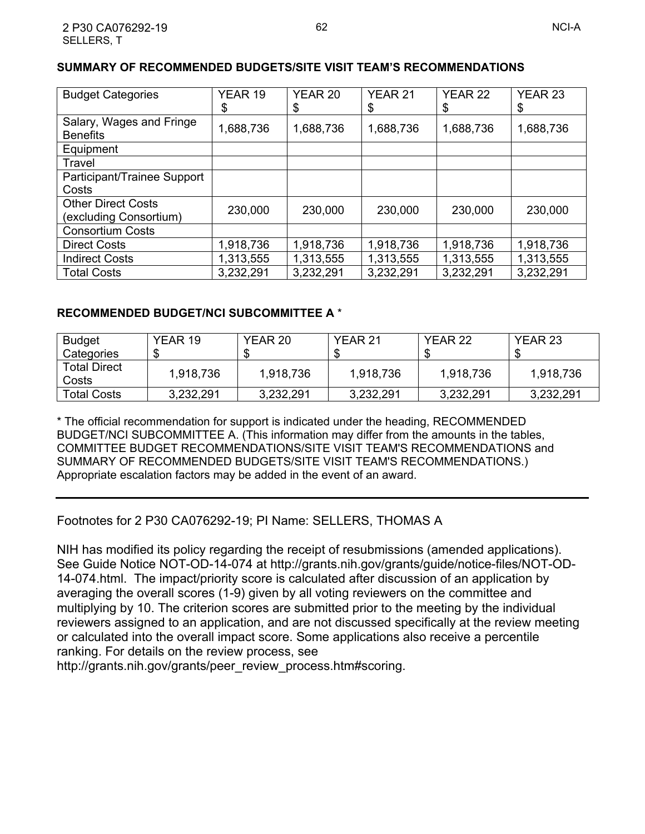#### <span id="page-61-0"></span>**SUMMARY OF RECOMMENDED BUDGETS/SITE VISIT TEAM'S RECOMMENDATIONS**

| <b>Budget Categories</b>                    | YEAR 19<br>\$ | YEAR 20<br>\$ | YEAR 21<br>\$ | YEAR <sub>22</sub><br>\$ | YEAR <sub>23</sub><br>\$ |
|---------------------------------------------|---------------|---------------|---------------|--------------------------|--------------------------|
| Salary, Wages and Fringe<br><b>Benefits</b> | 1,688,736     | 1,688,736     | 1,688,736     | 1,688,736                | 1,688,736                |
| Equipment                                   |               |               |               |                          |                          |
| Travel                                      |               |               |               |                          |                          |
| Participant/Trainee Support                 |               |               |               |                          |                          |
| Costs                                       |               |               |               |                          |                          |
| <b>Other Direct Costs</b>                   | 230,000       | 230,000       | 230,000       | 230,000                  | 230,000                  |
| (excluding Consortium)                      |               |               |               |                          |                          |
| <b>Consortium Costs</b>                     |               |               |               |                          |                          |
| <b>Direct Costs</b>                         | 1,918,736     | 1,918,736     | 1,918,736     | 1,918,736                | 1,918,736                |
| <b>Indirect Costs</b>                       | 1,313,555     | 1,313,555     | 1,313,555     | 1,313,555                | 1,313,555                |
| <b>Total Costs</b>                          | 3,232,291     | 3,232,291     | 3,232,291     | 3,232,291                | 3,232,291                |

#### <span id="page-61-1"></span>**RECOMMENDED BUDGET/NCI SUBCOMMITTEE A** \*

| <b>Budget</b>                | YEAR 19   | YEAR 20   | YFAR 21   | YFAR 22   | YEAR 23   |
|------------------------------|-----------|-----------|-----------|-----------|-----------|
| Categories                   |           |           |           |           |           |
| <b>Total Direct</b><br>Costs | 1,918,736 | 1,918,736 | 1,918,736 | 1,918,736 | 1,918,736 |
| <b>Total Costs</b>           | 3,232,291 | 3,232,291 | 3,232,291 | 3,232,291 | 3,232,291 |

\* The official recommendation for support is indicated under the heading, RECOMMENDED BUDGET/NCI SUBCOMMITTEE A. (This information may differ from the amounts in the tables, COMMITTEE BUDGET RECOMMENDATIONS/SITE VISIT TEAM'S RECOMMENDATIONS and SUMMARY OF RECOMMENDED BUDGETS/SITE VISIT TEAM'S RECOMMENDATIONS.) Appropriate escalation factors may be added in the event of an award.

Footnotes for 2 P30 CA076292-19; PI Name: SELLERS, THOMAS A

NIH has modified its policy regarding the receipt of resubmissions (amended applications). See Guide Notice NOT-OD-14-074 at http://grants.nih.gov/grants/guide/notice-files/NOT-OD-14-074.html. The impact/priority score is calculated after discussion of an application by averaging the overall scores (1-9) given by all voting reviewers on the committee and multiplying by 10. The criterion scores are submitted prior to the meeting by the individual reviewers assigned to an application, and are not discussed specifically at the review meeting or calculated into the overall impact score. Some applications also receive a percentile ranking. For details on the review process, see

http://grants.nih.gov/grants/peer\_review\_process.htm#scoring.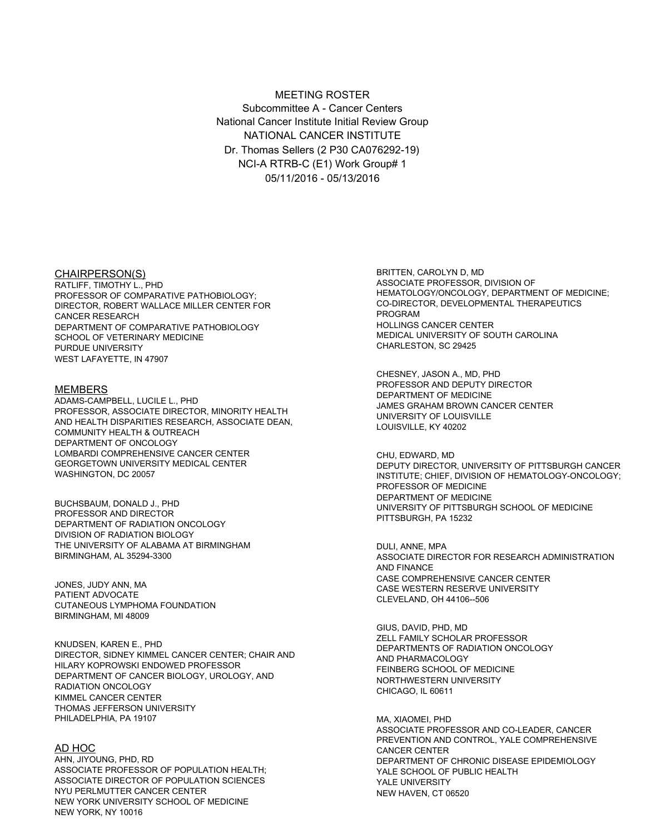#### MEETING ROSTER Subcommittee A - Cancer Centers National Cancer Institute Initial Review Group NATIONAL CANCER INSTITUTE Dr. Thomas Sellers (2 P30 CA076292-19) NCI-A RTRB-C (E1) Work Group# 1 05/11/2016 - 05/13/2016

RATLIFF, TIMOTHY L., PHD PROFESSOR OF COMPARATIVE PATHOBIOLOGY; DIRECTOR, ROBERT WALLACE MILLER CENTER FOR CANCER RESEARCH DEPARTMENT OF COMPARATIVE PATHOBIOLOGY SCHOOL OF VETERINARY MEDICINE PURDUE UNIVERSITY WEST LAFAYETTE, IN 47907

#### MEMBERS

ADAMS-CAMPBELL, LUCILE L., PHD PROFESSOR, ASSOCIATE DIRECTOR, MINORITY HEALTH AND HEALTH DISPARITIES RESEARCH, ASSOCIATE DEAN, COMMUNITY HEALTH & OUTREACH DEPARTMENT OF ONCOLOGY LOMBARDI COMPREHENSIVE CANCER CENTER GEORGETOWN UNIVERSITY MEDICAL CENTER WASHINGTON, DC 20057

BUCHSBAUM, DONALD J., PHD PROFESSOR AND DIRECTOR DEPARTMENT OF RADIATION ONCOLOGY DIVISION OF RADIATION BIOLOGY THE UNIVERSITY OF ALABAMA AT BIRMINGHAM BIRMINGHAM, AL 35294-3300

JONES, JUDY ANN, MA PATIENT ADVOCATE CUTANEOUS LYMPHOMA FOUNDATION BIRMINGHAM, MI 48009

KNUDSEN, KAREN E., PHD DIRECTOR, SIDNEY KIMMEL CANCER CENTER; CHAIR AND HILARY KOPROWSKI ENDOWED PROFESSOR DEPARTMENT OF CANCER BIOLOGY, UROLOGY, AND RADIATION ONCOLOGY KIMMEL CANCER CENTER THOMAS JEFFERSON UNIVERSITY PHILADELPHIA, PA 19107 MA, 21AOMEI, PHD

#### AD HOC

AHN, JIYOUNG, PHD, RD ASSOCIATE PROFESSOR OF POPULATION HEALTH; ASSOCIATE DIRECTOR OF POPULATION SCIENCES NYU PERLMUTTER CANCER CENTER NEW YORK UNIVERSITY SCHOOL OF MEDICINE NEW YORK, NY 10016

CHAIRPERSON(S) SALLY BRITTEN, CAROLYN D, MD ASSOCIATE PROFESSOR, DIVISION OF HEMATOLOGY/ONCOLOGY, DEPARTMENT OF MEDICINE; CO-DIRECTOR, DEVELOPMENTAL THERAPEUTICS PROGRAM HOLLINGS CANCER CENTER MEDICAL UNIVERSITY OF SOUTH CAROLINA CHARLESTON, SC 29425

> CHESNEY, JASON A., MD, PHD PROFESSOR AND DEPUTY DIRECTOR DEPARTMENT OF MEDICINE JAMES GRAHAM BROWN CANCER CENTER UNIVERSITY OF LOUISVILLE LOUISVILLE, KY 40202

CHU, EDWARD, MD DEPUTY DIRECTOR, UNIVERSITY OF PITTSBURGH CANCER INSTITUTE; CHIEF, DIVISION OF HEMATOLOGY-ONCOLOGY; PROFESSOR OF MEDICINE DEPARTMENT OF MEDICINE UNIVERSITY OF PITTSBURGH SCHOOL OF MEDICINE PITTSBURGH, PA 15232

DULI, ANNE, MPA ASSOCIATE DIRECTOR FOR RESEARCH ADMINISTRATION AND FINANCE CASE COMPREHENSIVE CANCER CENTER CASE WESTERN RESERVE UNIVERSITY CLEVELAND, OH 44106--506

GIUS, DAVID, PHD, MD ZELL FAMILY SCHOLAR PROFESSOR DEPARTMENTS OF RADIATION ONCOLOGY AND PHARMACOLOGY FEINBERG SCHOOL OF MEDICINE NORTHWESTERN UNIVERSITY CHICAGO, IL 60611

ASSOCIATE PROFESSOR AND CO-LEADER, CANCER PREVENTION AND CONTROL, YALE COMPREHENSIVE CANCER CENTER DEPARTMENT OF CHRONIC DISEASE EPIDEMIOLOGY YALE SCHOOL OF PUBLIC HEALTH YALE UNIVERSITY NEW HAVEN, CT 06520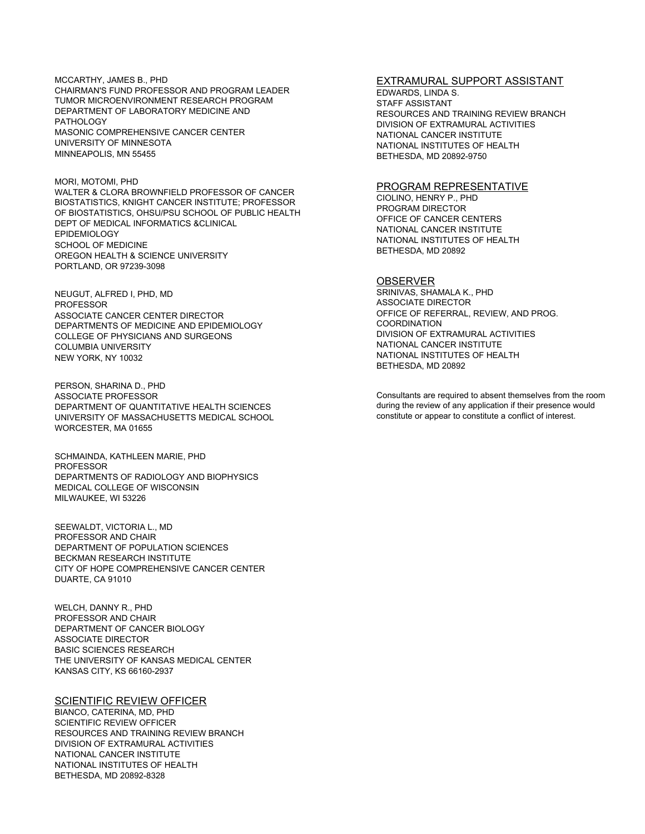MCCARTHY, JAMES B., PHD **EXTRAMURAL SUPPORT ASSISTANT** CHAIRMAN'S FUND PROFESSOR AND PROGRAM LEADER TUMOR MICROENVIRONMENT RESEARCH PROGRAM DEPARTMENT OF LABORATORY MEDICINE AND PATHOLOGY MASONIC COMPREHENSIVE CANCER CENTER UNIVERSITY OF MINNESOTA MINNEAPOLIS, MN 55455

# WALTER & CLORA BROWNFIELD PROFESSOR OF CANCER

BIOSTATISTICS, KNIGHT CANCER INSTITUTE; PROFESSOR OF BIOSTATISTICS, OHSU/PSU SCHOOL OF PUBLIC HEALTH DEPT OF MEDICAL INFORMATICS &CLINICAL EPIDEMIOLOGY SCHOOL OF MEDICINE OREGON HEALTH & SCIENCE UNIVERSITY PORTLAND, OR 97239-3098

NEUGUT, ALFRED I, PHD, MD **PROFESSOR** ASSOCIATE CANCER CENTER DIRECTOR DEPARTMENTS OF MEDICINE AND EPIDEMIOLOGY COLLEGE OF PHYSICIANS AND SURGEONS COLUMBIA UNIVERSITY NEW YORK, NY 10032

PERSON, SHARINA D., PHD ASSOCIATE PROFESSOR Consultants are required to absent themselves from the room DEPARTMENT OF QUANTITATIVE HEALTH SCIENCES UNIVERSITY OF MASSACHUSETTS MEDICAL SCHOOL WORCESTER, MA 01655

SCHMAINDA, KATHLEEN MARIE, PHD PROFESSOR DEPARTMENTS OF RADIOLOGY AND BIOPHYSICS MEDICAL COLLEGE OF WISCONSIN MILWAUKEE, WI 53226

SEEWALDT, VICTORIA L., MD PROFESSOR AND CHAIR DEPARTMENT OF POPULATION SCIENCES BECKMAN RESEARCH INSTITUTE CITY OF HOPE COMPREHENSIVE CANCER CENTER DUARTE, CA 91010

WELCH, DANNY R., PHD PROFESSOR AND CHAIR DEPARTMENT OF CANCER BIOLOGY ASSOCIATE DIRECTOR BASIC SCIENCES RESEARCH THE UNIVERSITY OF KANSAS MEDICAL CENTER KANSAS CITY, KS 66160-2937

SCIENTIFIC REVIEW OFFICER BIANCO, CATERINA, MD, PHD SCIENTIFIC REVIEW OFFICER RESOURCES AND TRAINING REVIEW BRANCH DIVISION OF EXTRAMURAL ACTIVITIES NATIONAL CANCER INSTITUTE NATIONAL INSTITUTES OF HEALTH BETHESDA, MD 20892-8328

EDWARDS, LINDA S. STAFF ASSISTANT RESOURCES AND TRAINING REVIEW BRANCH DIVISION OF EXTRAMURAL ACTIVITIES NATIONAL CANCER INSTITUTE NATIONAL INSTITUTES OF HEALTH BETHESDA, MD 20892-9750

# MORI, MOTOMI, PHD<br>
PROGRAM REPRESENTATIVE

CIOLINO, HENRY P., PHD PROGRAM DIRECTOR OFFICE OF CANCER CENTERS NATIONAL CANCER INSTITUTE NATIONAL INSTITUTES OF HEALTH BETHESDA, MD 20892

#### OBSERVER

SRINIVAS, SHAMALA K., PHD ASSOCIATE DIRECTOR OFFICE OF REFERRAL, REVIEW, AND PROG. COORDINATION DIVISION OF EXTRAMURAL ACTIVITIES NATIONAL CANCER INSTITUTE NATIONAL INSTITUTES OF HEALTH BETHESDA, MD 20892

during the review of any application if their presence would constitute or appear to constitute a conflict of interest.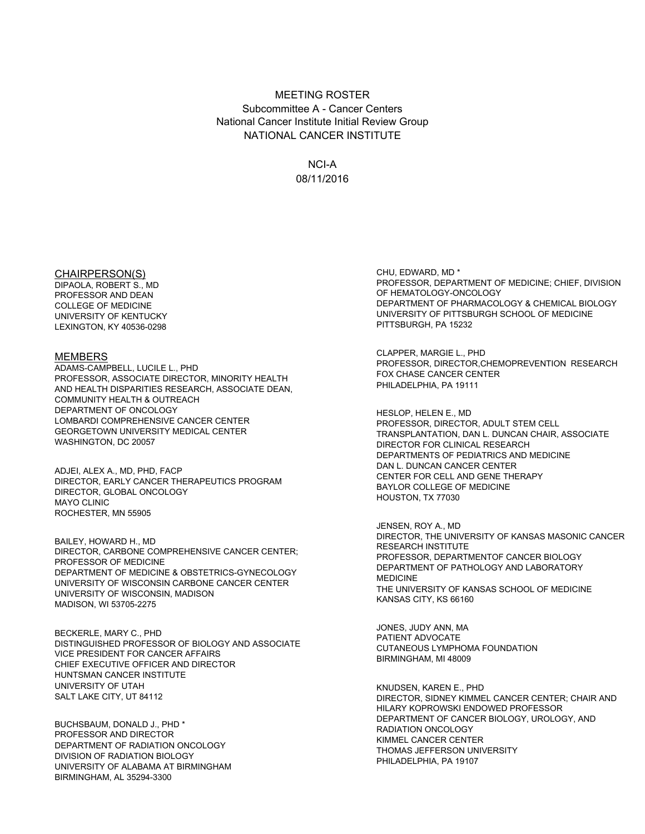#### MEETING ROSTER Subcommittee A - Cancer Centers National Cancer Institute Initial Review Group NATIONAL CANCER INSTITUTE

NCI-A 08/11/2016

#### CHAIRPERSON(S) **CHU, EDWARD, MD** \*

DIPAOLA, ROBERT S., MD PROFESSOR AND DEAN COLLEGE OF MEDICINE UNIVERSITY OF KENTUCKY LEXINGTON, KY 40536-0298

#### MEMBERS

ADAMS-CAMPBELL, LUCILE L., PHD PROFESSOR, ASSOCIATE DIRECTOR, MINORITY HEALTH AND HEALTH DISPARITIES RESEARCH, ASSOCIATE DEAN, COMMUNITY HEALTH & OUTREACH DEPARTMENT OF ONCOLOGY LOMBARDI COMPREHENSIVE CANCER CENTER GEORGETOWN UNIVERSITY MEDICAL CENTER WASHINGTON, DC 20057

ADJEI, ALEX A., MD, PHD, FACP DIRECTOR, EARLY CANCER THERAPEUTICS PROGRAM DIRECTOR, GLOBAL ONCOLOGY MAYO CLINIC NOUSTON, SECONDICIONAL CHOCOLOGY MAYO CLINIC ROCHESTER, MN 55905

BAILEY, HOWARD H., MD DIRECTOR, CARBONE COMPREHENSIVE CANCER CENTER; PROFESSOR OF MEDICINE DEPARTMENT OF MEDICINE & OBSTETRICS-GYNECOLOGY UNIVERSITY OF WISCONSIN CARBONE CANCER CENTER UNIVERSITY OF WISCONSIN, MADISON MADISON, WI 53705-2275

BECKERLE, MARY C., PHD DISTINGUISHED PROFESSOR OF BIOLOGY AND ASSOCIATE VICE PRESIDENT FOR CANCER AFFAIRS CHIEF EXECUTIVE OFFICER AND DIRECTOR HUNTSMAN CANCER INSTITUTE UNIVERSITY OF UTAH KNUDSEN, KAREN E., PHD

BUCHSBAUM, DONALD J., PHD \* PROFESSOR AND DIRECTOR DEPARTMENT OF RADIATION ONCOLOGY DIVISION OF RADIATION BIOLOGY UNIVERSITY OF ALABAMA AT BIRMINGHAM BIRMINGHAM, AL 35294-3300

PROFESSOR, DEPARTMENT OF MEDICINE; CHIEF, DIVISION OF HEMATOLOGY-ONCOLOGY DEPARTMENT OF PHARMACOLOGY & CHEMICAL BIOLOGY UNIVERSITY OF PITTSBURGH SCHOOL OF MEDICINE PITTSBURGH, PA 15232

CLAPPER, MARGIE L., PHD PROFESSOR, DIRECTOR,CHEMOPREVENTION RESEARCH FOX CHASE CANCER CENTER PHILADELPHIA, PA 19111

HESLOP, HELEN E., MD PROFESSOR, DIRECTOR, ADULT STEM CELL TRANSPLANTATION, DAN L. DUNCAN CHAIR, ASSOCIATE DIRECTOR FOR CLINICAL RESEARCH DEPARTMENTS OF PEDIATRICS AND MEDICINE DAN L. DUNCAN CANCER CENTER CENTER FOR CELL AND GENE THERAPY BAYLOR COLLEGE OF MEDICINE

JENSEN, ROY A., MD DIRECTOR, THE UNIVERSITY OF KANSAS MASONIC CANCER RESEARCH INSTITUTE PROFESSOR, DEPARTMENTOF CANCER BIOLOGY DEPARTMENT OF PATHOLOGY AND LABORATORY MEDICINE THE UNIVERSITY OF KANSAS SCHOOL OF MEDICINE KANSAS CITY, KS 66160

JONES, JUDY ANN, MA PATIENT ADVOCATE CUTANEOUS LYMPHOMA FOUNDATION BIRMINGHAM, MI 48009

DIRECTOR, SIDNEY KIMMEL CANCER CENTER; CHAIR AND HILARY KOPROWSKI ENDOWED PROFESSOR DEPARTMENT OF CANCER BIOLOGY, UROLOGY, AND RADIATION ONCOLOGY KIMMEL CANCER CENTER THOMAS JEFFERSON UNIVERSITY PHILADELPHIA, PA 19107